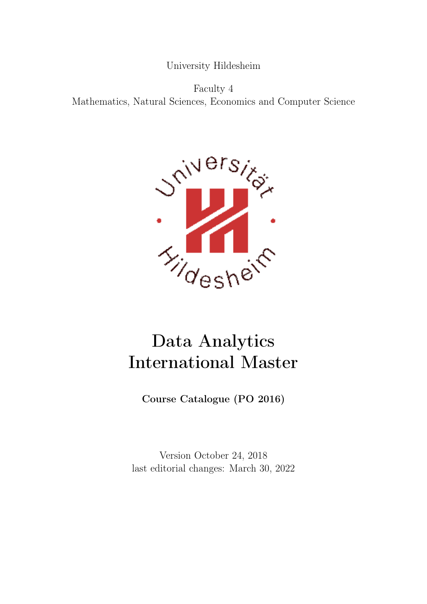University Hildesheim

Faculty 4 Mathematics, Natural Sciences, Economics and Computer Science



# Data Analytics International Master

Course Catalogue (PO 2016)

Version October 24, 2018 last editorial changes: March 30, 2022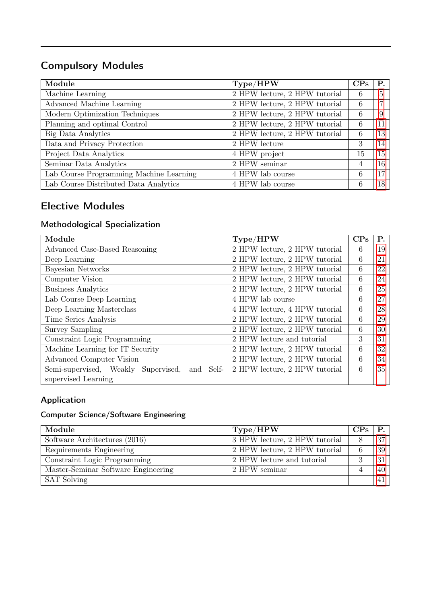### Compulsory Modules

| Module                                  | Type/HPW                                                   | CP <sub>S</sub> | Р. |
|-----------------------------------------|------------------------------------------------------------|-----------------|----|
| Machine Learning                        | $\overline{\text{2 HPW}}$ lecture, $\text{2 HPW}$ tutorial | 6               | 5  |
| Advanced Machine Learning               | 2 HPW lecture, 2 HPW tutorial                              | 6               | ⇁  |
| Modern Optimization Techniques          | 2 HPW lecture, 2 HPW tutorial                              | -6              | 9  |
| Planning and optimal Control            | 2 HPW lecture, 2 HPW tutorial                              | 6               | 11 |
| Big Data Analytics                      | 2 HPW lecture, 2 HPW tutorial                              | 6               | 13 |
| Data and Privacy Protection             | 2 HPW lecture                                              | 3               | 14 |
| Project Data Analytics                  | 4 HPW project                                              | 15              | 15 |
| Seminar Data Analytics                  | 2 HPW seminar                                              | 4               | 16 |
| Lab Course Programming Machine Learning | 4 HPW lab course                                           | 6               | 17 |
| Lab Course Distributed Data Analytics   | 4 HPW lab course                                           | 6               | 18 |

### Elective Modules

#### Methodological Specialization

| Module                                        | Type/HPW                      | CP <sub>S</sub> | $P_{\cdot}$ |
|-----------------------------------------------|-------------------------------|-----------------|-------------|
| Advanced Case-Based Reasoning                 | 2 HPW lecture, 2 HPW tutorial | 6               | 19          |
| Deep Learning                                 | 2 HPW lecture, 2 HPW tutorial | 6               | 21          |
| Bayesian Networks                             | 2 HPW lecture, 2 HPW tutorial | 6               | 22          |
| Computer Vision                               | 2 HPW lecture, 2 HPW tutorial | 6               | 24          |
| <b>Business Analytics</b>                     | 2 HPW lecture, 2 HPW tutorial | 6               | 25          |
| Lab Course Deep Learning                      | 4 HPW lab course              | 6               | 27          |
| Deep Learning Masterclass                     | 4 HPW lecture, 4 HPW tutorial | 6               | 28          |
| Time Series Analysis                          | 2 HPW lecture, 2 HPW tutorial | 6               | 29          |
| <b>Survey Sampling</b>                        | 2 HPW lecture, 2 HPW tutorial | 6               | 30          |
| Constraint Logic Programming                  | 2 HPW lecture and tutorial    | 3               | 31          |
| Machine Learning for IT Security              | 2 HPW lecture, 2 HPW tutorial | 6               | 32          |
| Advanced Computer Vision                      | 2 HPW lecture, 2 HPW tutorial | 6               | 34          |
| Semi-supervised, Weakly Supervised, and Self- | 2 HPW lecture, 2 HPW tutorial | 6               | 35          |
| supervised Learning                           |                               |                 |             |

### Application

### Computer Science/Software Engineering

| Module                              | Type/HPW                      | CPs. |    |
|-------------------------------------|-------------------------------|------|----|
| Software Architectures (2016)       | 3 HPW lecture, 2 HPW tutorial |      | 37 |
| Requirements Engineering            | 2 HPW lecture, 2 HPW tutorial | 6    | 39 |
| Constraint Logic Programming        | 2 HPW lecture and tutorial    |      | 31 |
| Master-Seminar Software Engineering | 2 HPW seminar                 |      | 40 |
| <b>SAT Solving</b>                  |                               |      |    |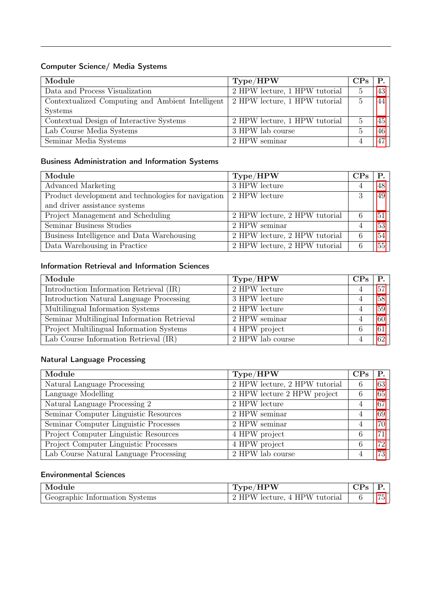#### Computer Science/ Media Systems

| Module                                           | Type/HPW                      | CPs            | P.              |
|--------------------------------------------------|-------------------------------|----------------|-----------------|
| Data and Process Visualization                   | 2 HPW lecture, 1 HPW tutorial | $\overline{5}$ | 43 <sup>1</sup> |
| Contextualized Computing and Ambient Intelligent | 2 HPW lecture, 1 HPW tutorial | $\overline{5}$ | 44              |
| Systems                                          |                               |                |                 |
| Contextual Design of Interactive Systems         | 2 HPW lecture, 1 HPW tutorial |                | $45-1$          |
| Lab Course Media Systems                         | 3 HPW lab course              | $\cdot$        | $46-1$          |
| Seminar Media Systems                            | 2 HPW seminar                 |                | 47              |

#### Business Administration and Information Systems

| Module                                              | Type/HPW                      | CP <sub>S</sub> | <b>P.</b>       |
|-----------------------------------------------------|-------------------------------|-----------------|-----------------|
| Advanced Marketing                                  | 3 HPW lecture                 | 4               | 48              |
| Product development and technologies for navigation | 2 HPW lecture                 | 3               | 49              |
| and driver assistance systems                       |                               |                 |                 |
| Project Management and Scheduling                   | 2 HPW lecture, 2 HPW tutorial | -6              | 51 <sup>1</sup> |
| Seminar Business Studies                            | 2 HPW seminar                 |                 | 53              |
| Business Intelligence and Data Warehousing          | 2 HPW lecture, 2 HPW tutorial | -6              | 54              |
| Data Warehousing in Practice                        | 2 HPW lecture, 2 HPW tutorial | -6              | 55              |

### Information Retrieval and Information Sciences

| Module                                                    | Type/HPW         | CP <sub>S</sub> | <b>P.</b> |
|-----------------------------------------------------------|------------------|-----------------|-----------|
| Introduction Information Retrieval (IR)                   | 2 HPW lecture    | 4               | 57        |
| Introduction Natural Language Processing<br>3 HPW lecture |                  | 4               | 58        |
| Multilingual Information Systems                          | 2 HPW lecture    | $\overline{4}$  | 59        |
| Seminar Multilingiual Information Retrieval               | 2 HPW seminar    | 4               | 60        |
| Project Multilingual Information Systems                  | 4 HPW project    | 6               | 61        |
| Lab Course Information Retrieval (IR)                     | 2 HPW lab course |                 | 62        |

#### Natural Language Processing

| Module                                 | Type/HPW                              | CP <sub>S</sub> | Р. |
|----------------------------------------|---------------------------------------|-----------------|----|
| Natural Language Processing            | $\sqrt{2$ HPW lecture, 2 HPW tutorial | 6               | 63 |
| Language Modelling                     | 2 HPW lecture 2 HPW project           | -6              | 65 |
| Natural Language Processing 2          | 2 HPW lecture                         | 4               | 67 |
| Seminar Computer Linguistic Resources  | 2 HPW seminar                         | 4               | 69 |
| Seminar Computer Linguistic Processes  | 2 HPW seminar                         | 4               | 70 |
| Project Computer Linguistic Resources  | 4 HPW project                         | 6               | 71 |
| Project Computer Linguistic Processes  | 4 HPW project                         | 6               | 72 |
| Lab Course Natural Language Processing | 2 HPW lab course                      |                 | 73 |

#### Environmental Sciences

| Module                         | <b>HPW</b>                    |                          |
|--------------------------------|-------------------------------|--------------------------|
| Geographic Information Systems | 2 HPW lecture, 4 HPW tutorial | $-$<br>$\sqrt{2}$<br>- 1 |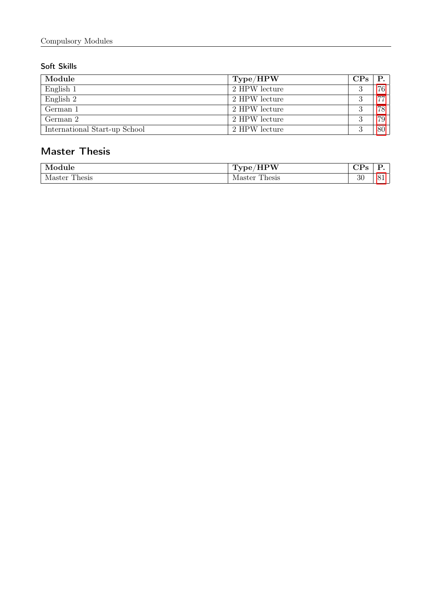#### Soft Skills

| Module                        | $\rm Type/HPW$ | CP <sub>S</sub> | P.              |
|-------------------------------|----------------|-----------------|-----------------|
| English 1                     | 2 HPW lecture  |                 | 76 <sub>1</sub> |
| English 2                     | 2 HPW lecture  | റ               | 77.             |
| German 1                      | 2 HPW lecture  |                 | 78              |
| German 2                      | 2 HPW lecture  |                 | 79              |
| International Start-up School | 2 HPW lecture  | റ               | 80              |

### Master Thesis

| Module                         | <br>N<br>-----  | ---<br>ັ<br>. . |  |
|--------------------------------|-----------------|-----------------|--|
| `hesis<br>oν<br>'stei<br>----- | Master<br>nesis | $\Omega$<br>৩৮  |  |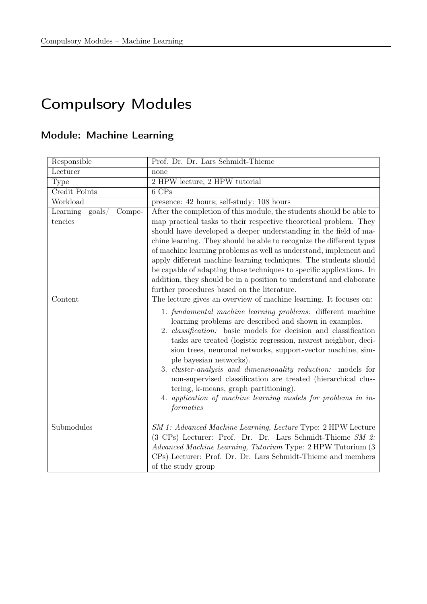# Compulsory Modules

# <span id="page-4-0"></span>Module: Machine Learning

| Responsible                                      | Prof. Dr. Dr. Lars Schmidt-Thieme                                                                                                                                                                                                                                                                                                                                                                                                                                                                                                                                                                                                                                                                 |
|--------------------------------------------------|---------------------------------------------------------------------------------------------------------------------------------------------------------------------------------------------------------------------------------------------------------------------------------------------------------------------------------------------------------------------------------------------------------------------------------------------------------------------------------------------------------------------------------------------------------------------------------------------------------------------------------------------------------------------------------------------------|
| Lecturer                                         | none                                                                                                                                                                                                                                                                                                                                                                                                                                                                                                                                                                                                                                                                                              |
| Type                                             | 2 HPW lecture, 2 HPW tutorial                                                                                                                                                                                                                                                                                                                                                                                                                                                                                                                                                                                                                                                                     |
| Credit Points                                    | 6 CPs                                                                                                                                                                                                                                                                                                                                                                                                                                                                                                                                                                                                                                                                                             |
| Workload                                         | presence: 42 hours; self-study: 108 hours                                                                                                                                                                                                                                                                                                                                                                                                                                                                                                                                                                                                                                                         |
| Learning<br>$\text{goals}/$<br>Compe-<br>tencies | After the completion of this module, the students should be able to<br>map practical tasks to their respective theoretical problem. They<br>should have developed a deeper understanding in the field of ma-<br>chine learning. They should be able to recognize the different types<br>of machine learning problems as well as understand, implement and<br>apply different machine learning techniques. The students should<br>be capable of adapting those techniques to specific applications. In<br>addition, they should be in a position to understand and elaborate                                                                                                                       |
|                                                  | further procedures based on the literature.                                                                                                                                                                                                                                                                                                                                                                                                                                                                                                                                                                                                                                                       |
| Content                                          | The lecture gives an overview of machine learning. It focuses on:<br>1. fundamental machine learning problems: different machine<br>learning problems are described and shown in examples.<br>2. <i>classification</i> : basic models for decision and classification<br>tasks are treated (logistic regression, nearest neighbor, deci-<br>sion trees, neuronal networks, support-vector machine, sim-<br>ple bayesian networks).<br>3. <i>cluster-analysis and dimensionality reduction:</i> models for<br>non-supervised classification are treated (hierarchical clus-<br>tering, k-means, graph partitioning).<br>4. application of machine learning models for problems in in-<br>formatics |
| Submodules                                       | SM 1: Advanced Machine Learning, Lecture Type: 2 HPW Lecture<br>(3 CPs) Lecturer: Prof. Dr. Dr. Lars Schmidt-Thieme SM 2:<br><i>Advanced Machine Learning, Tutorium</i> Type: 2 HPW Tutorium (3)<br>CPs) Lecturer: Prof. Dr. Dr. Lars Schmidt-Thieme and members<br>of the study group                                                                                                                                                                                                                                                                                                                                                                                                            |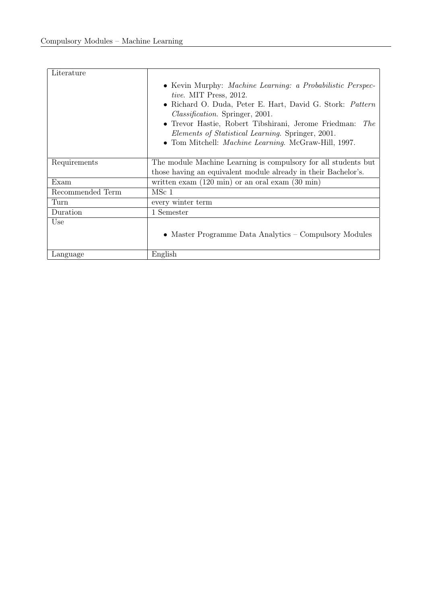| Literature       |                                                                                                                                                                                                                                                                                                                                                                                                             |
|------------------|-------------------------------------------------------------------------------------------------------------------------------------------------------------------------------------------------------------------------------------------------------------------------------------------------------------------------------------------------------------------------------------------------------------|
|                  | • Kevin Murphy: <i>Machine Learning: a Probabilistic Perspec-</i><br><i>tive.</i> MIT Press, 2012.<br>• Richard O. Duda, Peter E. Hart, David G. Stork: Pattern<br><i>Classification.</i> Springer, 2001.<br>• Trevor Hastie, Robert Tibshirani, Jerome Friedman:<br><i>The</i><br><i>Elements of Statistical Learning.</i> Springer, 2001.<br>• Tom Mitchell: <i>Machine Learning</i> . McGraw-Hill, 1997. |
| Requirements     | The module Machine Learning is compulsory for all students but<br>those having an equivalent module already in their Bachelor's.                                                                                                                                                                                                                                                                            |
| Exam             | written exam $(120 \text{ min})$ or an oral exam $(30 \text{ min})$                                                                                                                                                                                                                                                                                                                                         |
| Recommended Term | MSc 1                                                                                                                                                                                                                                                                                                                                                                                                       |
| Turn             | every winter term                                                                                                                                                                                                                                                                                                                                                                                           |
| Duration         | 1 Semester                                                                                                                                                                                                                                                                                                                                                                                                  |
| Use              | • Master Programme Data Analytics – Compulsory Modules                                                                                                                                                                                                                                                                                                                                                      |
| Language         | English                                                                                                                                                                                                                                                                                                                                                                                                     |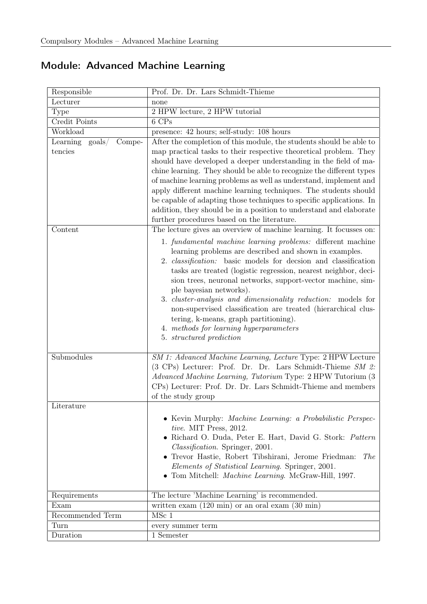<span id="page-6-0"></span>

| Responsible                                       | Prof. Dr. Dr. Lars Schmidt-Thieme                                                                                                                                                                                                                                                                                                                                                                                                                                                                                                                                                                                                                                                          |  |  |
|---------------------------------------------------|--------------------------------------------------------------------------------------------------------------------------------------------------------------------------------------------------------------------------------------------------------------------------------------------------------------------------------------------------------------------------------------------------------------------------------------------------------------------------------------------------------------------------------------------------------------------------------------------------------------------------------------------------------------------------------------------|--|--|
| Lecturer                                          | none                                                                                                                                                                                                                                                                                                                                                                                                                                                                                                                                                                                                                                                                                       |  |  |
| Type                                              | 2 HPW lecture, 2 HPW tutorial                                                                                                                                                                                                                                                                                                                                                                                                                                                                                                                                                                                                                                                              |  |  |
| Credit Points                                     | 6 CPs                                                                                                                                                                                                                                                                                                                                                                                                                                                                                                                                                                                                                                                                                      |  |  |
| Workload                                          | presence: 42 hours; self-study: 108 hours                                                                                                                                                                                                                                                                                                                                                                                                                                                                                                                                                                                                                                                  |  |  |
| Learning<br>$\text{goals} /$<br>Compe-<br>tencies | After the completion of this module, the students should be able to<br>map practical tasks to their respective theoretical problem. They<br>should have developed a deeper understanding in the field of ma-<br>chine learning. They should be able to recognize the different types<br>of machine learning problems as well as understand, implement and<br>apply different machine learning techniques. The students should<br>be capable of adapting those techniques to specific applications. In<br>addition, they should be in a position to understand and elaborate<br>further procedures based on the literature.                                                                 |  |  |
| Content                                           | The lecture gives an overview of machine learning. It focusses on:<br>1. fundamental machine learning problems: different machine<br>learning problems are described and shown in examples.<br>2. <i>classification</i> : basic models for decsion and classification<br>tasks are treated (logistic regression, nearest neighbor, deci-<br>sion trees, neuronal networks, support-vector machine, sim-<br>ple bayesian networks).<br>3. <i>cluster-analysis and dimensionality reduction:</i> models for<br>non-supervised classification are treated (hierarchical clus-<br>tering, k-means, graph partitioning).<br>4. methods for learning hyperparameters<br>5. structured prediction |  |  |
| Submodules                                        | SM 1: Advanced Machine Learning, Lecture Type: 2 HPW Lecture<br>(3 CPs) Lecturer: Prof. Dr. Dr. Lars Schmidt-Thieme SM 2:<br>Advanced Machine Learning, Tutorium Type: 2 HPW Tutorium (3<br>CPs) Lecturer: Prof. Dr. Dr. Lars Schmidt-Thieme and members<br>of the study group                                                                                                                                                                                                                                                                                                                                                                                                             |  |  |
| Literature                                        | • Kevin Murphy: Machine Learning: a Probabilistic Perspec-<br>tive. MIT Press, 2012.<br>· Richard O. Duda, Peter E. Hart, David G. Stork: Pattern<br>Classification. Springer, 2001.<br>• Trevor Hastie, Robert Tibshirani, Jerome Friedman:<br><i>The</i><br>Elements of Statistical Learning. Springer, 2001.<br>• Tom Mitchell: <i>Machine Learning</i> . McGraw-Hill, 1997.                                                                                                                                                                                                                                                                                                            |  |  |
| Requirements                                      | The lecture 'Machine Learning' is recommended.                                                                                                                                                                                                                                                                                                                                                                                                                                                                                                                                                                                                                                             |  |  |
| Exam                                              | written exam $(120 \text{ min})$ or an oral exam $(30 \text{ min})$                                                                                                                                                                                                                                                                                                                                                                                                                                                                                                                                                                                                                        |  |  |
| Recommended Term                                  | MSc 1                                                                                                                                                                                                                                                                                                                                                                                                                                                                                                                                                                                                                                                                                      |  |  |
| Turn                                              | every summer term                                                                                                                                                                                                                                                                                                                                                                                                                                                                                                                                                                                                                                                                          |  |  |
| Duration                                          | 1 Semester                                                                                                                                                                                                                                                                                                                                                                                                                                                                                                                                                                                                                                                                                 |  |  |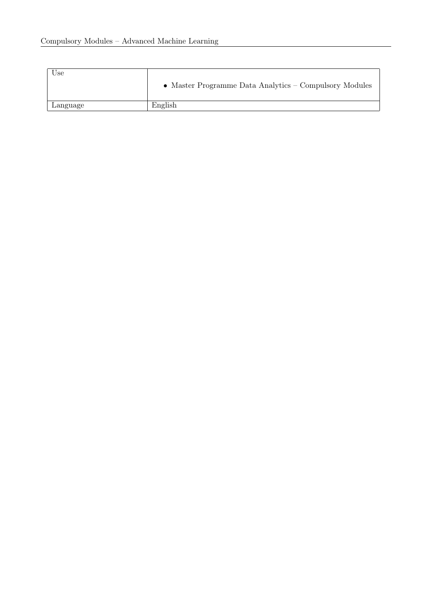| Use      | • Master Programme Data Analytics – Compulsory Modules |
|----------|--------------------------------------------------------|
| Language | English                                                |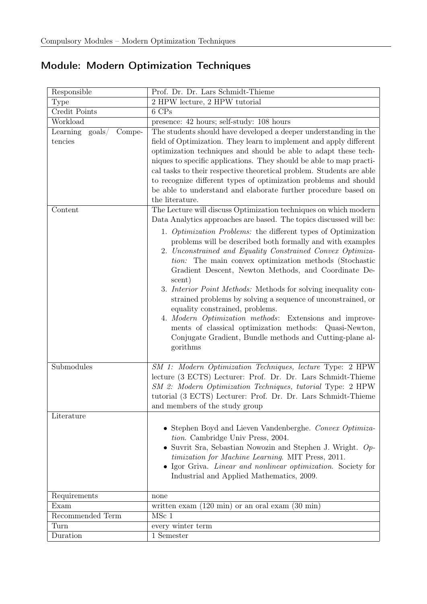## <span id="page-8-0"></span>Module: Modern Optimization Techniques

| Responsible                            | Prof. Dr. Dr. Lars Schmidt-Thieme                                                                                                                                                                                                                                                                                                                                                                                                                                                                                                                                                                                                                                                              |  |
|----------------------------------------|------------------------------------------------------------------------------------------------------------------------------------------------------------------------------------------------------------------------------------------------------------------------------------------------------------------------------------------------------------------------------------------------------------------------------------------------------------------------------------------------------------------------------------------------------------------------------------------------------------------------------------------------------------------------------------------------|--|
| Type                                   | 2 HPW lecture, 2 HPW tutorial                                                                                                                                                                                                                                                                                                                                                                                                                                                                                                                                                                                                                                                                  |  |
| Credit Points                          | 6 CPs                                                                                                                                                                                                                                                                                                                                                                                                                                                                                                                                                                                                                                                                                          |  |
| Workload                               | presence: 42 hours; self-study: 108 hours                                                                                                                                                                                                                                                                                                                                                                                                                                                                                                                                                                                                                                                      |  |
| Compe-<br>Learning<br>$\text{goals} /$ | The students should have developed a deeper understanding in the                                                                                                                                                                                                                                                                                                                                                                                                                                                                                                                                                                                                                               |  |
| tencies                                | field of Optimization. They learn to implement and apply different                                                                                                                                                                                                                                                                                                                                                                                                                                                                                                                                                                                                                             |  |
|                                        | optimization techniques and should be able to adapt these tech-                                                                                                                                                                                                                                                                                                                                                                                                                                                                                                                                                                                                                                |  |
|                                        | niques to specific applications. They should be able to map practi-                                                                                                                                                                                                                                                                                                                                                                                                                                                                                                                                                                                                                            |  |
|                                        | cal tasks to their respective theoretical problem. Students are able                                                                                                                                                                                                                                                                                                                                                                                                                                                                                                                                                                                                                           |  |
|                                        | to recognize different types of optimization problems and should                                                                                                                                                                                                                                                                                                                                                                                                                                                                                                                                                                                                                               |  |
|                                        | be able to understand and elaborate further procedure based on                                                                                                                                                                                                                                                                                                                                                                                                                                                                                                                                                                                                                                 |  |
|                                        | the literature.                                                                                                                                                                                                                                                                                                                                                                                                                                                                                                                                                                                                                                                                                |  |
| Content                                | The Lecture will discuss Optimization techniques on which modern<br>Data Analytics approaches are based. The topics discussed will be:                                                                                                                                                                                                                                                                                                                                                                                                                                                                                                                                                         |  |
|                                        | 1. Optimization Problems: the different types of Optimization<br>problems will be described both formally and with examples<br>2. Unconstrained and Equality Constrained Convex Optimiza-<br><i>tion:</i> The main convex optimization methods (Stochastic<br>Gradient Descent, Newton Methods, and Coordinate De-<br>scent)<br>3. Interior Point Methods: Methods for solving inequality con-<br>strained problems by solving a sequence of unconstrained, or<br>equality constrained, problems.<br>4. Modern Optimization methods: Extensions and improve-<br>ments of classical optimization methods: Quasi-Newton,<br>Conjugate Gradient, Bundle methods and Cutting-plane al-<br>gorithms |  |
| Submodules                             | SM 1: Modern Optimization Techniques, lecture Type: 2 HPW                                                                                                                                                                                                                                                                                                                                                                                                                                                                                                                                                                                                                                      |  |
|                                        | lecture (3 ECTS) Lecturer: Prof. Dr. Dr. Lars Schmidt-Thieme<br>SM 2: Modern Optimization Techniques, tutorial Type: 2 HPW<br>tutorial (3 ECTS) Lecturer: Prof. Dr. Dr. Lars Schmidt-Thieme<br>and members of the study group                                                                                                                                                                                                                                                                                                                                                                                                                                                                  |  |
| Literature                             |                                                                                                                                                                                                                                                                                                                                                                                                                                                                                                                                                                                                                                                                                                |  |
|                                        | • Stephen Boyd and Lieven Vandenberghe. Convex Optimiza-<br>tion. Cambridge Univ Press, 2004.<br>• Suvrit Sra, Sebastian Nowozin and Stephen J. Wright. $Op$ -<br>timization for Machine Learning. MIT Press, 2011.<br>• Igor Griva. Linear and nonlinear optimization. Society for<br>Industrial and Applied Mathematics, 2009.                                                                                                                                                                                                                                                                                                                                                               |  |
| Requirements                           | none                                                                                                                                                                                                                                                                                                                                                                                                                                                                                                                                                                                                                                                                                           |  |
| Exam                                   | written exam $(120 \text{ min})$ or an oral exam $(30 \text{ min})$                                                                                                                                                                                                                                                                                                                                                                                                                                                                                                                                                                                                                            |  |
| Recommended Term                       | $MSc$ 1                                                                                                                                                                                                                                                                                                                                                                                                                                                                                                                                                                                                                                                                                        |  |
| Turn                                   | every winter term                                                                                                                                                                                                                                                                                                                                                                                                                                                                                                                                                                                                                                                                              |  |
| Duration                               | 1 Semester                                                                                                                                                                                                                                                                                                                                                                                                                                                                                                                                                                                                                                                                                     |  |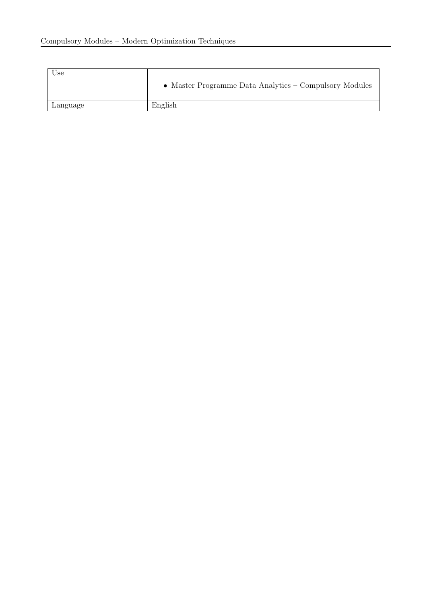| Use      | • Master Programme Data Analytics – Compulsory Modules |
|----------|--------------------------------------------------------|
| Language | English                                                |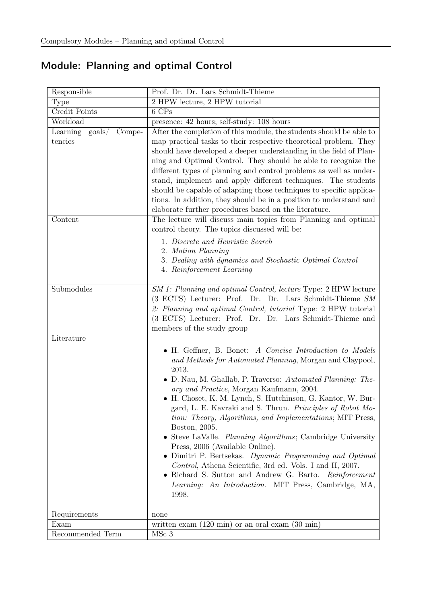## <span id="page-10-0"></span>Module: Planning and optimal Control

| Responsible                           | Prof. Dr. Dr. Lars Schmidt-Thieme                                                          |  |
|---------------------------------------|--------------------------------------------------------------------------------------------|--|
| Type                                  | 2 HPW lecture, 2 HPW tutorial                                                              |  |
| Credit Points                         | 6 CPs                                                                                      |  |
| Workload                              | presence: 42 hours; self-study: 108 hours                                                  |  |
| Compe-<br>Learning<br>$\text{goals}/$ | After the completion of this module, the students should be able to                        |  |
| tencies                               | map practical tasks to their respective theoretical problem. They                          |  |
|                                       | should have developed a deeper understanding in the field of Plan-                         |  |
|                                       | ning and Optimal Control. They should be able to recognize the                             |  |
|                                       | different types of planning and control problems as well as under-                         |  |
|                                       | stand, implement and apply different techniques. The students                              |  |
|                                       | should be capable of adapting those techniques to specific applica-                        |  |
|                                       | tions. In addition, they should be in a position to understand and                         |  |
|                                       | elaborate further procedures based on the literature.                                      |  |
| Content                               | The lecture will discuss main topics from Planning and optimal                             |  |
|                                       | control theory. The topics discussed will be:                                              |  |
|                                       | 1. Discrete and Heuristic Search                                                           |  |
|                                       | 2. Motion Planning                                                                         |  |
|                                       | 3. Dealing with dynamics and Stochastic Optimal Control                                    |  |
|                                       | 4. Reinforcement Learning                                                                  |  |
|                                       |                                                                                            |  |
| Submodules                            | SM 1: Planning and optimal Control, lecture Type: 2 HPW lecture                            |  |
|                                       | (3 ECTS) Lecturer: Prof. Dr. Dr. Lars Schmidt-Thieme SM                                    |  |
|                                       | 2: Planning and optimal Control, tutorial Type: 2 HPW tutorial                             |  |
|                                       | (3 ECTS) Lecturer: Prof. Dr. Dr. Lars Schmidt-Thieme and                                   |  |
|                                       | members of the study group                                                                 |  |
| Literature                            |                                                                                            |  |
|                                       | • H. Geffner, B. Bonet: A Concise Introduction to Models                                   |  |
|                                       | and Methods for Automated Planning, Morgan and Claypool,                                   |  |
|                                       | 2013.                                                                                      |  |
|                                       | D. Nau, M. Ghallab, P. Traverso: Automated Planning: The-                                  |  |
|                                       | ory and Practice, Morgan Kaufmann, 2004.                                                   |  |
|                                       | • H. Choset, K. M. Lynch, S. Hutchinson, G. Kantor, W. Bur-                                |  |
|                                       | gard, L. E. Kavraki and S. Thrun. Principles of Robot Mo-                                  |  |
|                                       | tion: Theory, Algorithms, and Implementations; MIT Press,                                  |  |
|                                       | Boston, 2005.                                                                              |  |
|                                       | • Steve LaValle. Planning Algorithms; Cambridge University                                 |  |
|                                       | Press, 2006 (Available Online).<br>• Dimitri P. Bertsekas. Dynamic Programming and Optimal |  |
|                                       | Control, Athena Scientific, 3rd ed. Vols. I and II, 2007.                                  |  |
|                                       | • Richard S. Sutton and Andrew G. Barto. Reinforcement                                     |  |
|                                       | Learning: An Introduction. MIT Press, Cambridge, MA,                                       |  |
|                                       | 1998.                                                                                      |  |
|                                       |                                                                                            |  |
| Requirements                          | none                                                                                       |  |
| Exam                                  | written exam $(120 \text{ min})$ or an oral exam $(30 \text{ min})$                        |  |
| Recommended Term                      | MSc 3                                                                                      |  |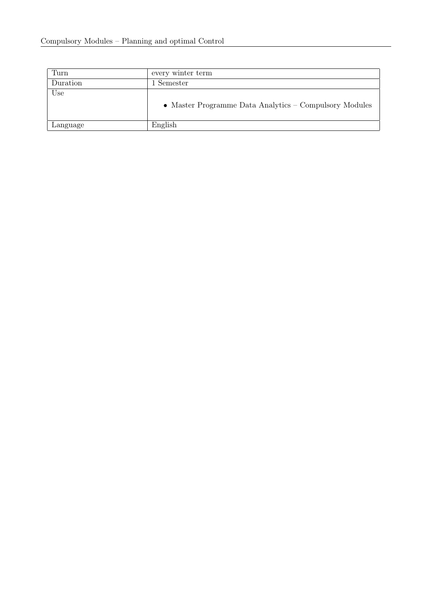| Turn     | every winter term                                      |  |
|----------|--------------------------------------------------------|--|
| Duration | 1 Semester                                             |  |
| Use      | • Master Programme Data Analytics – Compulsory Modules |  |
| Language | English                                                |  |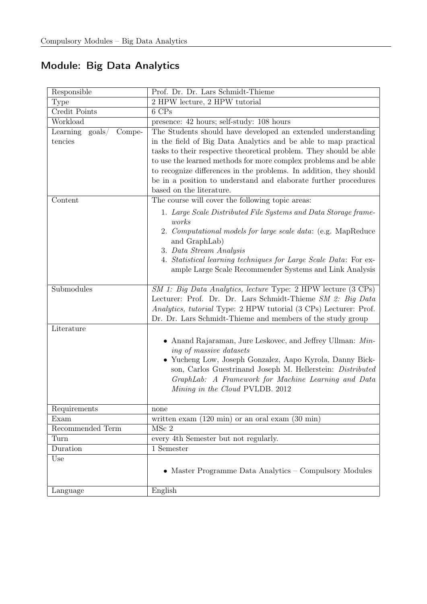<span id="page-12-0"></span>

|  |  |  | <b>Module: Big Data Analytics</b> |
|--|--|--|-----------------------------------|
|--|--|--|-----------------------------------|

| Responsible                 | Prof. Dr. Dr. Lars Schmidt-Thieme                                        |  |
|-----------------------------|--------------------------------------------------------------------------|--|
| <b>Type</b>                 | 2 HPW lecture, 2 HPW tutorial                                            |  |
| Credit Points               | 6 CPs                                                                    |  |
| Workload                    | presence: 42 hours; self-study: 108 hours                                |  |
| Compe-<br>Learning $\gamma$ | The Students should have developed an extended understanding             |  |
| tencies                     | in the field of Big Data Analytics and be able to map practical          |  |
|                             | tasks to their respective theoretical problem. They should be able       |  |
|                             | to use the learned methods for more complex problems and be able         |  |
|                             | to recognize differences in the problems. In addition, they should       |  |
|                             | be in a position to understand and elaborate further procedures          |  |
|                             | based on the literature.                                                 |  |
| Content                     | The course will cover the following topic areas:                         |  |
|                             | 1. Large Scale Distributed File Systems and Data Storage frame-<br>works |  |
|                             | 2. Computational models for large scale data: (e.g. MapReduce            |  |
|                             | and GraphLab)                                                            |  |
|                             | 3. Data Stream Analysis                                                  |  |
|                             | 4. Statistical learning techniques for Large Scale Data: For ex-         |  |
|                             | ample Large Scale Recommender Systems and Link Analysis                  |  |
|                             |                                                                          |  |
| Submodules                  | SM 1: Big Data Analytics, lecture Type: 2 HPW lecture (3 CPs)            |  |
|                             | Lecturer: Prof. Dr. Dr. Lars Schmidt-Thieme SM 2: Big Data               |  |
|                             | Analytics, tutorial Type: 2 HPW tutorial (3 CPs) Lecturer: Prof.         |  |
|                             | Dr. Dr. Lars Schmidt-Thieme and members of the study group               |  |
| Literature                  |                                                                          |  |
|                             | • Anand Rajaraman, Jure Leskovec, and Jeffrey Ullman: $Min$ -            |  |
|                             | ing of massive datasets                                                  |  |
|                             | • Yucheng Low, Joseph Gonzalez, Aapo Kyrola, Danny Bick-                 |  |
|                             | son, Carlos Guestrinand Joseph M. Hellerstein: Distributed               |  |
|                             | GraphLab: A Framework for Machine Learning and Data                      |  |
|                             | Mining in the Cloud PVLDB. 2012                                          |  |
| Requirements                | none                                                                     |  |
| Exam                        | written exam $(120 \text{ min})$ or an oral exam $(30 \text{ min})$      |  |
| Recommended Term            | $MSc$ 2                                                                  |  |
| Turn                        | every 4th Semester but not regularly.                                    |  |
| Duration                    | 1 Semester                                                               |  |
| Use                         |                                                                          |  |
|                             | • Master Programme Data Analytics – Compulsory Modules                   |  |
| Language                    | English                                                                  |  |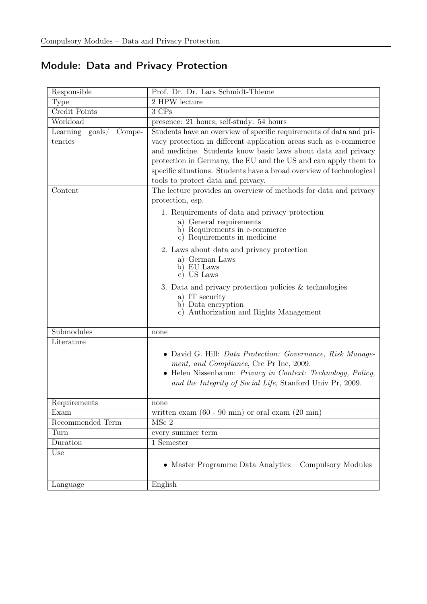## <span id="page-13-0"></span>Module: Data and Privacy Protection

| Responsible                        | Prof. Dr. Dr. Lars Schmidt-Thieme                                    |  |
|------------------------------------|----------------------------------------------------------------------|--|
| Type                               | 2 HPW lecture                                                        |  |
| <b>Credit Points</b>               | 3 CPs                                                                |  |
| Workload                           | presence: 21 hours; self-study: 54 hours                             |  |
| Learning $\text{goals}/$<br>Compe- | Students have an overview of specific requirements of data and pri-  |  |
| tencies                            | vacy protection in different application areas such as e-commerce    |  |
|                                    | and medicine. Students know basic laws about data and privacy        |  |
|                                    | protection in Germany, the EU and the US and can apply them to       |  |
|                                    | specific situations. Students have a broad overview of technological |  |
|                                    | tools to protect data and privacy.                                   |  |
| Content                            | The lecture provides an overview of methods for data and privacy     |  |
|                                    | protection, esp.                                                     |  |
|                                    | 1. Requirements of data and privacy protection                       |  |
|                                    | a) General requirements                                              |  |
|                                    | b) Requirements in e-commerce                                        |  |
|                                    | Requirements in medicine<br>$\rm _{c}$ )                             |  |
|                                    | 2. Laws about data and privacy protection                            |  |
|                                    | German Laws<br>a)                                                    |  |
|                                    | EU Laws<br>b)<br>US Laws<br>$\rm _{c}$ )                             |  |
|                                    |                                                                      |  |
|                                    | 3. Data and privacy protection policies $&$ technologies             |  |
|                                    | a) IT security<br>Data encryption<br>b)                              |  |
|                                    | Authorization and Rights Management<br>$\rm _{c}$ )                  |  |
|                                    |                                                                      |  |
| Submodules                         | none                                                                 |  |
| Literature                         |                                                                      |  |
|                                    | • David G. Hill: <i>Data Protection: Governance, Risk Manage-</i>    |  |
|                                    | ment, and Compliance, Crc Pr Inc, 2009.                              |  |
|                                    | • Helen Nissenbaum: Privacy in Context: Technology, Policy,          |  |
|                                    | and the Integrity of Social Life, Stanford Univ Pr, 2009.            |  |
|                                    |                                                                      |  |
| Requirements                       | none                                                                 |  |
| Exam                               | written exam $(60 - 90 \text{ min})$ or oral exam $(20 \text{ min})$ |  |
| Recommended Term                   | $MSc$ 2                                                              |  |
| Turn                               | every summer term                                                    |  |
| Duration                           | 1 Semester                                                           |  |
| Use                                |                                                                      |  |
|                                    | $\bullet\,$ Master Programme Data Analytics – Compulsory Modules     |  |
|                                    |                                                                      |  |
| Language                           | English                                                              |  |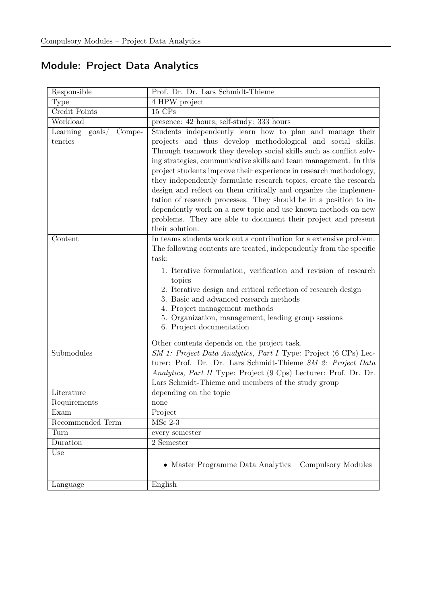## <span id="page-14-0"></span>Module: Project Data Analytics

| Responsible                           | Prof. Dr. Dr. Lars Schmidt-Thieme                                                |  |  |
|---------------------------------------|----------------------------------------------------------------------------------|--|--|
| Type                                  | 4 HPW project                                                                    |  |  |
| <b>Credit Points</b>                  | 15 CPs                                                                           |  |  |
| Workload                              | presence: 42 hours; self-study: 333 hours                                        |  |  |
| Learning<br>$\text{goals}/$<br>Compe- | Students independently learn how to plan and manage their                        |  |  |
| tencies                               | projects and thus develop methodological and social skills.                      |  |  |
|                                       | Through teamwork they develop social skills such as conflict solv-               |  |  |
|                                       | ing strategies, communicative skills and team management. In this                |  |  |
|                                       | project students improve their experience in research methodology,               |  |  |
|                                       | they independently formulate research topics, create the research                |  |  |
|                                       | design and reflect on them critically and organize the implemen-                 |  |  |
|                                       | tation of research processes. They should be in a position to in-                |  |  |
|                                       | dependently work on a new topic and use known methods on new                     |  |  |
|                                       | problems. They are able to document their project and present<br>their solution. |  |  |
| Content                               | In teams students work out a contribution for a extensive problem.               |  |  |
|                                       | The following contents are treated, independently from the specific              |  |  |
|                                       | task:                                                                            |  |  |
|                                       |                                                                                  |  |  |
|                                       | 1. Iterative formulation, verification and revision of research<br>topics        |  |  |
|                                       | 2. Iterative design and critical reflection of research design                   |  |  |
|                                       | 3. Basic and advanced research methods                                           |  |  |
|                                       | 4. Project management methods                                                    |  |  |
|                                       | 5. Organization, management, leading group sessions                              |  |  |
|                                       | 6. Project documentation                                                         |  |  |
|                                       | Other contents depends on the project task.                                      |  |  |
| Submodules                            | SM 1: Project Data Analytics, Part I Type: Project (6 CPs) Lec-                  |  |  |
|                                       | turer: Prof. Dr. Dr. Lars Schmidt-Thieme SM 2: Project Data                      |  |  |
|                                       | Analytics, Part II Type: Project (9 Cps) Lecturer: Prof. Dr. Dr.                 |  |  |
|                                       | Lars Schmidt-Thieme and members of the study group                               |  |  |
| Literature                            | depending on the topic                                                           |  |  |
| Requirements                          | none                                                                             |  |  |
| Exam                                  | Project                                                                          |  |  |
| Recommended Term                      | $\overline{\mathrm{MSC}2-3}$                                                     |  |  |
| Turn                                  | every semester                                                                   |  |  |
| Duration                              | 2 Semester                                                                       |  |  |
| Use                                   | • Master Programme Data Analytics – Compulsory Modules                           |  |  |
| Language                              | English                                                                          |  |  |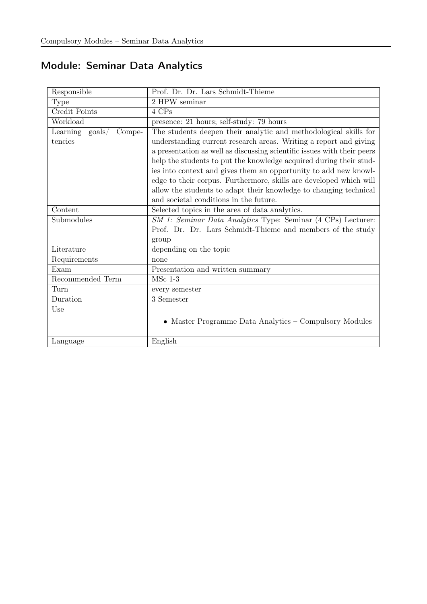## <span id="page-15-0"></span>Module: Seminar Data Analytics

| Prof. Dr. Dr. Lars Schmidt-Thieme                                       |  |
|-------------------------------------------------------------------------|--|
| 2 HPW seminar                                                           |  |
| 4 CPs                                                                   |  |
| presence: 21 hours; self-study: 79 hours                                |  |
| The students deepen their analytic and methodological skills for        |  |
| understanding current research areas. Writing a report and giving       |  |
| a presentation as well as discussing scientific issues with their peers |  |
| help the students to put the knowledge acquired during their stud-      |  |
| ies into context and gives them an opportunity to add new knowl-        |  |
| edge to their corpus. Furthermore, skills are developed which will      |  |
| allow the students to adapt their knowledge to changing technical       |  |
| and societal conditions in the future.                                  |  |
| Selected topics in the area of data analytics.                          |  |
| SM 1: Seminar Data Analytics Type: Seminar (4 CPs) Lecturer:            |  |
| Prof. Dr. Dr. Lars Schmidt-Thieme and members of the study              |  |
| group                                                                   |  |
| depending on the topic                                                  |  |
| none                                                                    |  |
| Presentation and written summary                                        |  |
| $MSc$ 1-3                                                               |  |
| every semester                                                          |  |
| 3 Semester                                                              |  |
|                                                                         |  |
| • Master Programme Data Analytics – Compulsory Modules                  |  |
|                                                                         |  |
|                                                                         |  |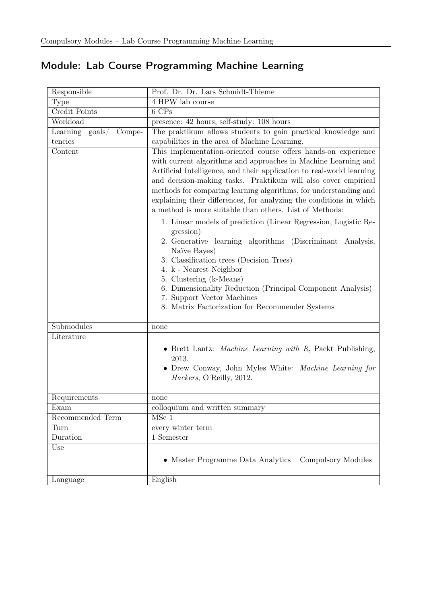## <span id="page-16-0"></span>Module: Lab Course Programming Machine Learning

| Responsible               | Prof. Dr. Dr. Lars Schmidt-Thieme                                                                                                                                                                                                                                                                                                                                                                                                                                                 |
|---------------------------|-----------------------------------------------------------------------------------------------------------------------------------------------------------------------------------------------------------------------------------------------------------------------------------------------------------------------------------------------------------------------------------------------------------------------------------------------------------------------------------|
| Type                      | 4 HPW lab course                                                                                                                                                                                                                                                                                                                                                                                                                                                                  |
| Credit Points             | 6 CPs                                                                                                                                                                                                                                                                                                                                                                                                                                                                             |
| Workload                  | presence: 42 hours; self-study: 108 hours                                                                                                                                                                                                                                                                                                                                                                                                                                         |
| Learning goals/<br>Compe- | The praktikum allows students to gain practical knowledge and                                                                                                                                                                                                                                                                                                                                                                                                                     |
| tencies                   | capabilities in the area of Machine Learning.                                                                                                                                                                                                                                                                                                                                                                                                                                     |
| Content                   | This implementation-oriented course offers hands-on experience<br>with current algorithms and approaches in Machine Learning and<br>Artificial Intelligence, and their application to real-world learning<br>and decision-making tasks. Praktikum will also cover empirical<br>methods for comparing learning algorithms, for understanding and<br>explaining their differences, for analyzing the conditions in which<br>a method is more suitable than others. List of Methods: |
|                           | 1. Linear models of prediction (Linear Regression, Logistic Re-<br>gression)<br>2. Generative learning algorithms (Discriminant Analysis,<br>Naïve Bayes)<br>3. Classification trees (Decision Trees)<br>4. k - Nearest Neighbor<br>5. Clustering (k-Means)<br>6. Dimensionality Reduction (Principal Component Analysis)<br>7. Support Vector Machines<br>8. Matrix Factorization for Recommender Systems                                                                        |
| Submodules                | none                                                                                                                                                                                                                                                                                                                                                                                                                                                                              |
| Literature                | • Brett Lantz: <i>Machine Learning with R</i> , Packt Publishing,<br>2013.<br>• Drew Conway, John Myles White: Machine Learning for<br>Hackers, O'Reilly, 2012.                                                                                                                                                                                                                                                                                                                   |
| Requirements              | none                                                                                                                                                                                                                                                                                                                                                                                                                                                                              |
| Exam                      | colloquium and written summary                                                                                                                                                                                                                                                                                                                                                                                                                                                    |
| Recommended Term          | MSc 1                                                                                                                                                                                                                                                                                                                                                                                                                                                                             |
| Turn                      | every winter term                                                                                                                                                                                                                                                                                                                                                                                                                                                                 |
| Duration                  | 1 Semester                                                                                                                                                                                                                                                                                                                                                                                                                                                                        |
| Use                       | • Master Programme Data Analytics – Compulsory Modules                                                                                                                                                                                                                                                                                                                                                                                                                            |
| Language                  | English                                                                                                                                                                                                                                                                                                                                                                                                                                                                           |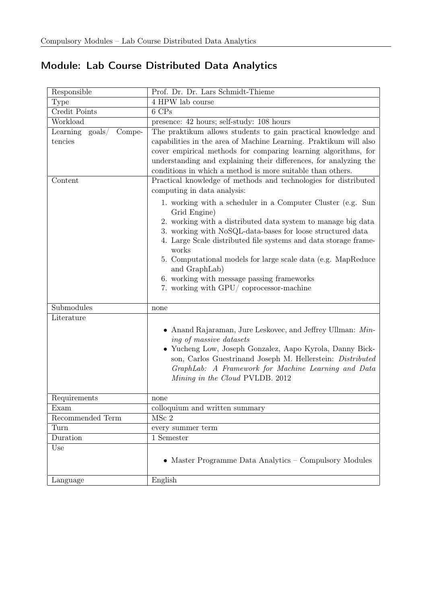## <span id="page-17-0"></span>Module: Lab Course Distributed Data Analytics

| Responsible                            | Prof. Dr. Dr. Lars Schmidt-Thieme                                                                                                                                                                         |
|----------------------------------------|-----------------------------------------------------------------------------------------------------------------------------------------------------------------------------------------------------------|
| <b>Type</b>                            | 4 HPW lab course                                                                                                                                                                                          |
| Credit Points                          | 6 CPs                                                                                                                                                                                                     |
| Workload                               | presence: 42 hours; self-study: 108 hours                                                                                                                                                                 |
| Learning<br>Compe-<br>$\text{goals} /$ | The praktikum allows students to gain practical knowledge and                                                                                                                                             |
| tencies                                | capabilities in the area of Machine Learning. Praktikum will also                                                                                                                                         |
|                                        | cover empirical methods for comparing learning algorithms, for                                                                                                                                            |
|                                        | understanding and explaining their differences, for analyzing the                                                                                                                                         |
|                                        | conditions in which a method is more suitable than others.                                                                                                                                                |
| Content                                | Practical knowledge of methods and technologies for distributed                                                                                                                                           |
|                                        | computing in data analysis:                                                                                                                                                                               |
|                                        | 1. working with a scheduler in a Computer Cluster (e.g. Sun<br>Grid Engine)<br>2. working with a distributed data system to manage big data<br>3. working with NoSQL-data-bases for loose structured data |
|                                        | 4. Large Scale distributed file systems and data storage frame-                                                                                                                                           |
|                                        | works                                                                                                                                                                                                     |
|                                        | 5. Computational models for large scale data (e.g. MapReduce)<br>and GraphLab)                                                                                                                            |
|                                        | 6. working with message passing frameworks                                                                                                                                                                |
|                                        | 7. working with GPU/ coprocessor-machine                                                                                                                                                                  |
|                                        |                                                                                                                                                                                                           |
| Submodules                             | none                                                                                                                                                                                                      |
| Literature                             |                                                                                                                                                                                                           |
|                                        | • Anand Rajaraman, Jure Leskovec, and Jeffrey Ullman: Min-<br>ing of massive datasets                                                                                                                     |
|                                        | • Yucheng Low, Joseph Gonzalez, Aapo Kyrola, Danny Bick-<br>son, Carlos Guestrinand Joseph M. Hellerstein: Distributed                                                                                    |
|                                        | GraphLab: A Framework for Machine Learning and Data                                                                                                                                                       |
|                                        | Mining in the Cloud PVLDB. 2012                                                                                                                                                                           |
|                                        |                                                                                                                                                                                                           |
| Requirements                           | none                                                                                                                                                                                                      |
| Exam                                   | colloquium and written summary<br>MSc <sub>2</sub>                                                                                                                                                        |
| Recommended Term                       |                                                                                                                                                                                                           |
| Turn                                   | every summer term                                                                                                                                                                                         |
| Duration                               | 1 Semester                                                                                                                                                                                                |
| Use                                    | • Master Programme Data Analytics – Compulsory Modules                                                                                                                                                    |
| Language                               | English                                                                                                                                                                                                   |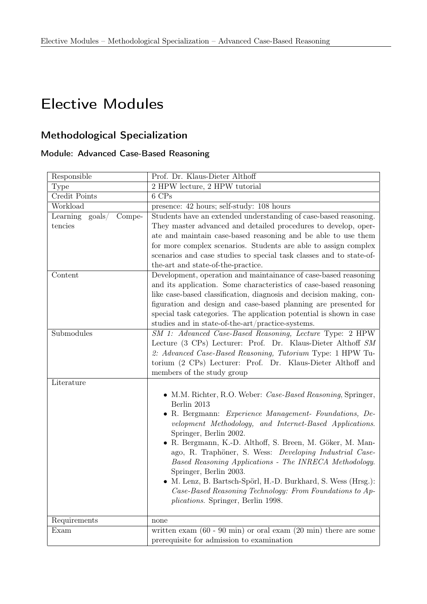# Elective Modules

### Methodological Specialization

#### <span id="page-18-0"></span>Module: Advanced Case-Based Reasoning

| Responsible                                      | Prof. Dr. Klaus-Dieter Althoff                                                                                                                                                                                                                                                                                                                                                                                                                                                                                                                                                                                          |
|--------------------------------------------------|-------------------------------------------------------------------------------------------------------------------------------------------------------------------------------------------------------------------------------------------------------------------------------------------------------------------------------------------------------------------------------------------------------------------------------------------------------------------------------------------------------------------------------------------------------------------------------------------------------------------------|
| Type                                             | 2 HPW lecture, 2 HPW tutorial                                                                                                                                                                                                                                                                                                                                                                                                                                                                                                                                                                                           |
| Credit Points                                    | 6 CPs                                                                                                                                                                                                                                                                                                                                                                                                                                                                                                                                                                                                                   |
| Workload                                         | presence: 42 hours; self-study: 108 hours                                                                                                                                                                                                                                                                                                                                                                                                                                                                                                                                                                               |
| Learning<br>$\text{goals}/$<br>Compe-<br>tencies | Students have an extended understanding of case-based reasoning.<br>They master advanced and detailed procedures to develop, oper-<br>ate and maintain case-based reasoning and be able to use them<br>for more complex scenarios. Students are able to assign complex<br>scenarios and case studies to special task classes and to state-of-<br>the-art and state-of-the-practice.                                                                                                                                                                                                                                     |
| Content                                          | Development, operation and maintainance of case-based reasoning<br>and its application. Some characteristics of case-based reasoning<br>like case-based classification, diagnosis and decision making, con-<br>figuration and design and case-based planning are presented for<br>special task categories. The application potential is shown in case<br>studies and in state-of-the-art/practice-systems.                                                                                                                                                                                                              |
| Submodules                                       | SM 1: Advanced Case-Based Reasoning, Lecture Type: 2 HPW<br>Lecture (3 CPs) Lecturer: Prof. Dr. Klaus-Dieter Althoff SM<br>2: Advanced Case-Based Reasoning, Tutorium Type: 1 HPW Tu-<br>torium (2 CPs) Lecturer: Prof. Dr. Klaus-Dieter Althoff and<br>members of the study group                                                                                                                                                                                                                                                                                                                                      |
| Literature                                       |                                                                                                                                                                                                                                                                                                                                                                                                                                                                                                                                                                                                                         |
|                                                  | • M.M. Richter, R.O. Weber: <i>Case-Based Reasoning</i> , Springer,<br>Berlin 2013<br>• R. Bergmann: Experience Management- Foundations, De-<br>velopment Methodology, and Internet-Based Applications.<br>Springer, Berlin 2002.<br>• R. Bergmann, K.-D. Althoff, S. Breen, M. Göker, M. Man-<br>ago, R. Traphöner, S. Wess: Developing Industrial Case-<br>Based Reasoning Applications - The INRECA Methodology.<br>Springer, Berlin 2003.<br>• M. Lenz, B. Bartsch-Spörl, H.-D. Burkhard, S. Wess (Hrsg.):<br>Case-Based Reasoning Technology: From Foundations to Ap-<br><i>plications.</i> Springer, Berlin 1998. |
| Requirements                                     | none                                                                                                                                                                                                                                                                                                                                                                                                                                                                                                                                                                                                                    |
| Exam                                             | written exam $(60 - 90 \text{ min})$ or oral exam $(20 \text{ min})$ there are some<br>prerequisite for admission to examination                                                                                                                                                                                                                                                                                                                                                                                                                                                                                        |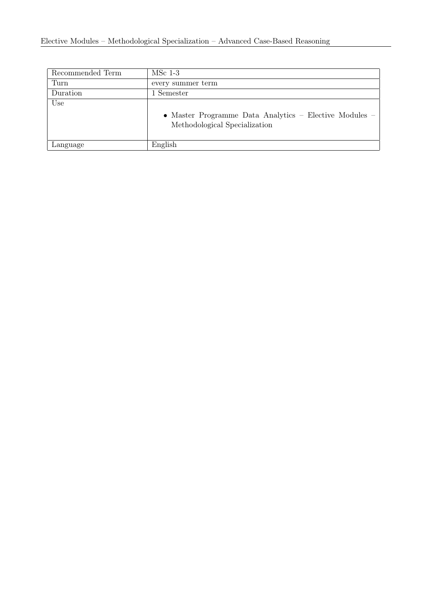| Recommended Term | $MSc$ 1-3                                                                               |
|------------------|-----------------------------------------------------------------------------------------|
| Turn             | every summer term                                                                       |
| Duration         | 1 Semester                                                                              |
| Use              | • Master Programme Data Analytics – Elective Modules –<br>Methodological Specialization |
| Language         | English                                                                                 |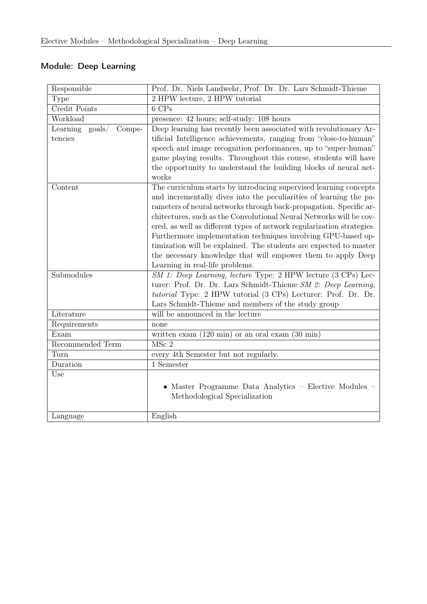### <span id="page-20-0"></span>Module: Deep Learning

| Responsible                           | Prof. Dr. Niels Landwehr, Prof. Dr. Dr. Lars Schmidt-Thieme            |
|---------------------------------------|------------------------------------------------------------------------|
| <b>Type</b>                           | 2 HPW lecture, 2 HPW tutorial                                          |
| Credit Points                         | $6$ CPs                                                                |
| Workload                              | presence: 42 hours; self-study: 108 hours                              |
| Learning<br>$\text{goals}/$<br>Compe- | Deep learning has recently been associated with revolutionary Ar-      |
| tencies                               | tificial Intelligence achievements, ranging from "close-to-human"      |
|                                       | speech and image recognition performances, up to "super-human"         |
|                                       | game playing results. Throughout this course, students will have       |
|                                       | the opportunity to understand the building blocks of neural net-       |
|                                       | works                                                                  |
| Content                               | The curriculum starts by introducing supervised learning concepts      |
|                                       | and incrementally dives into the peculiarities of learning the pa-     |
|                                       | rameters of neural networks through back-propagation. Specific ar-     |
|                                       | chitectures, such as the Convolutional Neural Networks will be cov-    |
|                                       | ered, as well as different types of network regularization strategies. |
|                                       | Furthermore implementation techniques involving GPU-based op-          |
|                                       | timization will be explained. The students are expected to master      |
|                                       | the necessary knowledge that will empower them to apply Deep           |
|                                       | Learning in real-life problems.                                        |
| Submodules                            | SM 1: Deep Learning, lecture Type: 2 HPW lecture (3 CPs) Lec-          |
|                                       | turer: Prof. Dr. Dr. Lars Schmidt-Thieme SM 2: Deep Learning,          |
|                                       | tutorial Type: 2 HPW tutorial (3 CPs) Lecturer: Prof. Dr. Dr.          |
|                                       | Lars Schmidt-Thieme and members of the study group                     |
| Literature                            | will be announced in the lecture                                       |
| Requirements                          | none                                                                   |
| Exam                                  | written exam $(120 \text{ min})$ or an oral exam $(30 \text{ min})$    |
| Recommended Term                      | $MSc$ 2                                                                |
| Turn                                  | every 4th Semester but not regularly.                                  |
| Duration                              | 1 Semester                                                             |
| Use                                   |                                                                        |
|                                       | • Master Programme Data Analytics - Elective Modules -                 |
|                                       | Methodological Specialization                                          |
|                                       |                                                                        |
| Language                              | English                                                                |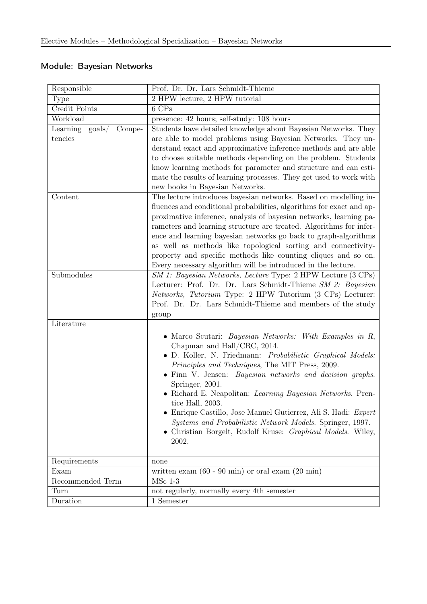### <span id="page-21-0"></span>Module: Bayesian Networks

| Responsible                                                 | Prof. Dr. Dr. Lars Schmidt-Thieme                                                                                                                                                                                                                                                                                                                                                                                                                                                                                                                                                                                                                                                                                                                                                                                                                                          |
|-------------------------------------------------------------|----------------------------------------------------------------------------------------------------------------------------------------------------------------------------------------------------------------------------------------------------------------------------------------------------------------------------------------------------------------------------------------------------------------------------------------------------------------------------------------------------------------------------------------------------------------------------------------------------------------------------------------------------------------------------------------------------------------------------------------------------------------------------------------------------------------------------------------------------------------------------|
| Type                                                        | 2 HPW lecture, 2 HPW tutorial                                                                                                                                                                                                                                                                                                                                                                                                                                                                                                                                                                                                                                                                                                                                                                                                                                              |
| Credit Points                                               | 6 CPs                                                                                                                                                                                                                                                                                                                                                                                                                                                                                                                                                                                                                                                                                                                                                                                                                                                                      |
| Workload                                                    | presence: 42 hours; self-study: 108 hours                                                                                                                                                                                                                                                                                                                                                                                                                                                                                                                                                                                                                                                                                                                                                                                                                                  |
| $\text{goals}/$<br>Compe-<br>Learning<br>tencies<br>Content | Students have detailed knowledge about Bayesian Networks. They<br>are able to model problems using Bayesian Networks. They un-<br>derstand exact and approximative inference methods and are able<br>to choose suitable methods depending on the problem. Students<br>know learning methods for parameter and structure and can esti-<br>mate the results of learning processes. They get used to work with<br>new books in Bayesian Networks.<br>The lecture introduces bayesian networks. Based on modelling in-<br>fluences and conditional probabilities, algorithms for exact and ap-<br>proximative inference, analysis of bayesian networks, learning pa-<br>rameters and learning structure are treated. Algorithms for infer-<br>ence and learning bayesian networks go back to graph-algorithms<br>as well as methods like topological sorting and connectivity- |
|                                                             | property and specific methods like counting cliques and so on.<br>Every necessary algorithm will be introduced in the lecture.                                                                                                                                                                                                                                                                                                                                                                                                                                                                                                                                                                                                                                                                                                                                             |
| Submodules                                                  | SM 1: Bayesian Networks, Lecture Type: 2 HPW Lecture (3 CPs)<br>Lecturer: Prof. Dr. Dr. Lars Schmidt-Thieme SM 2: Bayesian<br><i>Networks, Tutorium</i> Type: 2 HPW Tutorium (3 CPs) Lecturer:<br>Prof. Dr. Dr. Lars Schmidt-Thieme and members of the study<br>group                                                                                                                                                                                                                                                                                                                                                                                                                                                                                                                                                                                                      |
| Literature                                                  |                                                                                                                                                                                                                                                                                                                                                                                                                                                                                                                                                                                                                                                                                                                                                                                                                                                                            |
|                                                             | • Marco Scutari: <i>Bayesian Networks: With Examples in R</i> ,<br>Chapman and Hall/CRC, 2014.<br>· D. Koller, N. Friedmann: Probabilistic Graphical Models:<br>Principles and Techniques, The MIT Press, 2009.<br>• Finn V. Jensen: <i>Bayesian networks and decision graphs</i> .<br>Springer, 2001.<br>• Richard E. Neapolitan: Learning Bayesian Networks. Pren-<br>tice Hall, 2003.<br>• Enrique Castillo, Jose Manuel Gutierrez, Ali S. Hadi: $Expert$<br>Systems and Probabilistic Network Models. Springer, 1997.<br>• Christian Borgelt, Rudolf Kruse: <i>Graphical Models</i> . Wiley,<br>2002.                                                                                                                                                                                                                                                                  |
| Requirements                                                | none                                                                                                                                                                                                                                                                                                                                                                                                                                                                                                                                                                                                                                                                                                                                                                                                                                                                       |
| Exam                                                        | written exam $(60 - 90 \text{ min})$ or oral exam $(20 \text{ min})$                                                                                                                                                                                                                                                                                                                                                                                                                                                                                                                                                                                                                                                                                                                                                                                                       |
| Recommended Term                                            | $MSc$ 1-3                                                                                                                                                                                                                                                                                                                                                                                                                                                                                                                                                                                                                                                                                                                                                                                                                                                                  |
| Turn                                                        | not regularly, normally every 4th semester                                                                                                                                                                                                                                                                                                                                                                                                                                                                                                                                                                                                                                                                                                                                                                                                                                 |
| Duration                                                    | 1 Semester                                                                                                                                                                                                                                                                                                                                                                                                                                                                                                                                                                                                                                                                                                                                                                                                                                                                 |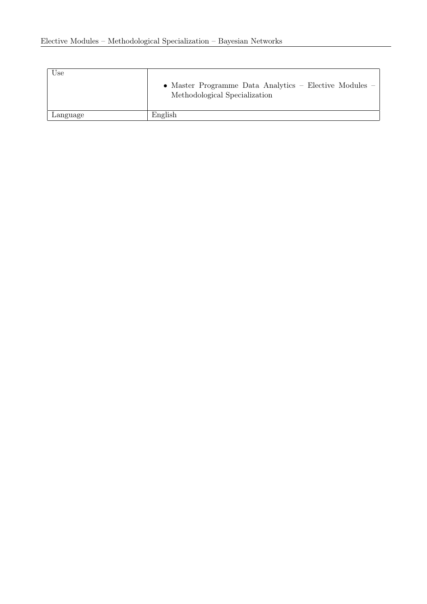| Use      | • Master Programme Data Analytics - Elective Modules -<br>Methodological Specialization |
|----------|-----------------------------------------------------------------------------------------|
| Language | English                                                                                 |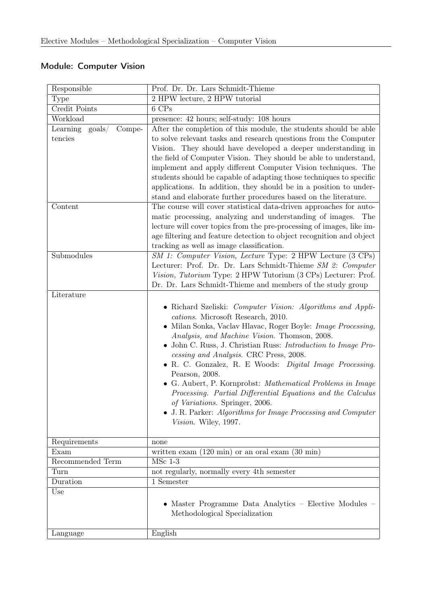### <span id="page-23-0"></span>Module: Computer Vision

| Responsible                            | Prof. Dr. Dr. Lars Schmidt-Thieme                                                                                  |
|----------------------------------------|--------------------------------------------------------------------------------------------------------------------|
| Type                                   | 2 HPW lecture, 2 HPW tutorial                                                                                      |
| Credit Points                          | 6 CPs                                                                                                              |
| Workload                               | presence: 42 hours; self-study: 108 hours                                                                          |
| Compe-<br>Learning<br>$\text{goals} /$ | After the completion of this module, the students should be able                                                   |
| tencies                                | to solve relevant tasks and research questions from the Computer                                                   |
|                                        | Vision. They should have developed a deeper understanding in                                                       |
|                                        | the field of Computer Vision. They should be able to understand,                                                   |
|                                        | implement and apply different Computer Vision techniques. The                                                      |
|                                        | students should be capable of adapting those techniques to specific                                                |
|                                        | applications. In addition, they should be in a position to under-                                                  |
|                                        | stand and elaborate further procedures based on the literature.                                                    |
| Content                                | The course will cover statistical data-driven approaches for auto-                                                 |
|                                        | matic processing, analyzing and understanding of images. The                                                       |
|                                        | lecture will cover topics from the pre-processing of images, like im-                                              |
|                                        | age filtering and feature detection to object recognition and object                                               |
|                                        | tracking as well as image classification.                                                                          |
| Submodules                             | SM 1: Computer Vision, Lecture Type: 2 HPW Lecture (3 CPs)                                                         |
|                                        | Lecturer: Prof. Dr. Dr. Lars Schmidt-Thieme SM 2: Computer                                                         |
|                                        | Vision, Tutorium Type: 2 HPW Tutorium (3 CPs) Lecturer: Prof.                                                      |
|                                        | Dr. Dr. Lars Schmidt-Thieme and members of the study group                                                         |
| Literature                             |                                                                                                                    |
|                                        | • Richard Szeliski: Computer Vision: Algorithms and Appli-                                                         |
|                                        | cations. Microsoft Research, 2010.                                                                                 |
|                                        | • Milan Sonka, Vaclav Hlavac, Roger Boyle: Image Processing,                                                       |
|                                        | Analysis, and Machine Vision. Thomson, 2008.<br>John C. Russ, J. Christian Russ: <i>Introduction to Image Pro-</i> |
|                                        | cessing and Analysis. CRC Press, 2008.                                                                             |
|                                        | • R. C. Gonzalez, R. E Woods: Digital Image Processing.                                                            |
|                                        | Pearson, 2008.                                                                                                     |
|                                        | • G. Aubert, P. Kornprobst: Mathematical Problems in Image                                                         |
|                                        | Processing. Partial Differential Equations and the Calculus                                                        |
|                                        | of Variations. Springer, 2006.                                                                                     |
|                                        | • J. R. Parker: Algorithms for Image Processing and Computer                                                       |
|                                        | Vision. Wiley, 1997.                                                                                               |
|                                        |                                                                                                                    |
| Requirements                           | none                                                                                                               |
| Exam                                   | written exam $(120 \text{ min})$ or an oral exam $(30 \text{ min})$                                                |
| Recommended Term                       | $MSc$ 1-3                                                                                                          |
| Turn                                   | not regularly, normally every 4th semester                                                                         |
| Duration                               | 1 Semester                                                                                                         |
| Use                                    |                                                                                                                    |
|                                        | • Master Programme Data Analytics - Elective Modules -                                                             |
|                                        | Methodological Specialization                                                                                      |
|                                        |                                                                                                                    |
| Language                               | English                                                                                                            |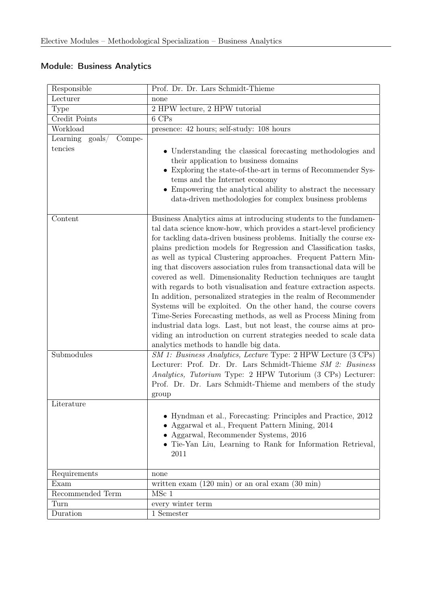### <span id="page-24-0"></span>Module: Business Analytics

| Responsible                                       | Prof. Dr. Dr. Lars Schmidt-Thieme                                                                                                                                                                                                                                                                                                                                                                                                                                                                                                                                                                                                                                                                                                                                                                                                                                                                                                                                      |
|---------------------------------------------------|------------------------------------------------------------------------------------------------------------------------------------------------------------------------------------------------------------------------------------------------------------------------------------------------------------------------------------------------------------------------------------------------------------------------------------------------------------------------------------------------------------------------------------------------------------------------------------------------------------------------------------------------------------------------------------------------------------------------------------------------------------------------------------------------------------------------------------------------------------------------------------------------------------------------------------------------------------------------|
| Lecturer                                          | none                                                                                                                                                                                                                                                                                                                                                                                                                                                                                                                                                                                                                                                                                                                                                                                                                                                                                                                                                                   |
| Type                                              | 2 HPW lecture, 2 HPW tutorial                                                                                                                                                                                                                                                                                                                                                                                                                                                                                                                                                                                                                                                                                                                                                                                                                                                                                                                                          |
| Credit Points                                     | 6 CPs                                                                                                                                                                                                                                                                                                                                                                                                                                                                                                                                                                                                                                                                                                                                                                                                                                                                                                                                                                  |
| Workload                                          | presence: 42 hours; self-study: 108 hours                                                                                                                                                                                                                                                                                                                                                                                                                                                                                                                                                                                                                                                                                                                                                                                                                                                                                                                              |
| Learning<br>$\text{goals} /$<br>Compe-<br>tencies | • Understanding the classical forecasting methodologies and<br>their application to business domains<br>• Exploring the state-of-the-art in terms of Recommender Sys-<br>tems and the Internet economy<br>• Empowering the analytical ability to abstract the necessary<br>data-driven methodologies for complex business problems                                                                                                                                                                                                                                                                                                                                                                                                                                                                                                                                                                                                                                     |
| Content                                           | Business Analytics aims at introducing students to the fundamen-<br>tal data science know-how, which provides a start-level proficiency<br>for tackling data-driven business problems. Initially the course ex-<br>plains prediction models for Regression and Classification tasks,<br>as well as typical Clustering approaches. Frequent Pattern Min-<br>ing that discovers association rules from transactional data will be<br>covered as well. Dimensionality Reduction techniques are taught<br>with regards to both visualisation and feature extraction aspects.<br>In addition, personalized strategies in the realm of Recommender<br>Systems will be exploited. On the other hand, the course covers<br>Time-Series Forecasting methods, as well as Process Mining from<br>industrial data logs. Last, but not least, the course aims at pro-<br>viding an introduction on current strategies needed to scale data<br>analytics methods to handle big data. |
| Submodules                                        | SM 1: Business Analytics, Lecture Type: 2 HPW Lecture (3 CPs)<br>Lecturer: Prof. Dr. Dr. Lars Schmidt-Thieme SM 2: Business<br>Analytics, Tutorium Type: 2 HPW Tutorium (3 CPs) Lecturer:<br>Prof. Dr. Dr. Lars Schmidt-Thieme and members of the study<br>group                                                                                                                                                                                                                                                                                                                                                                                                                                                                                                                                                                                                                                                                                                       |
| Literature                                        |                                                                                                                                                                                                                                                                                                                                                                                                                                                                                                                                                                                                                                                                                                                                                                                                                                                                                                                                                                        |
|                                                   | • Hyndman et al., Forecasting: Principles and Practice, 2012<br>• Aggarwal et al., Frequent Pattern Mining, 2014<br>• Aggarwal, Recommender Systems, 2016<br>• Tie-Yan Liu, Learning to Rank for Information Retrieval,<br>2011                                                                                                                                                                                                                                                                                                                                                                                                                                                                                                                                                                                                                                                                                                                                        |
| Requirements                                      | none                                                                                                                                                                                                                                                                                                                                                                                                                                                                                                                                                                                                                                                                                                                                                                                                                                                                                                                                                                   |
| Exam                                              | written exam $(120 \text{ min})$ or an oral exam $(30 \text{ min})$                                                                                                                                                                                                                                                                                                                                                                                                                                                                                                                                                                                                                                                                                                                                                                                                                                                                                                    |
| Recommended Term                                  | MSc 1                                                                                                                                                                                                                                                                                                                                                                                                                                                                                                                                                                                                                                                                                                                                                                                                                                                                                                                                                                  |
| Turn                                              | every winter term                                                                                                                                                                                                                                                                                                                                                                                                                                                                                                                                                                                                                                                                                                                                                                                                                                                                                                                                                      |
| Duration                                          | 1 Semester                                                                                                                                                                                                                                                                                                                                                                                                                                                                                                                                                                                                                                                                                                                                                                                                                                                                                                                                                             |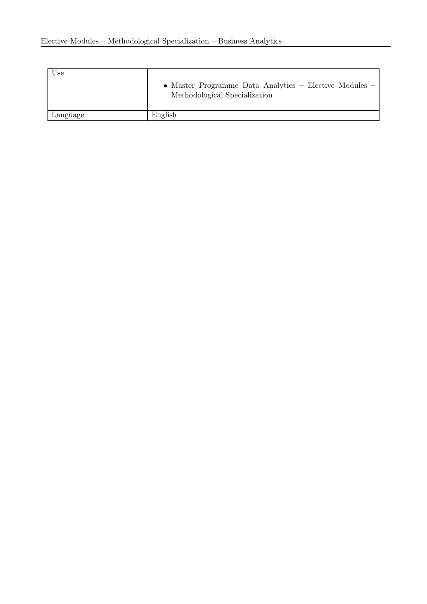| Use      | • Master Programme Data Analytics – Elective Modules –<br>Methodological Specialization |
|----------|-----------------------------------------------------------------------------------------|
| Language | English                                                                                 |
|          |                                                                                         |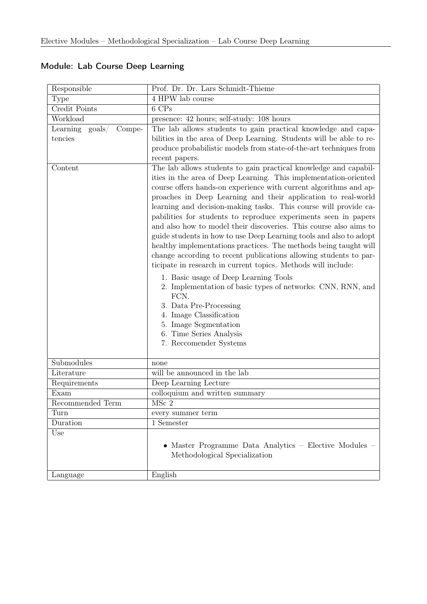| Responsible                            | Prof. Dr. Dr. Lars Schmidt-Thieme                                                                                                                                                                                                                                                                                                                                                                                                                                                                                                                                                                                                                                                                                                                                                                                                                                                                                |
|----------------------------------------|------------------------------------------------------------------------------------------------------------------------------------------------------------------------------------------------------------------------------------------------------------------------------------------------------------------------------------------------------------------------------------------------------------------------------------------------------------------------------------------------------------------------------------------------------------------------------------------------------------------------------------------------------------------------------------------------------------------------------------------------------------------------------------------------------------------------------------------------------------------------------------------------------------------|
| Type                                   | 4 HPW lab course                                                                                                                                                                                                                                                                                                                                                                                                                                                                                                                                                                                                                                                                                                                                                                                                                                                                                                 |
| Credit Points                          | 6 CPs                                                                                                                                                                                                                                                                                                                                                                                                                                                                                                                                                                                                                                                                                                                                                                                                                                                                                                            |
| Workload                               | presence: 42 hours; self-study: 108 hours                                                                                                                                                                                                                                                                                                                                                                                                                                                                                                                                                                                                                                                                                                                                                                                                                                                                        |
| Compe-<br>Learning<br>$\text{goals} /$ | The lab allows students to gain practical knowledge and capa-                                                                                                                                                                                                                                                                                                                                                                                                                                                                                                                                                                                                                                                                                                                                                                                                                                                    |
| tencies                                | bilities in the area of Deep Learning. Students will be able to re-                                                                                                                                                                                                                                                                                                                                                                                                                                                                                                                                                                                                                                                                                                                                                                                                                                              |
|                                        | produce probabilistic models from state-of-the-art techniques from                                                                                                                                                                                                                                                                                                                                                                                                                                                                                                                                                                                                                                                                                                                                                                                                                                               |
|                                        | recent papers.                                                                                                                                                                                                                                                                                                                                                                                                                                                                                                                                                                                                                                                                                                                                                                                                                                                                                                   |
| Content                                | The lab allows students to gain practical knowledge and capabil-<br>ities in the area of Deep Learning. This implementation-oriented<br>course offers hands-on experience with current algorithms and ap-<br>proaches in Deep Learning and their application to real-world<br>learning and decision-making tasks. This course will provide ca-<br>pabilities for students to reproduce experiments seen in papers<br>and also how to model their discoveries. This course also aims to<br>guide students in how to use Deep Learning tools and also to adopt<br>healthy implementations practices. The methods being taught will<br>change according to recent publications allowing students to par-<br>ticipate in research in current topics. Methods will include:<br>1. Basic usage of Deep Learning Tools<br>2. Implementation of basic types of networks: CNN, RNN, and<br>FCN.<br>3. Data Pre-Processing |
|                                        | 4. Image Classification                                                                                                                                                                                                                                                                                                                                                                                                                                                                                                                                                                                                                                                                                                                                                                                                                                                                                          |
|                                        | 5. Image Segmentation<br>6. Time Series Analysis                                                                                                                                                                                                                                                                                                                                                                                                                                                                                                                                                                                                                                                                                                                                                                                                                                                                 |
|                                        | 7. Reccomender Systems                                                                                                                                                                                                                                                                                                                                                                                                                                                                                                                                                                                                                                                                                                                                                                                                                                                                                           |
|                                        |                                                                                                                                                                                                                                                                                                                                                                                                                                                                                                                                                                                                                                                                                                                                                                                                                                                                                                                  |
| Submodules                             | none                                                                                                                                                                                                                                                                                                                                                                                                                                                                                                                                                                                                                                                                                                                                                                                                                                                                                                             |
| Literature                             | will be announced in the lab                                                                                                                                                                                                                                                                                                                                                                                                                                                                                                                                                                                                                                                                                                                                                                                                                                                                                     |
| Requirements                           | Deep Learning Lecture                                                                                                                                                                                                                                                                                                                                                                                                                                                                                                                                                                                                                                                                                                                                                                                                                                                                                            |
| Exam                                   | colloquium and written summary                                                                                                                                                                                                                                                                                                                                                                                                                                                                                                                                                                                                                                                                                                                                                                                                                                                                                   |
| Recommended Term                       | MSc 2                                                                                                                                                                                                                                                                                                                                                                                                                                                                                                                                                                                                                                                                                                                                                                                                                                                                                                            |
| Turn                                   | every summer term                                                                                                                                                                                                                                                                                                                                                                                                                                                                                                                                                                                                                                                                                                                                                                                                                                                                                                |
| Duration                               | $\overline{1}$ Semester                                                                                                                                                                                                                                                                                                                                                                                                                                                                                                                                                                                                                                                                                                                                                                                                                                                                                          |
| Use                                    | • Master Programme Data Analytics - Elective Modules -<br>Methodological Specialization                                                                                                                                                                                                                                                                                                                                                                                                                                                                                                                                                                                                                                                                                                                                                                                                                          |
| Language                               | English                                                                                                                                                                                                                                                                                                                                                                                                                                                                                                                                                                                                                                                                                                                                                                                                                                                                                                          |

### <span id="page-26-0"></span>Module: Lab Course Deep Learning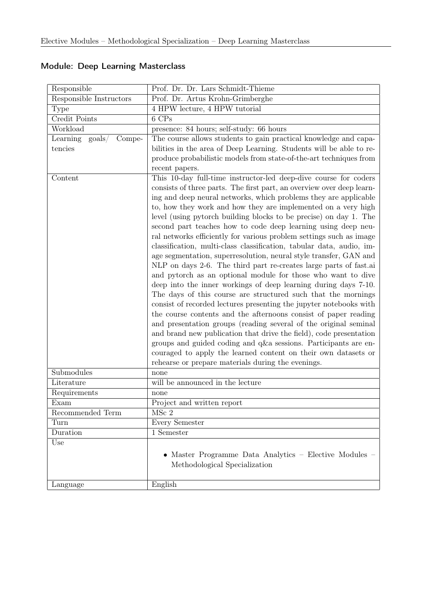| Responsible                            | Prof. Dr. Dr. Lars Schmidt-Thieme                                                                                                                                                                                                                                                                                                                                                                                                                                                                                                                                                                                                                                                                                                                                                                                                                                                                                                                                                                                                                                                                                                                                                                    |
|----------------------------------------|------------------------------------------------------------------------------------------------------------------------------------------------------------------------------------------------------------------------------------------------------------------------------------------------------------------------------------------------------------------------------------------------------------------------------------------------------------------------------------------------------------------------------------------------------------------------------------------------------------------------------------------------------------------------------------------------------------------------------------------------------------------------------------------------------------------------------------------------------------------------------------------------------------------------------------------------------------------------------------------------------------------------------------------------------------------------------------------------------------------------------------------------------------------------------------------------------|
| Responsible Instructors                | Prof. Dr. Artus Krohn-Grimberghe                                                                                                                                                                                                                                                                                                                                                                                                                                                                                                                                                                                                                                                                                                                                                                                                                                                                                                                                                                                                                                                                                                                                                                     |
| Type                                   | 4 HPW lecture, 4 HPW tutorial                                                                                                                                                                                                                                                                                                                                                                                                                                                                                                                                                                                                                                                                                                                                                                                                                                                                                                                                                                                                                                                                                                                                                                        |
| Credit Points                          | 6 CPs                                                                                                                                                                                                                                                                                                                                                                                                                                                                                                                                                                                                                                                                                                                                                                                                                                                                                                                                                                                                                                                                                                                                                                                                |
| Workload                               | presence: 84 hours; self-study: 66 hours                                                                                                                                                                                                                                                                                                                                                                                                                                                                                                                                                                                                                                                                                                                                                                                                                                                                                                                                                                                                                                                                                                                                                             |
| $\text{goals} /$<br>Learning<br>Compe- | The course allows students to gain practical knowledge and capa-                                                                                                                                                                                                                                                                                                                                                                                                                                                                                                                                                                                                                                                                                                                                                                                                                                                                                                                                                                                                                                                                                                                                     |
| tencies                                | bilities in the area of Deep Learning. Students will be able to re-                                                                                                                                                                                                                                                                                                                                                                                                                                                                                                                                                                                                                                                                                                                                                                                                                                                                                                                                                                                                                                                                                                                                  |
|                                        | produce probabilistic models from state-of-the-art techniques from                                                                                                                                                                                                                                                                                                                                                                                                                                                                                                                                                                                                                                                                                                                                                                                                                                                                                                                                                                                                                                                                                                                                   |
|                                        | recent papers.                                                                                                                                                                                                                                                                                                                                                                                                                                                                                                                                                                                                                                                                                                                                                                                                                                                                                                                                                                                                                                                                                                                                                                                       |
| Content                                | This 10-day full-time instructor-led deep-dive course for coders<br>consists of three parts. The first part, an overview over deep learn-<br>ing and deep neural networks, which problems they are applicable<br>to, how they work and how they are implemented on a very high<br>level (using pytorch building blocks to be precise) on day 1. The<br>second part teaches how to code deep learning using deep neu-<br>ral networks efficiently for various problem settings such as image<br>classification, multi-class classification, tabular data, audio, im-<br>age segmentation, superresolution, neural style transfer, GAN and<br>NLP on days 2-6. The third part re-creates large parts of fast.ai<br>and pytorch as an optional module for those who want to dive<br>deep into the inner workings of deep learning during days 7-10.<br>The days of this course are structured such that the mornings<br>consist of recorded lectures presenting the jupyter notebooks with<br>the course contents and the afternoons consist of paper reading<br>and presentation groups (reading several of the original seminal<br>and brand new publication that drive the field), code presentation |
|                                        | groups and guided coding and q&a sessions. Participants are en-                                                                                                                                                                                                                                                                                                                                                                                                                                                                                                                                                                                                                                                                                                                                                                                                                                                                                                                                                                                                                                                                                                                                      |
|                                        | couraged to apply the learned content on their own datasets or<br>rehearse or prepare materials during the evenings.                                                                                                                                                                                                                                                                                                                                                                                                                                                                                                                                                                                                                                                                                                                                                                                                                                                                                                                                                                                                                                                                                 |
| Submodules                             | none                                                                                                                                                                                                                                                                                                                                                                                                                                                                                                                                                                                                                                                                                                                                                                                                                                                                                                                                                                                                                                                                                                                                                                                                 |
| Literature                             | will be announced in the lecture                                                                                                                                                                                                                                                                                                                                                                                                                                                                                                                                                                                                                                                                                                                                                                                                                                                                                                                                                                                                                                                                                                                                                                     |
| Requirements                           | none                                                                                                                                                                                                                                                                                                                                                                                                                                                                                                                                                                                                                                                                                                                                                                                                                                                                                                                                                                                                                                                                                                                                                                                                 |
| Exam                                   | Project and written report                                                                                                                                                                                                                                                                                                                                                                                                                                                                                                                                                                                                                                                                                                                                                                                                                                                                                                                                                                                                                                                                                                                                                                           |
| Recommended Term                       | MSc 2                                                                                                                                                                                                                                                                                                                                                                                                                                                                                                                                                                                                                                                                                                                                                                                                                                                                                                                                                                                                                                                                                                                                                                                                |
| Turn                                   | Every Semester                                                                                                                                                                                                                                                                                                                                                                                                                                                                                                                                                                                                                                                                                                                                                                                                                                                                                                                                                                                                                                                                                                                                                                                       |
| Duration                               | 1 Semester                                                                                                                                                                                                                                                                                                                                                                                                                                                                                                                                                                                                                                                                                                                                                                                                                                                                                                                                                                                                                                                                                                                                                                                           |
| Use                                    | • Master Programme Data Analytics – Elective Modules –<br>Methodological Specialization                                                                                                                                                                                                                                                                                                                                                                                                                                                                                                                                                                                                                                                                                                                                                                                                                                                                                                                                                                                                                                                                                                              |
| Language                               | English                                                                                                                                                                                                                                                                                                                                                                                                                                                                                                                                                                                                                                                                                                                                                                                                                                                                                                                                                                                                                                                                                                                                                                                              |

### <span id="page-27-0"></span>Module: Deep Learning Masterclass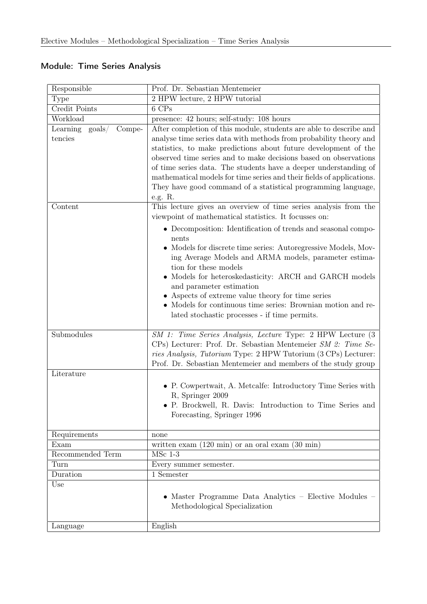| Responsible                                      | Prof. Dr. Sebastian Mentemeier                                                                                                                                                                                                                                                                                                                                                                                                                                                                 |
|--------------------------------------------------|------------------------------------------------------------------------------------------------------------------------------------------------------------------------------------------------------------------------------------------------------------------------------------------------------------------------------------------------------------------------------------------------------------------------------------------------------------------------------------------------|
| <b>Type</b>                                      | 2 HPW lecture, 2 HPW tutorial                                                                                                                                                                                                                                                                                                                                                                                                                                                                  |
| Credit Points                                    | 6 CPs                                                                                                                                                                                                                                                                                                                                                                                                                                                                                          |
| Workload                                         | presence: 42 hours; self-study: 108 hours                                                                                                                                                                                                                                                                                                                                                                                                                                                      |
| Learning<br>$\text{goals}/$<br>Compe-<br>tencies | After completion of this module, students are able to describe and<br>analyse time series data with methods from probability theory and<br>statistics, to make predictions about future development of the<br>observed time series and to make decisions based on observations<br>of time series data. The students have a deeper understanding of                                                                                                                                             |
|                                                  | mathematical models for time series and their fields of applications.<br>They have good command of a statistical programming language,<br>e.g. R.                                                                                                                                                                                                                                                                                                                                              |
| Content                                          | This lecture gives an overview of time series analysis from the<br>viewpoint of mathematical statistics. It focusses on:                                                                                                                                                                                                                                                                                                                                                                       |
|                                                  | • Decomposition: Identification of trends and seasonal compo-<br>nents<br>• Models for discrete time series: Autoregressive Models, Mov-<br>ing Average Models and ARMA models, parameter estima-<br>tion for these models<br>$\bullet$ Models for heteroskedasticity: ARCH and GARCH models<br>and parameter estimation<br>• Aspects of extreme value theory for time series<br>• Models for continuous time series: Brownian motion and re-<br>lated stochastic processes - if time permits. |
| Submodules                                       | SM 1: Time Series Analysis, Lecture Type: 2 HPW Lecture (3<br>CPs) Lecturer: Prof. Dr. Sebastian Mentemeier SM 2: Time Se-<br>ries Analysis, Tutorium Type: 2 HPW Tutorium (3 CPs) Lecturer:<br>Prof. Dr. Sebastian Mentemeier and members of the study group                                                                                                                                                                                                                                  |
| Literature                                       |                                                                                                                                                                                                                                                                                                                                                                                                                                                                                                |
|                                                  | • P. Cowpertwait, A. Metcalfe: Introductory Time Series with<br>R, Springer 2009<br>• P. Brockwell, R. Davis: Introduction to Time Series and<br>Forecasting, Springer 1996                                                                                                                                                                                                                                                                                                                    |
| Requirements                                     | none                                                                                                                                                                                                                                                                                                                                                                                                                                                                                           |
| Exam                                             | written exam $(120 \text{ min})$ or an oral exam $(30 \text{ min})$                                                                                                                                                                                                                                                                                                                                                                                                                            |
| Recommended Term                                 | $MSc$ 1-3                                                                                                                                                                                                                                                                                                                                                                                                                                                                                      |
| Turn                                             | Every summer semester.                                                                                                                                                                                                                                                                                                                                                                                                                                                                         |
| Duration                                         | $\overline{1}$ Semester                                                                                                                                                                                                                                                                                                                                                                                                                                                                        |
| Use                                              | • Master Programme Data Analytics - Elective Modules -<br>Methodological Specialization                                                                                                                                                                                                                                                                                                                                                                                                        |
| Language                                         | English                                                                                                                                                                                                                                                                                                                                                                                                                                                                                        |

### <span id="page-28-0"></span>Module: Time Series Analysis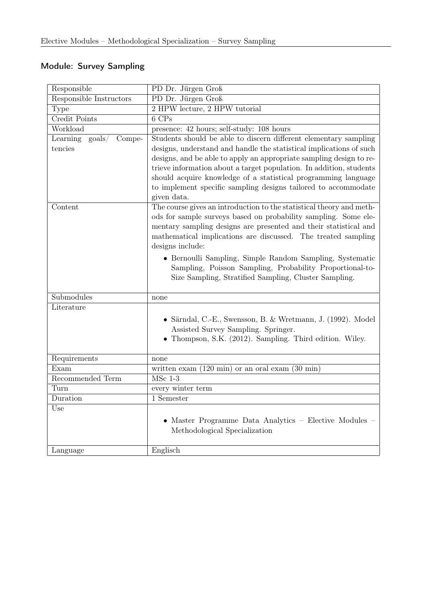### <span id="page-29-0"></span>Module: Survey Sampling

| Responsible                           | PD Dr. Jürgen Groß                                                                                                                                                                                                                                                                               |
|---------------------------------------|--------------------------------------------------------------------------------------------------------------------------------------------------------------------------------------------------------------------------------------------------------------------------------------------------|
| Responsible Instructors               | PD Dr. Jürgen Groß                                                                                                                                                                                                                                                                               |
| <b>Type</b>                           | 2 HPW lecture, 2 HPW tutorial                                                                                                                                                                                                                                                                    |
| Credit Points                         | 6 CPs                                                                                                                                                                                                                                                                                            |
| Workload                              | presence: 42 hours; self-study: 108 hours                                                                                                                                                                                                                                                        |
| Learning<br>$\text{goals}/$<br>Compe- | Students should be able to discern different elementary sampling                                                                                                                                                                                                                                 |
| tencies                               | designs, understand and handle the statistical implications of such                                                                                                                                                                                                                              |
|                                       | designs, and be able to apply an appropriate sampling design to re-                                                                                                                                                                                                                              |
|                                       | trieve information about a target population. In addition, students                                                                                                                                                                                                                              |
|                                       | should acquire knowledge of a statistical programming language                                                                                                                                                                                                                                   |
|                                       | to implement specific sampling designs tailored to accommodate                                                                                                                                                                                                                                   |
|                                       | given data.                                                                                                                                                                                                                                                                                      |
| Content                               | The course gives an introduction to the statistical theory and meth-<br>ods for sample surveys based on probability sampling. Some ele-<br>mentary sampling designs are presented and their statistical and<br>mathematical implications are discussed. The treated sampling<br>designs include: |
|                                       | • Bernoulli Sampling, Simple Random Sampling, Systematic<br>Sampling, Poisson Sampling, Probability Proportional-to-<br>Size Sampling, Stratified Sampling, Cluster Sampling.                                                                                                                    |
| Submodules                            | none                                                                                                                                                                                                                                                                                             |
| Literature                            |                                                                                                                                                                                                                                                                                                  |
|                                       | • Särndal, C.-E., Swensson, B. & Wretmann, J. (1992). Model<br>Assisted Survey Sampling. Springer.<br>• Thompson, S.K. (2012). Sampling. Third edition. Wiley.                                                                                                                                   |
| Requirements                          | none                                                                                                                                                                                                                                                                                             |
| Exam                                  | written exam $(120 \text{ min})$ or an oral exam $(30 \text{ min})$                                                                                                                                                                                                                              |
| Recommended Term                      | $MSc$ 1-3                                                                                                                                                                                                                                                                                        |
| Turn                                  | every winter term                                                                                                                                                                                                                                                                                |
| Duration                              | 1 Semester                                                                                                                                                                                                                                                                                       |
| Use                                   | • Master Programme Data Analytics - Elective Modules -<br>Methodological Specialization                                                                                                                                                                                                          |
| Language                              | Englisch                                                                                                                                                                                                                                                                                         |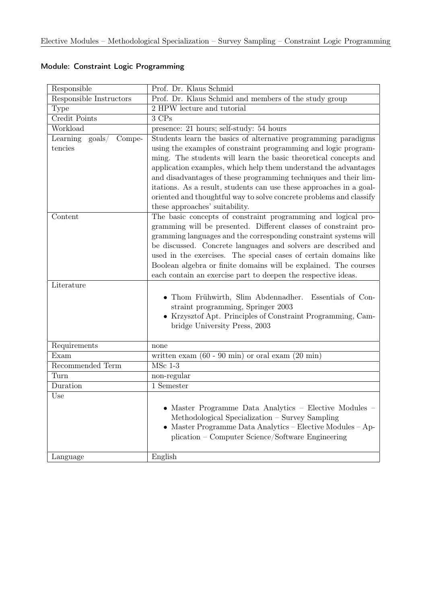| Responsible                            | Prof. Dr. Klaus Schmid                                                |
|----------------------------------------|-----------------------------------------------------------------------|
| Responsible Instructors                | Prof. Dr. Klaus Schmid and members of the study group                 |
| Type                                   | 2 HPW lecture and tutorial                                            |
| Credit Points                          | 3 CPs                                                                 |
| Workload                               | presence: 21 hours; self-study: 54 hours                              |
| $\text{goals} /$<br>Learning<br>Compe- | Students learn the basics of alternative programming paradigms        |
| tencies                                | using the examples of constraint programming and logic program-       |
|                                        | ming. The students will learn the basic theoretical concepts and      |
|                                        | application examples, which help them understand the advantages       |
|                                        | and disadvantages of these programming techniques and their lim-      |
|                                        | itations. As a result, students can use these approaches in a goal-   |
|                                        | oriented and thoughtful way to solve concrete problems and classify   |
|                                        | these approaches' suitability.                                        |
| Content                                | The basic concepts of constraint programming and logical pro-         |
|                                        | gramming will be presented. Different classes of constraint pro-      |
|                                        | gramming languages and the corresponding constraint systems will      |
|                                        | be discussed. Concrete languages and solvers are described and        |
|                                        | used in the exercises. The special cases of certain domains like      |
|                                        | Boolean algebra or finite domains will be explained. The courses      |
| Literature                             | each contain an exercise part to deepen the respective ideas.         |
|                                        |                                                                       |
|                                        | • Thom Frühwirth, Slim Abdennadher. Essentials of Con-                |
|                                        | straint programming, Springer 2003                                    |
|                                        | • Krzysztof Apt. Principles of Constraint Programming, Cam-           |
|                                        | bridge University Press, 2003                                         |
| Requirements                           | none                                                                  |
| Exam                                   | written exam $(60 - 90 \text{ min})$ or oral exam $(20 \text{ min})$  |
| Recommended Term                       | $MSc$ 1-3                                                             |
| Turn                                   | non-regular                                                           |
| Duration                               | 1 Semester                                                            |
| Use                                    |                                                                       |
|                                        | Master Programme Data Analytics - Elective Modules -                  |
|                                        | Methodological Specialization – Survey Sampling                       |
|                                        | Master Programme Data Analytics – Elective Modules – Ap-<br>$\bullet$ |
|                                        | plication – Computer Science/Software Engineering                     |
|                                        |                                                                       |
| Language                               | English                                                               |

#### <span id="page-30-0"></span>Module: Constraint Logic Programming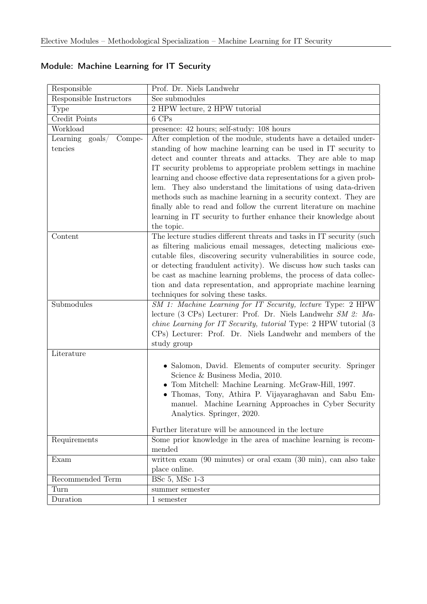| Responsible                                   | Prof. Dr. Niels Landwehr                                                                                                               |
|-----------------------------------------------|----------------------------------------------------------------------------------------------------------------------------------------|
| Responsible Instructors                       | See submodules                                                                                                                         |
| <b>Type</b>                                   | 2 HPW lecture, 2 HPW tutorial                                                                                                          |
| Credit Points                                 | $6$ $\mathrm{CPs}$                                                                                                                     |
| Workload                                      | presence: 42 hours; self-study: 108 hours                                                                                              |
| Learning<br>$\text{goals}/\text{ }$<br>Compe- | After completion of the module, students have a detailed under-                                                                        |
| tencies                                       | standing of how machine learning can be used in IT security to                                                                         |
|                                               | detect and counter threats and attacks. They are able to map                                                                           |
|                                               | IT security problems to appropriate problem settings in machine                                                                        |
|                                               | learning and choose effective data representations for a given prob-                                                                   |
|                                               | lem. They also understand the limitations of using data-driven                                                                         |
|                                               | methods such as machine learning in a security context. They are                                                                       |
|                                               | finally able to read and follow the current literature on machine                                                                      |
|                                               | learning in IT security to further enhance their knowledge about                                                                       |
|                                               | the topic.                                                                                                                             |
| Content                                       | The lecture studies different threats and tasks in IT security (such                                                                   |
|                                               | as filtering malicious email messages, detecting malicious exe-<br>cutable files, discovering security vulnerabilities in source code, |
|                                               | or detecting fraudulent activity). We discuss how such tasks can                                                                       |
|                                               | be cast as machine learning problems, the process of data collec-                                                                      |
|                                               | tion and data representation, and appropriate machine learning                                                                         |
|                                               | techniques for solving these tasks.                                                                                                    |
| Submodules                                    | SM 1: Machine Learning for IT Security, lecture Type: 2 HPW                                                                            |
|                                               | lecture (3 CPs) Lecturer: Prof. Dr. Niels Landwehr $SM\,$ 2: Ma-                                                                       |
|                                               | <i>chine Learning for IT Security, tutorial Type: 2 HPW tutorial (3)</i>                                                               |
|                                               | CPs) Lecturer: Prof. Dr. Niels Landwehr and members of the                                                                             |
|                                               | study group                                                                                                                            |
| Literature                                    |                                                                                                                                        |
|                                               | • Salomon, David. Elements of computer security. Springer                                                                              |
|                                               | Science & Business Media, 2010.                                                                                                        |
|                                               | $\bullet$ Tom Mitchell: Machine Learning. McGraw-Hill, 1997.                                                                           |
|                                               | • Thomas, Tony, Athira P. Vijayaraghavan and Sabu Em-                                                                                  |
|                                               | manuel. Machine Learning Approaches in Cyber Security                                                                                  |
|                                               | Analytics. Springer, 2020.                                                                                                             |
|                                               | Further literature will be announced in the lecture                                                                                    |
| Requirements                                  | Some prior knowledge in the area of machine learning is recom-                                                                         |
|                                               | mended                                                                                                                                 |
| Exam                                          | written exam (90 minutes) or oral exam (30 min), can also take                                                                         |
|                                               | place online.                                                                                                                          |
| Recommended Term                              | BSc 5, MSc 1-3                                                                                                                         |
| Turn                                          | summer semester                                                                                                                        |
| Duration                                      | 1 semester                                                                                                                             |

### <span id="page-31-0"></span>Module: Machine Learning for IT Security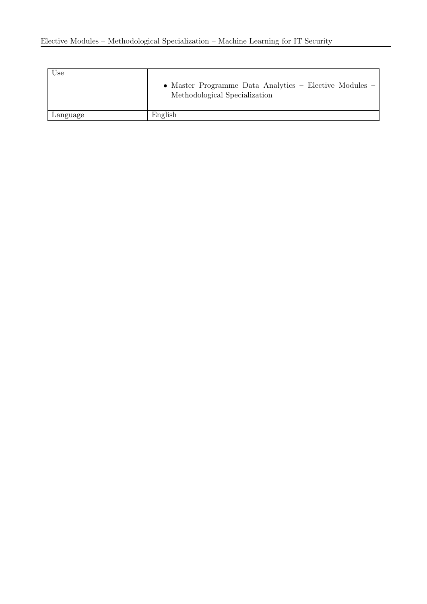| Use      | • Master Programme Data Analytics – Elective Modules –<br>Methodological Specialization |
|----------|-----------------------------------------------------------------------------------------|
| Language | English                                                                                 |
|          |                                                                                         |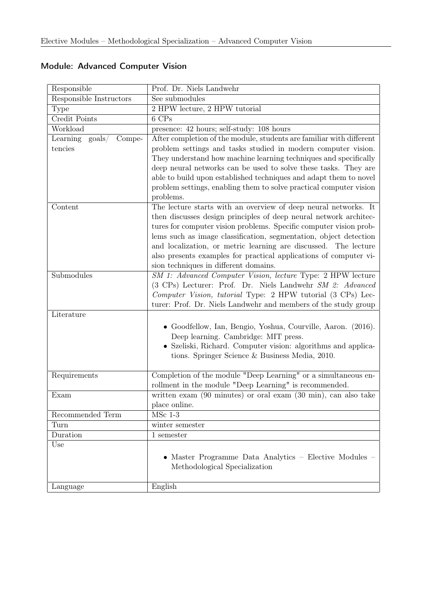| Responsible                            | Prof. Dr. Niels Landwehr                                                            |
|----------------------------------------|-------------------------------------------------------------------------------------|
| Responsible Instructors                | See submodules                                                                      |
| Type                                   | 2 HPW lecture, 2 HPW tutorial                                                       |
| Credit Points                          | 6 CPs                                                                               |
| Workload                               | presence: 42 hours; self-study: 108 hours                                           |
| $\text{goals} /$<br>Compe-<br>Learning | After completion of the module, students are familiar with different                |
| tencies                                | problem settings and tasks studied in modern computer vision.                       |
|                                        | They understand how machine learning techniques and specifically                    |
|                                        | deep neural networks can be used to solve these tasks. They are                     |
|                                        | able to build upon established techniques and adapt them to novel                   |
|                                        | problem settings, enabling them to solve practical computer vision                  |
|                                        | problems.                                                                           |
| Content                                | The lecture starts with an overview of deep neural networks. It                     |
|                                        | then discusses design principles of deep neural network architec-                   |
|                                        | tures for computer vision problems. Specific computer vision prob-                  |
|                                        | lems such as image classification, segmentation, object detection                   |
|                                        | and localization, or metric learning are discussed. The lecture                     |
|                                        | also presents examples for practical applications of computer vi-                   |
|                                        | sion techniques in different domains.                                               |
| Submodules                             | SM 1: Advanced Computer Vision, lecture Type: 2 HPW lecture                         |
|                                        | (3 CPs) Lecturer: Prof. Dr. Niels Landwehr SM 2: Advanced                           |
|                                        | Computer Vision, tutorial Type: 2 HPW tutorial (3 CPs) Lec-                         |
|                                        | turer: Prof. Dr. Niels Landwehr and members of the study group                      |
| Literature                             |                                                                                     |
|                                        | • Goodfellow, Ian, Bengio, Yoshua, Courville, Aaron. (2016).                        |
|                                        | Deep learning. Cambridge: MIT press.                                                |
|                                        | • Szeliski, Richard. Computer vision: algorithms and applica-                       |
|                                        | tions. Springer Science & Business Media, 2010.                                     |
|                                        |                                                                                     |
| Requirements                           | Completion of the module "Deep Learning" or a simultaneous en-                      |
|                                        | rollment in the module "Deep Learning" is recommended.                              |
| Exam                                   | written exam $(90 \text{ minutes})$ or oral exam $(30 \text{ min})$ , can also take |
| Recommended Term                       | place online.                                                                       |
| Turn                                   | $MSc$ 1-3                                                                           |
| Duration                               | winter semester                                                                     |
|                                        | 1 semester                                                                          |
| Use                                    | • Master Programme Data Analytics – Elective Modules –                              |
|                                        | Methodological Specialization                                                       |
|                                        |                                                                                     |
| Language                               | English                                                                             |

### <span id="page-33-0"></span>Module: Advanced Computer Vision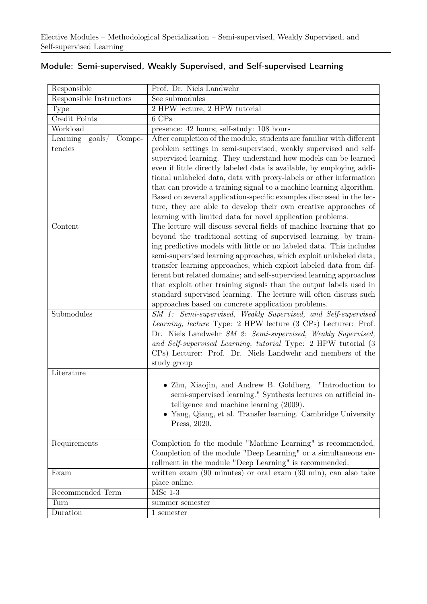| Responsible                                      | Prof. Dr. Niels Landwehr                                                                                                                                                                                                                                                                                                                                                                                                                                                                                                                                                                                                                                                                         |
|--------------------------------------------------|--------------------------------------------------------------------------------------------------------------------------------------------------------------------------------------------------------------------------------------------------------------------------------------------------------------------------------------------------------------------------------------------------------------------------------------------------------------------------------------------------------------------------------------------------------------------------------------------------------------------------------------------------------------------------------------------------|
| Responsible Instructors                          | See submodules                                                                                                                                                                                                                                                                                                                                                                                                                                                                                                                                                                                                                                                                                   |
| Type                                             | 2 HPW lecture, 2 HPW tutorial                                                                                                                                                                                                                                                                                                                                                                                                                                                                                                                                                                                                                                                                    |
| Credit Points                                    | 6 CPs                                                                                                                                                                                                                                                                                                                                                                                                                                                                                                                                                                                                                                                                                            |
| Workload                                         | presence: 42 hours; self-study: 108 hours                                                                                                                                                                                                                                                                                                                                                                                                                                                                                                                                                                                                                                                        |
| Learning<br>$\text{goals}/$<br>Compe-<br>tencies | After completion of the module, students are familiar with different<br>problem settings in semi-supervised, weakly supervised and self-<br>supervised learning. They understand how models can be learned<br>even if little directly labeled data is available, by employing addi-<br>tional unlabeled data, data with proxy-labels or other information<br>that can provide a training signal to a machine learning algorithm.<br>Based on several application-specific examples discussed in the lec-<br>ture, they are able to develop their own creative approaches of                                                                                                                      |
| Content                                          | learning with limited data for novel application problems.<br>The lecture will discuss several fields of machine learning that go<br>beyond the traditional setting of supervised learning, by train-<br>ing predictive models with little or no labeled data. This includes<br>semi-supervised learning approaches, which exploit unlabeled data;<br>transfer learning approaches, which exploit labeled data from dif-<br>ferent but related domains; and self-supervised learning approaches<br>that exploit other training signals than the output labels used in<br>standard supervised learning. The lecture will often discuss such<br>approaches based on concrete application problems. |
| Submodules                                       | SM 1: Semi-supervised, Weakly Supervised, and Self-supervised<br>Learning, lecture Type: 2 HPW lecture (3 CPs) Lecturer: Prof.<br>Dr. Niels Landwehr SM 2: Semi-supervised, Weakly Supervised,<br>and Self-supervised Learning, tutorial Type: 2 HPW tutorial (3<br>CPs) Lecturer: Prof. Dr. Niels Landwehr and members of the<br>study group                                                                                                                                                                                                                                                                                                                                                    |
| Literature                                       | • Zhu, Xiaojin, and Andrew B. Goldberg. "Introduction to<br>semi-supervised learning." Synthesis lectures on artificial in-<br>telligence and machine learning (2009).<br>• Yang, Qiang, et al. Transfer learning. Cambridge University<br>Press, 2020.                                                                                                                                                                                                                                                                                                                                                                                                                                          |
| Requirements                                     | Completion fo the module "Machine Learning" is recommended.<br>Completion of the module "Deep Learning" or a simultaneous en-<br>rollment in the module "Deep Learning" is recommended.                                                                                                                                                                                                                                                                                                                                                                                                                                                                                                          |
| Exam                                             | written exam $(90 \text{ minutes})$ or oral exam $(30 \text{ min})$ , can also take<br>place online.                                                                                                                                                                                                                                                                                                                                                                                                                                                                                                                                                                                             |
| Recommended Term                                 | $MSc$ 1-3                                                                                                                                                                                                                                                                                                                                                                                                                                                                                                                                                                                                                                                                                        |
| Turn                                             | summer semester                                                                                                                                                                                                                                                                                                                                                                                                                                                                                                                                                                                                                                                                                  |
| Duration                                         | 1 semester                                                                                                                                                                                                                                                                                                                                                                                                                                                                                                                                                                                                                                                                                       |

#### <span id="page-34-0"></span>Module: Semi-supervised, Weakly Supervised, and Self-supervised Learning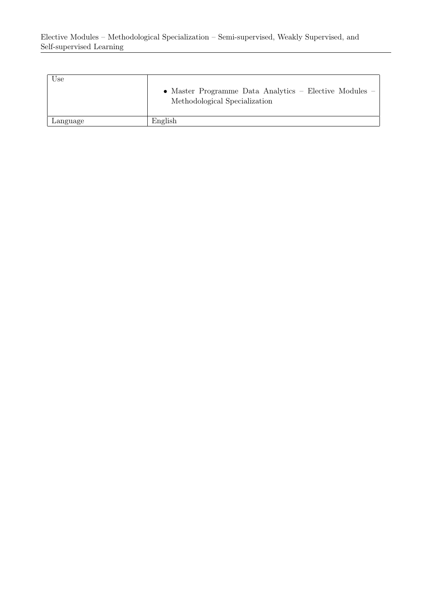| $_{\rm Use}$ | • Master Programme Data Analytics – Elective Modules –<br>Methodological Specialization |
|--------------|-----------------------------------------------------------------------------------------|
| Language     | English                                                                                 |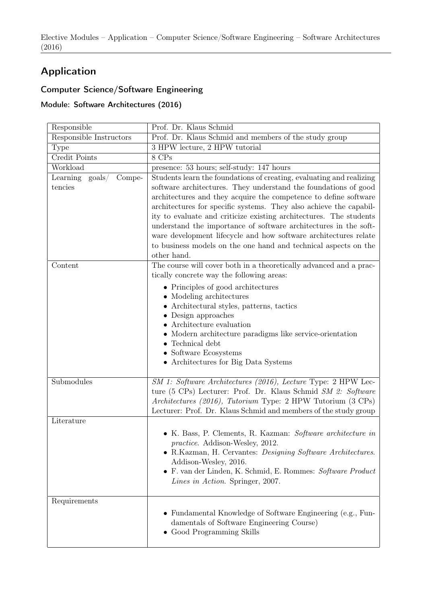# Application

## Computer Science/Software Engineering

Module: Software Architectures (2016)

| Responsible                          | Prof. Dr. Klaus Schmid                                                                                                                                                                                                                                                                                                                                                                                                                                                                                                                                                            |
|--------------------------------------|-----------------------------------------------------------------------------------------------------------------------------------------------------------------------------------------------------------------------------------------------------------------------------------------------------------------------------------------------------------------------------------------------------------------------------------------------------------------------------------------------------------------------------------------------------------------------------------|
| Responsible Instructors              | Prof. Dr. Klaus Schmid and members of the study group                                                                                                                                                                                                                                                                                                                                                                                                                                                                                                                             |
| Type                                 | 3 HPW lecture, 2 HPW tutorial                                                                                                                                                                                                                                                                                                                                                                                                                                                                                                                                                     |
| Credit Points                        | 8 CPs                                                                                                                                                                                                                                                                                                                                                                                                                                                                                                                                                                             |
| Workload                             | presence: 53 hours; self-study: 147 hours                                                                                                                                                                                                                                                                                                                                                                                                                                                                                                                                         |
| Learning goals/<br>Compe-<br>tencies | Students learn the foundations of creating, evaluating and realizing<br>software architectures. They understand the foundations of good<br>architectures and they acquire the competence to define software<br>architectures for specific systems. They also achieve the capabil-<br>ity to evaluate and criticize existing architectures. The students<br>understand the importance of software architectures in the soft-<br>ware development lifecycle and how software architectures relate<br>to business models on the one hand and technical aspects on the<br>other hand. |
| Content                              | The course will cover both in a theoretically advanced and a prac-<br>tically concrete way the following areas:                                                                                                                                                                                                                                                                                                                                                                                                                                                                   |
|                                      | • Principles of good architectures<br>• Modeling architectures<br>• Architectural styles, patterns, tactics<br>$\bullet$ Design approaches<br>Architecture evaluation<br>Modern architecture paradigms like service-orientation<br>$\bullet$ Technical debt<br>$\bullet$ Software Ecosystems<br>• Architectures for Big Data Systems                                                                                                                                                                                                                                              |
| Submodules                           | SM 1: Software Architectures (2016), Lecture Type: 2 HPW Lec-<br>ture (5 CPs) Lecturer: Prof. Dr. Klaus Schmid SM 2: Software<br>Architectures (2016), Tutorium Type: 2 HPW Tutorium (3 CPs)<br>Lecturer: Prof. Dr. Klaus Schmid and members of the study group                                                                                                                                                                                                                                                                                                                   |
| Literature                           |                                                                                                                                                                                                                                                                                                                                                                                                                                                                                                                                                                                   |
|                                      | • K. Bass, P. Clements, R. Kazman: Software architecture in<br><i>practice.</i> Addison-Wesley, 2012.<br>• R.Kazman, H. Cervantes: Designing Software Architectures.<br>Addison-Wesley, 2016.<br>• F. van der Linden, K. Schmid, E. Rommes: Software Product<br>Lines in Action. Springer, 2007.                                                                                                                                                                                                                                                                                  |
| Requirements                         | $\bullet\,$ Fundamental Knowledge of Software Engineering (e.g., Fun-<br>damentals of Software Engineering Course)<br>• Good Programming Skills                                                                                                                                                                                                                                                                                                                                                                                                                                   |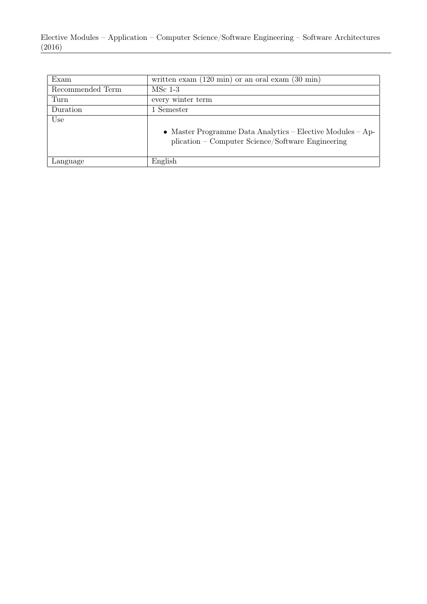| Exam             | written exam $(120 \text{ min})$ or an oral exam $(30 \text{ min})$                                             |
|------------------|-----------------------------------------------------------------------------------------------------------------|
| Recommended Term | $MSc$ 1-3                                                                                                       |
| Turn             | every winter term                                                                                               |
| Duration         | Semester                                                                                                        |
| Use              | • Master Programme Data Analytics – Elective Modules – Ap-<br>plication – Computer Science/Software Engineering |
| Language         | English                                                                                                         |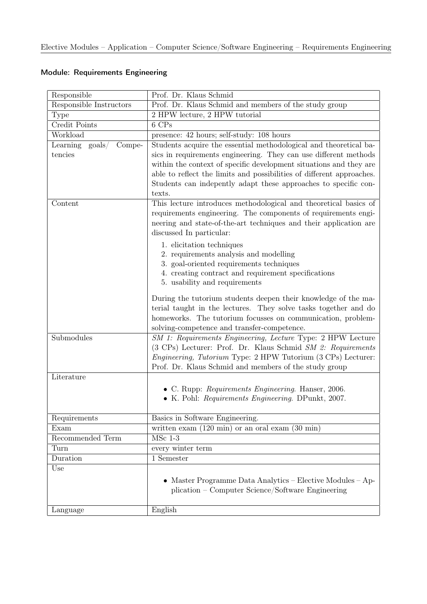## Module: Requirements Engineering

| Responsible                            | Prof. Dr. Klaus Schmid                                                                                                       |
|----------------------------------------|------------------------------------------------------------------------------------------------------------------------------|
| Responsible Instructors                | Prof. Dr. Klaus Schmid and members of the study group                                                                        |
| Type                                   | 2 HPW lecture, 2 HPW tutorial                                                                                                |
| Credit Points                          | 6 CPs                                                                                                                        |
| Workload                               | presence: 42 hours; self-study: 108 hours                                                                                    |
| $\text{goals} /$<br>Compe-<br>Learning | Students acquire the essential methodological and theoretical ba-                                                            |
| tencies                                | sics in requirements engineering. They can use different methods                                                             |
|                                        | within the context of specific development situations and they are                                                           |
|                                        | able to reflect the limits and possibilities of different approaches.                                                        |
|                                        | Students can indepently adapt these approaches to specific con-                                                              |
|                                        | texts.                                                                                                                       |
| Content                                | This lecture introduces methodological and theoretical basics of                                                             |
|                                        | requirements engineering. The components of requirements engi-                                                               |
|                                        | neering and state-of-the-art techniques and their application are                                                            |
|                                        | discussed In particular:                                                                                                     |
|                                        | 1. elicitation techniques                                                                                                    |
|                                        | 2. requirements analysis and modelling                                                                                       |
|                                        | 3. goal-oriented requirements techniques<br>4. creating contract and requirement specifications                              |
|                                        | 5. usability and requirements                                                                                                |
|                                        |                                                                                                                              |
|                                        | During the tutorium students deepen their knowledge of the ma-                                                               |
|                                        | terial taught in the lectures. They solve tasks together and do                                                              |
|                                        | homeworks. The tutorium focusses on communication, problem-                                                                  |
|                                        | solving-competence and transfer-competence.                                                                                  |
| Submodules                             | SM 1: Requirements Engineering, Lecture Type: 2 HPW Lecture                                                                  |
|                                        | (3 CPs) Lecturer: Prof. Dr. Klaus Schmid SM 2: Requirements                                                                  |
|                                        | <i>Engineering, Tutorium Type: 2 HPW Tutorium (3 CPs) Lecturer:</i><br>Prof. Dr. Klaus Schmid and members of the study group |
| Literature                             |                                                                                                                              |
|                                        |                                                                                                                              |
|                                        | • C. Rupp: Requirements Engineering. Hanser, 2006.<br>• K. Pohl: Requirements Engineering. DPunkt, 2007.                     |
|                                        |                                                                                                                              |
| Requirements                           | Basics in Software Engineering.                                                                                              |
| Exam                                   | written exam $(120 \text{ min})$ or an oral exam $(30 \text{ min})$                                                          |
| Recommended Term                       | $MSc$ 1-3                                                                                                                    |
| Turn                                   | every winter term                                                                                                            |
| Duration                               | 1 Semester                                                                                                                   |
| Use                                    |                                                                                                                              |
|                                        | • Master Programme Data Analytics – Elective Modules – Ap-                                                                   |
|                                        | plication – Computer Science/Software Engineering                                                                            |
|                                        |                                                                                                                              |
| Language                               | English                                                                                                                      |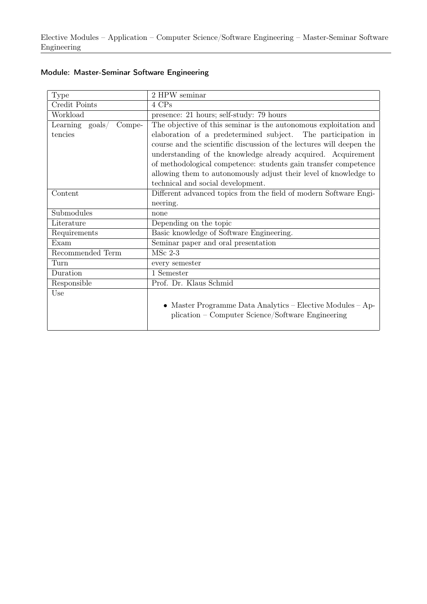Elective Modules – Application – Computer Science/Software Engineering – Master-Seminar Software Engineering

| <b>Type</b>                            | 2 HPW seminar                                                        |
|----------------------------------------|----------------------------------------------------------------------|
| Credit Points                          | 4 CPs                                                                |
| Workload                               | presence: 21 hours; self-study: 79 hours                             |
| Learning<br>Compe-<br>$\text{goals} /$ | The objective of this seminar is the autonomous exploitation and     |
| tencies                                | elaboration of a predetermined subject. The participation in         |
|                                        | course and the scientific discussion of the lectures will deepen the |
|                                        | understanding of the knowledge already acquired. Acquirement         |
|                                        | of methodological competence: students gain transfer competence      |
|                                        | allowing them to autonomously adjust their level of knowledge to     |
|                                        | technical and social development.                                    |
| Content                                | Different advanced topics from the field of modern Software Engi-    |
|                                        | neering.                                                             |
| Submodules                             | none                                                                 |
| Literature                             | Depending on the topic                                               |
| Requirements                           | Basic knowledge of Software Engineering.                             |
| Exam                                   | Seminar paper and oral presentation                                  |
| Recommended Term                       | $MSc$ 2-3                                                            |
| Turn                                   | every semester                                                       |
| Duration                               | 1 Semester                                                           |
| Responsible                            | Prof. Dr. Klaus Schmid                                               |
| Use                                    |                                                                      |
|                                        | • Master Programme Data Analytics – Elective Modules – Ap-           |
|                                        | plication – Computer Science/Software Engineering                    |
|                                        |                                                                      |

## Module: Master-Seminar Software Engineering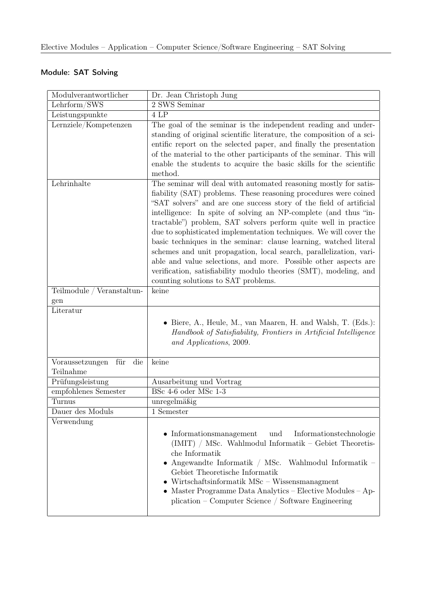## Module: SAT Solving

| Modulverantwortlicher                      | Dr. Jean Christoph Jung                                                                                                                                                                                                                                                                                                                                                                                                                                                                                                                                                                                                                                                                                                                         |
|--------------------------------------------|-------------------------------------------------------------------------------------------------------------------------------------------------------------------------------------------------------------------------------------------------------------------------------------------------------------------------------------------------------------------------------------------------------------------------------------------------------------------------------------------------------------------------------------------------------------------------------------------------------------------------------------------------------------------------------------------------------------------------------------------------|
| Lehrform/SWS                               | 2 SWS Seminar                                                                                                                                                                                                                                                                                                                                                                                                                                                                                                                                                                                                                                                                                                                                   |
| Leistungspunkte                            | 4 LP                                                                                                                                                                                                                                                                                                                                                                                                                                                                                                                                                                                                                                                                                                                                            |
| Lernziele/Kompetenzen                      | The goal of the seminar is the independent reading and under-<br>standing of original scientific literature, the composition of a sci-<br>entific report on the selected paper, and finally the presentation<br>of the material to the other participants of the seminar. This will<br>enable the students to acquire the basic skills for the scientific<br>method.                                                                                                                                                                                                                                                                                                                                                                            |
| Lehrinhalte                                | The seminar will deal with automated reasoning mostly for satis-<br>fiability (SAT) problems. These reasoning procedures were coined<br>"SAT solvers" and are one success story of the field of artificial<br>intelligence: In spite of solving an NP-complete (and thus "in-<br>tractable") problem, SAT solvers perform quite well in practice<br>due to sophisticated implementation techniques. We will cover the<br>basic techniques in the seminar: clause learning, watched literal<br>schemes and unit propagation, local search, parallelization, vari-<br>able and value selections, and more. Possible other aspects are<br>verification, satisfiability modulo theories (SMT), modeling, and<br>counting solutions to SAT problems. |
| Teilmodule / Veranstaltun-<br>gen          | keine                                                                                                                                                                                                                                                                                                                                                                                                                                                                                                                                                                                                                                                                                                                                           |
| Literatur                                  |                                                                                                                                                                                                                                                                                                                                                                                                                                                                                                                                                                                                                                                                                                                                                 |
|                                            | $\bullet$ Biere, A., Heule, M., van Maaren, H. and Walsh, T. (Eds.):<br>Handbook of Satisfiability, Frontiers in Artificial Intelligence<br>and Applications, 2009.                                                                                                                                                                                                                                                                                                                                                                                                                                                                                                                                                                             |
| Voraussetzungen<br>für<br>die<br>Teilnahme | keine                                                                                                                                                                                                                                                                                                                                                                                                                                                                                                                                                                                                                                                                                                                                           |
| Prüfungsleistung                           | Ausarbeitung und Vortrag                                                                                                                                                                                                                                                                                                                                                                                                                                                                                                                                                                                                                                                                                                                        |
| empfohlenes Semester                       | BSc 4-6 oder MSc 1-3                                                                                                                                                                                                                                                                                                                                                                                                                                                                                                                                                                                                                                                                                                                            |
| Turnus                                     | unregelmäßig                                                                                                                                                                                                                                                                                                                                                                                                                                                                                                                                                                                                                                                                                                                                    |
| Dauer des Moduls                           | 1 Semester                                                                                                                                                                                                                                                                                                                                                                                                                                                                                                                                                                                                                                                                                                                                      |
| Verwendung                                 |                                                                                                                                                                                                                                                                                                                                                                                                                                                                                                                                                                                                                                                                                                                                                 |
|                                            | $\bullet$ Informationsmanagement<br>und<br>Informationstechnologie<br>(IMIT) / MSc. Wahlmodul Informatik – Gebiet Theoretis-<br>che Informatik<br>• Angewandte Informatik / MSc. Wahlmodul Informatik –<br>Gebiet Theoretische Informatik<br>$\bullet$ Wirtschaftsinformatik MSc – Wissensmanagment<br>- Master Programme Data Analytics -- Elective Modules -- Ap-<br>plication – Computer Science / Software Engineering                                                                                                                                                                                                                                                                                                                      |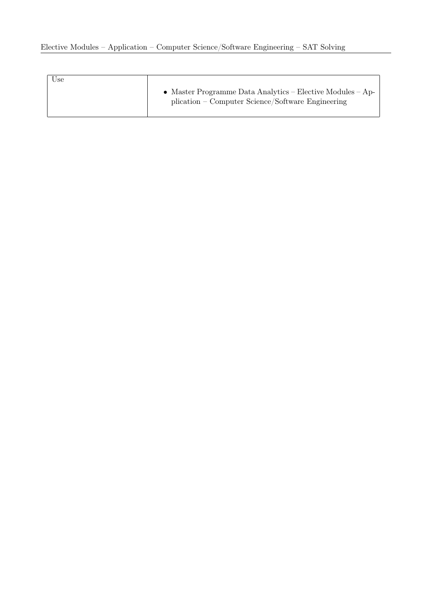| Use |                                                                                                                 |
|-----|-----------------------------------------------------------------------------------------------------------------|
|     | • Master Programme Data Analytics – Elective Modules – Ap-<br>plication – Computer Science/Software Engineering |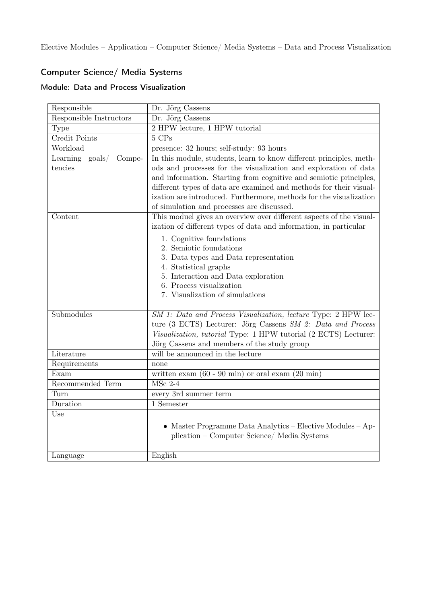## Computer Science/ Media Systems

## Module: Data and Process Visualization

| Responsible               | Dr. Jörg Cassens                                                                                                  |
|---------------------------|-------------------------------------------------------------------------------------------------------------------|
| Responsible Instructors   | Dr. Jörg Cassens                                                                                                  |
| Type                      | 2 HPW lecture, 1 HPW tutorial                                                                                     |
| Credit Points             | 5 CPs                                                                                                             |
| Workload                  | presence: 32 hours; self-study: 93 hours                                                                          |
| Learning goals/<br>Compe- | In this module, students, learn to know different principles, meth-                                               |
| tencies                   | ods and processes for the visualization and exploration of data                                                   |
|                           | and information. Starting from cognitive and semiotic principles,                                                 |
|                           | different types of data are examined and methods for their visual-                                                |
|                           | ization are introduced. Furthermore, methods for the visualization                                                |
| Content                   | of simulation and processes are discussed.<br>This moduel gives an overview over different aspects of the visual- |
|                           | ization of different types of data and information, in particular                                                 |
|                           | 1. Cognitive foundations                                                                                          |
|                           | 2. Semiotic foundations                                                                                           |
|                           | 3. Data types and Data representation                                                                             |
|                           | 4. Statistical graphs                                                                                             |
|                           | 5. Interaction and Data exploration                                                                               |
|                           | 6. Process visualization                                                                                          |
|                           | 7. Visualization of simulations                                                                                   |
| Submodules                | SM 1: Data and Process Visualization, lecture Type: 2 HPW lec-                                                    |
|                           | ture (3 ECTS) Lecturer: Jörg Cassens SM 2: Data and Process                                                       |
|                           | Visualization, tutorial Type: 1 HPW tutorial (2 ECTS) Lecturer:                                                   |
|                           | Jörg Cassens and members of the study group                                                                       |
| Literature                | will be announced in the lecture                                                                                  |
| Requirements              | none                                                                                                              |
| Exam                      | written exam $(60 - 90 \text{ min})$ or oral exam $(20 \text{ min})$                                              |
| Recommended Term          | MSc 2-4                                                                                                           |
| Turn                      | every 3rd summer term                                                                                             |
| Duration                  | 1 Semester                                                                                                        |
| Use                       |                                                                                                                   |
|                           | • Master Programme Data Analytics - Elective Modules - Ap-                                                        |
|                           | plication – Computer Science/ Media Systems                                                                       |
|                           |                                                                                                                   |
| Language                  | English                                                                                                           |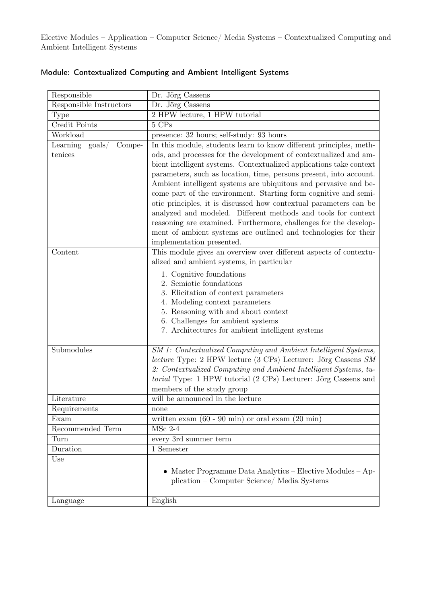| Responsible                                       | Dr. Jörg Cassens                                                                                                                                                                                                                                                                                                                                                                                                                                                                                                                                                                           |
|---------------------------------------------------|--------------------------------------------------------------------------------------------------------------------------------------------------------------------------------------------------------------------------------------------------------------------------------------------------------------------------------------------------------------------------------------------------------------------------------------------------------------------------------------------------------------------------------------------------------------------------------------------|
| Responsible Instructors                           | Dr. Jörg Cassens                                                                                                                                                                                                                                                                                                                                                                                                                                                                                                                                                                           |
| Type                                              | 2 HPW lecture, 1 HPW tutorial                                                                                                                                                                                                                                                                                                                                                                                                                                                                                                                                                              |
| Credit Points                                     | 5 CPs                                                                                                                                                                                                                                                                                                                                                                                                                                                                                                                                                                                      |
| Workload                                          | presence: 32 hours; self-study: 93 hours                                                                                                                                                                                                                                                                                                                                                                                                                                                                                                                                                   |
| Learning<br>$\text{goals} /$<br>Compe-<br>tenices | In this module, students learn to know different principles, meth-<br>ods, and processes for the development of contextualized and am-                                                                                                                                                                                                                                                                                                                                                                                                                                                     |
|                                                   | bient intelligent systems. Contextualized applications take context<br>parameters, such as location, time, persons present, into account.<br>Ambient intelligent systems are ubiquitous and pervasive and be-<br>come part of the environment. Starting form cognitive and semi-<br>otic principles, it is discussed how contextual parameters can be<br>analyzed and modeled. Different methods and tools for context<br>reasoning are examined. Furthermore, challenges for the develop-<br>ment of ambient systems are outlined and technologies for their<br>implementation presented. |
| Content                                           | This module gives an overview over different aspects of contextu-<br>alized and ambient systems, in particular                                                                                                                                                                                                                                                                                                                                                                                                                                                                             |
|                                                   | 1. Cognitive foundations<br>2. Semiotic foundations<br>3. Elicitation of context parameters<br>4. Modeling context parameters<br>5. Reasoning with and about context<br>6. Challenges for ambient systems<br>7. Architectures for ambient intelligent systems                                                                                                                                                                                                                                                                                                                              |
| Submodules                                        | SM 1: Contextualized Computing and Ambient Intelligent Systems,                                                                                                                                                                                                                                                                                                                                                                                                                                                                                                                            |
|                                                   | lecture Type: 2 HPW lecture (3 CPs) Lecturer: Jörg Cassens SM<br>2: Contextualized Computing and Ambient Intelligent Systems, tu-<br>torial Type: 1 HPW tutorial (2 CPs) Lecturer: Jörg Cassens and<br>members of the study group                                                                                                                                                                                                                                                                                                                                                          |
| Literature                                        | will be announced in the lecture                                                                                                                                                                                                                                                                                                                                                                                                                                                                                                                                                           |
| Requirements                                      | none                                                                                                                                                                                                                                                                                                                                                                                                                                                                                                                                                                                       |
| Exam                                              | written exam $(60 - 90 \text{ min})$ or oral exam $(20 \text{ min})$                                                                                                                                                                                                                                                                                                                                                                                                                                                                                                                       |
| Recommended Term                                  | $MSc$ 2-4                                                                                                                                                                                                                                                                                                                                                                                                                                                                                                                                                                                  |
| Turn                                              | every 3rd summer term                                                                                                                                                                                                                                                                                                                                                                                                                                                                                                                                                                      |
| Duration                                          | 1 Semester                                                                                                                                                                                                                                                                                                                                                                                                                                                                                                                                                                                 |
| Use                                               | • Master Programme Data Analytics - Elective Modules - Ap-<br>plication – Computer Science/ Media Systems                                                                                                                                                                                                                                                                                                                                                                                                                                                                                  |
| Language                                          | English                                                                                                                                                                                                                                                                                                                                                                                                                                                                                                                                                                                    |

## Module: Contextualized Computing and Ambient Intelligent Systems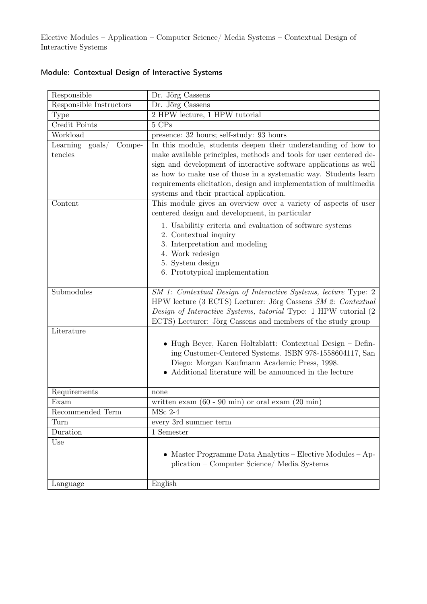| Responsible                           | Dr. Jörg Cassens                                                                                                                                                                                                                                                  |
|---------------------------------------|-------------------------------------------------------------------------------------------------------------------------------------------------------------------------------------------------------------------------------------------------------------------|
| Responsible Instructors               | Dr. Jörg Cassens                                                                                                                                                                                                                                                  |
| <b>Type</b>                           | 2 HPW lecture, 1 HPW tutorial                                                                                                                                                                                                                                     |
| Credit Points                         | 5 CPs                                                                                                                                                                                                                                                             |
| Workload                              | presence: 32 hours; self-study: 93 hours                                                                                                                                                                                                                          |
| Learning<br>$\text{goals}/$<br>Compe- | In this module, students deepen their understanding of how to                                                                                                                                                                                                     |
| tencies                               | make available principles, methods and tools for user centered de-                                                                                                                                                                                                |
|                                       | sign and development of interactive software applications as well                                                                                                                                                                                                 |
|                                       | as how to make use of those in a systematic way. Students learn                                                                                                                                                                                                   |
|                                       | requirements elicitation, design and implementation of multimedia                                                                                                                                                                                                 |
|                                       | systems and their practical application.                                                                                                                                                                                                                          |
| Content                               | This module gives an overview over a variety of aspects of user                                                                                                                                                                                                   |
|                                       | centered design and development, in particular                                                                                                                                                                                                                    |
|                                       | 1. Usabilitiy criteria and evaluation of software systems                                                                                                                                                                                                         |
|                                       | 2. Contextual inquiry                                                                                                                                                                                                                                             |
|                                       | 3. Interpretation and modeling                                                                                                                                                                                                                                    |
|                                       | 4. Work redesign                                                                                                                                                                                                                                                  |
|                                       | 5. System design                                                                                                                                                                                                                                                  |
|                                       | 6. Prototypical implementation                                                                                                                                                                                                                                    |
| Submodules                            | SM 1: Contextual Design of Interactive Systems, lecture Type: 2<br>HPW lecture (3 ECTS) Lecturer: Jörg Cassens SM 2: Contextual<br>Design of Interactive Systems, tutorial Type: 1 HPW tutorial (2<br>ECTS) Lecturer: Jörg Cassens and members of the study group |
| Literature                            |                                                                                                                                                                                                                                                                   |
|                                       | $\bullet$ Hugh Beyer, Karen Holtzblatt: Contextual Design – Defin-<br>ing Customer-Centered Systems. ISBN 978-1558604117, San<br>Diego: Morgan Kaufmann Academic Press, 1998.<br>Additional literature will be announced in the lecture                           |
| Requirements                          | none                                                                                                                                                                                                                                                              |
| Exam                                  | written exam $(60 - 90 \text{ min})$ or oral exam $(20 \text{ min})$                                                                                                                                                                                              |
| Recommended Term                      | $MSc$ 2-4                                                                                                                                                                                                                                                         |
| Turn                                  | every 3rd summer term                                                                                                                                                                                                                                             |
| Duration                              | 1 Semester                                                                                                                                                                                                                                                        |
| Use                                   | • Master Programme Data Analytics – Elective Modules – Ap-<br>plication – Computer Science/ Media Systems                                                                                                                                                         |
| Language                              | English                                                                                                                                                                                                                                                           |

## Module: Contextual Design of Interactive Systems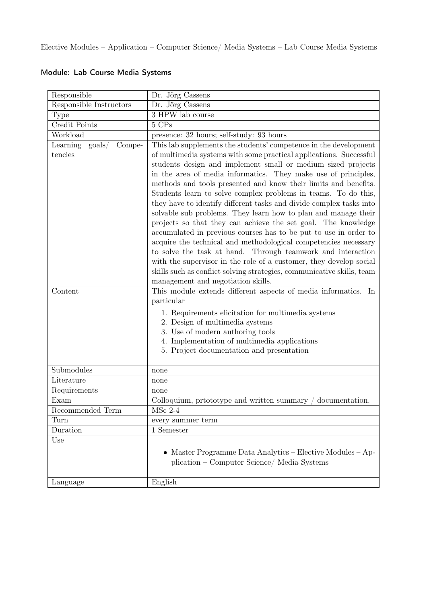| Responsible                            | Dr. Jörg Cassens                                                                                                                                                                                                                                                                                                                                                                                                                                                                                                                                                                                                                                                                                                                                                                                                                                                                                                                                                                                                                                                                                                                                             |
|----------------------------------------|--------------------------------------------------------------------------------------------------------------------------------------------------------------------------------------------------------------------------------------------------------------------------------------------------------------------------------------------------------------------------------------------------------------------------------------------------------------------------------------------------------------------------------------------------------------------------------------------------------------------------------------------------------------------------------------------------------------------------------------------------------------------------------------------------------------------------------------------------------------------------------------------------------------------------------------------------------------------------------------------------------------------------------------------------------------------------------------------------------------------------------------------------------------|
| Responsible Instructors                | Dr. Jörg Cassens                                                                                                                                                                                                                                                                                                                                                                                                                                                                                                                                                                                                                                                                                                                                                                                                                                                                                                                                                                                                                                                                                                                                             |
| Type                                   | 3 HPW lab course                                                                                                                                                                                                                                                                                                                                                                                                                                                                                                                                                                                                                                                                                                                                                                                                                                                                                                                                                                                                                                                                                                                                             |
| Credit Points                          | 5 CPs                                                                                                                                                                                                                                                                                                                                                                                                                                                                                                                                                                                                                                                                                                                                                                                                                                                                                                                                                                                                                                                                                                                                                        |
| Workload                               | presence: 32 hours; self-study: 93 hours                                                                                                                                                                                                                                                                                                                                                                                                                                                                                                                                                                                                                                                                                                                                                                                                                                                                                                                                                                                                                                                                                                                     |
| Learning<br>$\text{goals} /$<br>Compe- | This lab supplements the students' competence in the development                                                                                                                                                                                                                                                                                                                                                                                                                                                                                                                                                                                                                                                                                                                                                                                                                                                                                                                                                                                                                                                                                             |
| tencies<br>Content                     | of multimedia systems with some practical applications. Successful<br>students design and implement small or medium sized projects<br>in the area of media informatics. They make use of principles,<br>methods and tools presented and know their limits and benefits.<br>Students learn to solve complex problems in teams. To do this,<br>they have to identify different tasks and divide complex tasks into<br>solvable sub problems. They learn how to plan and manage their<br>projects so that they can achieve the set goal. The knowledge<br>accumulated in previous courses has to be put to use in order to<br>acquire the technical and methodological competencies necessary<br>to solve the task at hand. Through teamwork and interaction<br>with the supervisor in the role of a customer, they develop social<br>skills such as conflict solving strategies, communicative skills, team<br>management and negotiation skills.<br>This module extends different aspects of media informatics. In<br>particular<br>1. Requirements elicitation for multimedia systems<br>2. Design of multimedia systems<br>3. Use of modern authoring tools |
|                                        | 4. Implementation of multimedia applications                                                                                                                                                                                                                                                                                                                                                                                                                                                                                                                                                                                                                                                                                                                                                                                                                                                                                                                                                                                                                                                                                                                 |
|                                        | 5. Project documentation and presentation                                                                                                                                                                                                                                                                                                                                                                                                                                                                                                                                                                                                                                                                                                                                                                                                                                                                                                                                                                                                                                                                                                                    |
| Submodules                             | none                                                                                                                                                                                                                                                                                                                                                                                                                                                                                                                                                                                                                                                                                                                                                                                                                                                                                                                                                                                                                                                                                                                                                         |
| Literature                             | none                                                                                                                                                                                                                                                                                                                                                                                                                                                                                                                                                                                                                                                                                                                                                                                                                                                                                                                                                                                                                                                                                                                                                         |
| Requirements                           | none                                                                                                                                                                                                                                                                                                                                                                                                                                                                                                                                                                                                                                                                                                                                                                                                                                                                                                                                                                                                                                                                                                                                                         |
| Exam                                   | Colloquium, prtototype and written summary<br>documentation.                                                                                                                                                                                                                                                                                                                                                                                                                                                                                                                                                                                                                                                                                                                                                                                                                                                                                                                                                                                                                                                                                                 |
| Recommended Term                       | MSc 2-4                                                                                                                                                                                                                                                                                                                                                                                                                                                                                                                                                                                                                                                                                                                                                                                                                                                                                                                                                                                                                                                                                                                                                      |
| Turn                                   | every summer term                                                                                                                                                                                                                                                                                                                                                                                                                                                                                                                                                                                                                                                                                                                                                                                                                                                                                                                                                                                                                                                                                                                                            |
| Duration                               | 1 Semester                                                                                                                                                                                                                                                                                                                                                                                                                                                                                                                                                                                                                                                                                                                                                                                                                                                                                                                                                                                                                                                                                                                                                   |
| Use                                    | • Master Programme Data Analytics – Elective Modules – Ap-<br>plication – Computer Science/ Media Systems                                                                                                                                                                                                                                                                                                                                                                                                                                                                                                                                                                                                                                                                                                                                                                                                                                                                                                                                                                                                                                                    |
| Language                               | English                                                                                                                                                                                                                                                                                                                                                                                                                                                                                                                                                                                                                                                                                                                                                                                                                                                                                                                                                                                                                                                                                                                                                      |

## Module: Lab Course Media Systems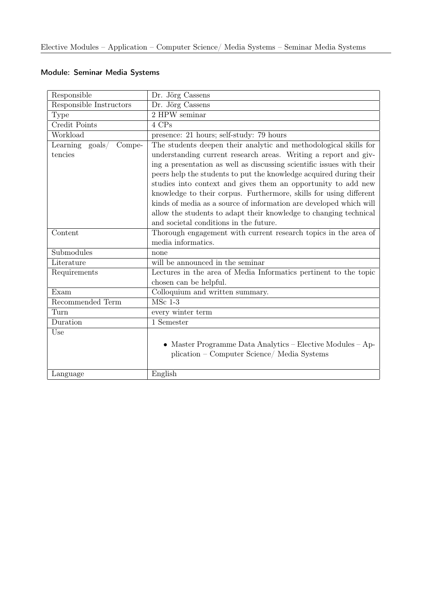| Responsible                          | Dr. Jörg Cassens                                                                                                                                                                                                                                                                                                                                                                                                                                                                                                                                                     |
|--------------------------------------|----------------------------------------------------------------------------------------------------------------------------------------------------------------------------------------------------------------------------------------------------------------------------------------------------------------------------------------------------------------------------------------------------------------------------------------------------------------------------------------------------------------------------------------------------------------------|
| Responsible Instructors              | Dr. Jörg Cassens                                                                                                                                                                                                                                                                                                                                                                                                                                                                                                                                                     |
| <b>Type</b>                          | 2 HPW seminar                                                                                                                                                                                                                                                                                                                                                                                                                                                                                                                                                        |
| Credit Points                        | 4 CPs                                                                                                                                                                                                                                                                                                                                                                                                                                                                                                                                                                |
| Workload                             | presence: 21 hours; self-study: 79 hours                                                                                                                                                                                                                                                                                                                                                                                                                                                                                                                             |
| Learning goals/<br>Compe-<br>tencies | The students deepen their analytic and methodological skills for<br>understanding current research areas. Writing a report and giv-<br>ing a presentation as well as discussing scientific issues with their<br>peers help the students to put the knowledge acquired during their<br>studies into context and gives them an opportunity to add new<br>knowledge to their corpus. Furthermore, skills for using different<br>kinds of media as a source of information are developed which will<br>allow the students to adapt their knowledge to changing technical |
|                                      | and societal conditions in the future.                                                                                                                                                                                                                                                                                                                                                                                                                                                                                                                               |
| Content                              | Thorough engagement with current research topics in the area of<br>media informatics.                                                                                                                                                                                                                                                                                                                                                                                                                                                                                |
| Submodules                           | none                                                                                                                                                                                                                                                                                                                                                                                                                                                                                                                                                                 |
| Literature                           | will be announced in the seminar                                                                                                                                                                                                                                                                                                                                                                                                                                                                                                                                     |
| Requirements                         | Lectures in the area of Media Informatics pertinent to the topic<br>chosen can be helpful.                                                                                                                                                                                                                                                                                                                                                                                                                                                                           |
| Exam                                 | Colloquium and written summary.                                                                                                                                                                                                                                                                                                                                                                                                                                                                                                                                      |
| Recommended Term                     | $\overline{\text{MSc} 1-3}$                                                                                                                                                                                                                                                                                                                                                                                                                                                                                                                                          |
| Turn                                 | every winter term                                                                                                                                                                                                                                                                                                                                                                                                                                                                                                                                                    |
| Duration                             | 1 Semester                                                                                                                                                                                                                                                                                                                                                                                                                                                                                                                                                           |
| Use                                  | Master Programme Data Analytics – Elective Modules – Ap-<br>$\bullet$<br>plication - Computer Science/ Media Systems                                                                                                                                                                                                                                                                                                                                                                                                                                                 |
| Language                             | English                                                                                                                                                                                                                                                                                                                                                                                                                                                                                                                                                              |

## Module: Seminar Media Systems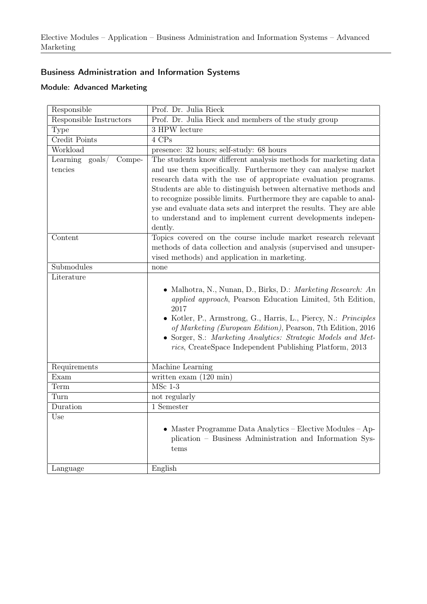## Business Administration and Information Systems

#### Module: Advanced Marketing

| Responsible                                      | Prof. Dr. Julia Rieck                                                                                                                                                                                                                                                                                                                                                                                                                                                                            |
|--------------------------------------------------|--------------------------------------------------------------------------------------------------------------------------------------------------------------------------------------------------------------------------------------------------------------------------------------------------------------------------------------------------------------------------------------------------------------------------------------------------------------------------------------------------|
| Responsible Instructors                          | Prof. Dr. Julia Rieck and members of the study group                                                                                                                                                                                                                                                                                                                                                                                                                                             |
| Type                                             | 3 HPW lecture                                                                                                                                                                                                                                                                                                                                                                                                                                                                                    |
| Credit Points                                    | 4 CPs                                                                                                                                                                                                                                                                                                                                                                                                                                                                                            |
| Workload                                         | presence: 32 hours; self-study: 68 hours                                                                                                                                                                                                                                                                                                                                                                                                                                                         |
| Learning<br>$\text{goals}/$<br>Compe-<br>tencies | The students know different analysis methods for marketing data<br>and use them specifically. Furthermore they can analyse market<br>research data with the use of appropriate evaluation programs.<br>Students are able to distinguish between alternative methods and<br>to recognize possible limits. Furthermore they are capable to anal-<br>yse and evaluate data sets and interpret the results. They are able<br>to understand and to implement current developments indepen-<br>dently. |
| Content                                          | Topics covered on the course include market research relevant<br>methods of data collection and analysis (supervised and unsuper-<br>vised methods) and application in marketing.                                                                                                                                                                                                                                                                                                                |
| Submodules                                       | none                                                                                                                                                                                                                                                                                                                                                                                                                                                                                             |
| Literature                                       | • Malhotra, N., Nunan, D., Birks, D.: Marketing Research: An<br>applied approach, Pearson Education Limited, 5th Edition,<br>2017<br>• Kotler, P., Armstrong, G., Harris, L., Piercy, N.: Principles<br>of Marketing (European Edition), Pearson, 7th Edition, 2016<br>• Sorger, S.: Marketing Analytics: Strategic Models and Met-<br>rics, CreateSpace Independent Publishing Platform, 2013                                                                                                   |
| Requirements                                     | Machine Learning                                                                                                                                                                                                                                                                                                                                                                                                                                                                                 |
| Exam                                             | written exam $(120 \text{ min})$                                                                                                                                                                                                                                                                                                                                                                                                                                                                 |
| Term                                             | $MSc$ 1-3                                                                                                                                                                                                                                                                                                                                                                                                                                                                                        |
| Turn                                             | not regularly                                                                                                                                                                                                                                                                                                                                                                                                                                                                                    |
| Duration                                         | $\overline{1}$ Semester                                                                                                                                                                                                                                                                                                                                                                                                                                                                          |
| Use                                              | • Master Programme Data Analytics – Elective Modules – Ap-<br>plication – Business Administration and Information Sys-<br>tems                                                                                                                                                                                                                                                                                                                                                                   |
| Language                                         | English                                                                                                                                                                                                                                                                                                                                                                                                                                                                                          |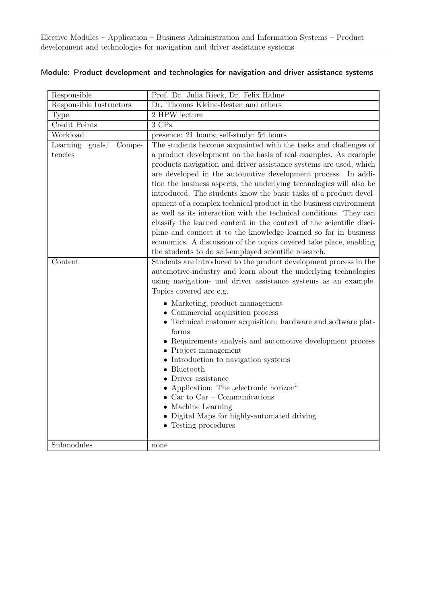| Responsible                                              | Prof. Dr. Julia Rieck, Dr. Felix Hahne                                                                                                                                                                                                                                                                                                                                                                                                                                                                                                                                                                                                                                                                                                                                                                                                     |
|----------------------------------------------------------|--------------------------------------------------------------------------------------------------------------------------------------------------------------------------------------------------------------------------------------------------------------------------------------------------------------------------------------------------------------------------------------------------------------------------------------------------------------------------------------------------------------------------------------------------------------------------------------------------------------------------------------------------------------------------------------------------------------------------------------------------------------------------------------------------------------------------------------------|
| Responsible Instructors                                  | Dr. Thomas Kleine-Besten and others                                                                                                                                                                                                                                                                                                                                                                                                                                                                                                                                                                                                                                                                                                                                                                                                        |
| Type                                                     | 2 HPW lecture                                                                                                                                                                                                                                                                                                                                                                                                                                                                                                                                                                                                                                                                                                                                                                                                                              |
| Credit Points                                            | $3$ $\mathrm{CPs}$                                                                                                                                                                                                                                                                                                                                                                                                                                                                                                                                                                                                                                                                                                                                                                                                                         |
| Workload                                                 | presence: 21 hours; self-study: 54 hours                                                                                                                                                                                                                                                                                                                                                                                                                                                                                                                                                                                                                                                                                                                                                                                                   |
| Learning<br>$\text{goals}/\text{ }$<br>Compe-<br>tencies | The students become acquainted with the tasks and challenges of<br>a product development on the basis of real examples. As example<br>products navigation and driver assistance systems are used, which<br>are developed in the automotive development process. In addi-<br>tion the business aspects, the underlying technologies will also be<br>introduced. The students know the basic tasks of a product devel-<br>opment of a complex technical product in the business environment<br>as well as its interaction with the technical conditions. They can<br>classify the learned content in the context of the scientific disci-<br>pline and connect it to the knowledge learned so far in business<br>economics. A discussion of the topics covered take place, enabling<br>the students to do self-employed scientific research. |
| Content                                                  | Students are introduced to the product development process in the<br>automotive-industry and learn about the underlying technologies<br>using navigation- und driver assistance systems as an example.<br>Topics covered are e.g.<br>• Marketing, product management<br>• Commercial acquisition process<br>• Technical customer acquisition: hardware and software plat-<br>forms<br>• Requirements analysis and automotive development process<br>$\bullet$ Project management<br>• Introduction to navigation systems<br>$\bullet$ Bluetooth<br>Driver assistance<br>• Application: The "electronic horizon"<br>$\bullet$ Car to Car – Communications<br>• Machine Learning<br>• Digital Maps for highly-automated driving<br>• Testing procedures                                                                                      |
| Submodules                                               | none                                                                                                                                                                                                                                                                                                                                                                                                                                                                                                                                                                                                                                                                                                                                                                                                                                       |

#### Module: Product development and technologies for navigation and driver assistance systems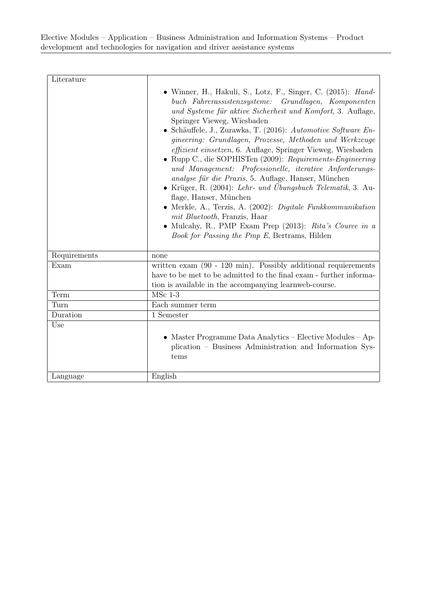| Literature   |                                                                                                                                                                                                                                                                                                                                                                                                                                                                                                                                                                                                                                                                                                                                                                                                                                                                                                 |
|--------------|-------------------------------------------------------------------------------------------------------------------------------------------------------------------------------------------------------------------------------------------------------------------------------------------------------------------------------------------------------------------------------------------------------------------------------------------------------------------------------------------------------------------------------------------------------------------------------------------------------------------------------------------------------------------------------------------------------------------------------------------------------------------------------------------------------------------------------------------------------------------------------------------------|
|              | • Winner, H., Hakuli, S., Lotz, F., Singer, C. $(2015)$ : Hand-<br>buch Fahrerassistenzsysteme: Grundlagen, Komponenten<br>und Systeme für aktive Sicherheit und Komfort, 3. Auflage,<br>Springer Vieweg, Wiesbaden<br>Schäuffele, J., Zurawka, T. (2016): Automotive Software En-<br>gineering: Grundlagen, Prozesse, Methoden und Werkzeuge<br>effizient einsetzen, 6. Auflage, Springer Vieweg, Wiesbaden<br>Rupp C., die SOPHISTen (2009): Requirements-Engineering<br>und Management: Professionelle, iterative Anforderungs-<br>analyse für die Praxis, 5. Auflage, Hanser, München<br>• Krüger, R. (2004): Lehr- und Übungsbuch Telematik, 3. Au-<br>flage, Hanser, München<br>• Merkle, A., Terzis, A. (2002): Digitale Funkkommunikation<br>mit Bluetooth, Franzis, Haar<br>• Mulcahy, R., PMP Exam Prep $(2013)$ : Rita's Cource in a<br>Book for Passing the Pmp E, Bertrams, Hilden |
| Requirements | none                                                                                                                                                                                                                                                                                                                                                                                                                                                                                                                                                                                                                                                                                                                                                                                                                                                                                            |
| Exam         | written $exam$ (90 - 120 min). Possibly additional requierements<br>have to be met to be admitted to the final exam - further informa-<br>tion is available in the accompanying learnweb-course.                                                                                                                                                                                                                                                                                                                                                                                                                                                                                                                                                                                                                                                                                                |
| Term         | $MSc$ 1-3                                                                                                                                                                                                                                                                                                                                                                                                                                                                                                                                                                                                                                                                                                                                                                                                                                                                                       |
| Turn         | Each summer term                                                                                                                                                                                                                                                                                                                                                                                                                                                                                                                                                                                                                                                                                                                                                                                                                                                                                |
| Duration     | 1 Semester                                                                                                                                                                                                                                                                                                                                                                                                                                                                                                                                                                                                                                                                                                                                                                                                                                                                                      |
| Use          |                                                                                                                                                                                                                                                                                                                                                                                                                                                                                                                                                                                                                                                                                                                                                                                                                                                                                                 |
|              | • Master Programme Data Analytics – Elective Modules – Ap-<br>plication – Business Administration and Information Sys-<br>tems                                                                                                                                                                                                                                                                                                                                                                                                                                                                                                                                                                                                                                                                                                                                                                  |
| Language     | English                                                                                                                                                                                                                                                                                                                                                                                                                                                                                                                                                                                                                                                                                                                                                                                                                                                                                         |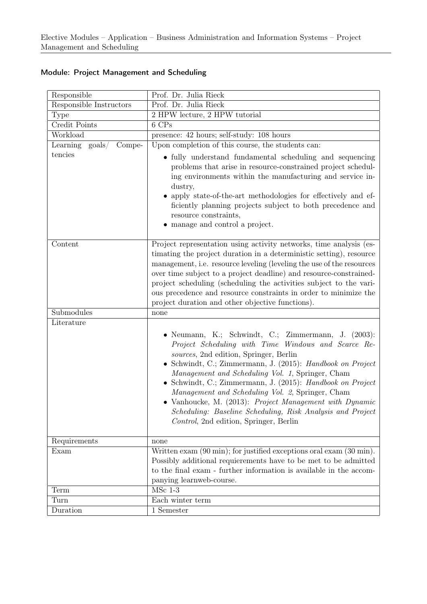| Responsible                            | Prof. Dr. Julia Rieck                                                                                                                                                                                                                                                                                                                                                                                                                                                                                                                                       |
|----------------------------------------|-------------------------------------------------------------------------------------------------------------------------------------------------------------------------------------------------------------------------------------------------------------------------------------------------------------------------------------------------------------------------------------------------------------------------------------------------------------------------------------------------------------------------------------------------------------|
| Responsible Instructors                | Prof. Dr. Julia Rieck                                                                                                                                                                                                                                                                                                                                                                                                                                                                                                                                       |
| Type                                   | 2 HPW lecture, 2 HPW tutorial                                                                                                                                                                                                                                                                                                                                                                                                                                                                                                                               |
| Credit Points                          | 6 CPs                                                                                                                                                                                                                                                                                                                                                                                                                                                                                                                                                       |
| Workload                               | presence: 42 hours; self-study: 108 hours                                                                                                                                                                                                                                                                                                                                                                                                                                                                                                                   |
| Learning<br>$\text{goals} /$<br>Compe- | Upon completion of this course, the students can:                                                                                                                                                                                                                                                                                                                                                                                                                                                                                                           |
| tencies                                | • fully understand fundamental scheduling and sequencing<br>problems that arise in resource-constrained project schedul-<br>ing environments within the manufacturing and service in-<br>dustry,<br>• apply state-of-the-art methodologies for effectively and ef-<br>ficiently planning projects subject to both precedence and<br>resource constraints,<br>manage and control a project.                                                                                                                                                                  |
| Content                                | Project representation using activity networks, time analysis (es-<br>timating the project duration in a deterministic setting), resource<br>management, i.e. resource leveling (leveling the use of the resources<br>over time subject to a project deadline) and resource-constrained-<br>project scheduling (scheduling the activities subject to the vari-<br>ous precedence and resource constraints in order to minimize the<br>project duration and other objective functions).                                                                      |
| Submodules                             | none                                                                                                                                                                                                                                                                                                                                                                                                                                                                                                                                                        |
| Literature                             | • Neumann, K.; Schwindt, C.; Zimmermann, J. (2003):<br>Project Scheduling with Time Windows and Scarce Re-<br>sources, 2nd edition, Springer, Berlin<br>• Schwindt, C.; Zimmermann, J. (2015): Handbook on Project<br>Management and Scheduling Vol. 1, Springer, Cham<br>• Schwindt, C.; Zimmermann, J. (2015): Handbook on Project<br>Management and Scheduling Vol. 2, Springer, Cham<br>• Vanhoucke, M. (2013): Project Management with Dynamic<br>Scheduling: Baseline Scheduling, Risk Analysis and Project<br>Control, 2nd edition, Springer, Berlin |
| Requirements                           | none                                                                                                                                                                                                                                                                                                                                                                                                                                                                                                                                                        |
| Exam                                   | Written exam $(90 \text{ min})$ ; for justified exceptions oral exam $(30 \text{ min})$ .<br>Possibly additional requierements have to be met to be admitted<br>to the final exam - further information is available in the accom-<br>panying learnweb-course.                                                                                                                                                                                                                                                                                              |
| Term                                   | $MSc$ 1-3                                                                                                                                                                                                                                                                                                                                                                                                                                                                                                                                                   |
| Turn                                   | Each winter term                                                                                                                                                                                                                                                                                                                                                                                                                                                                                                                                            |
| Duration                               | $\overline{1}$ Semester                                                                                                                                                                                                                                                                                                                                                                                                                                                                                                                                     |

## Module: Project Management and Scheduling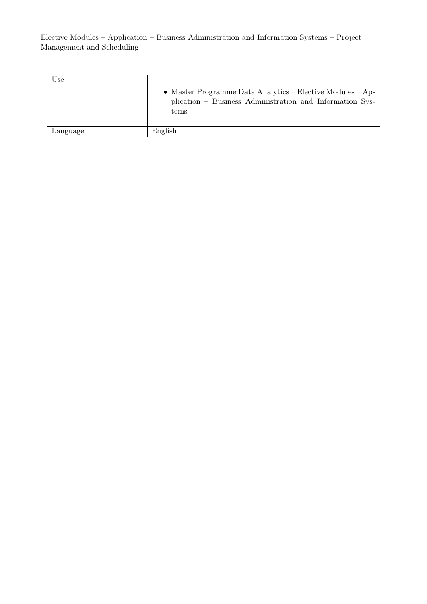| Use      | • Master Programme Data Analytics – Elective Modules – Ap-<br>plication – Business Administration and Information Sys-<br>tems |
|----------|--------------------------------------------------------------------------------------------------------------------------------|
| Language | English                                                                                                                        |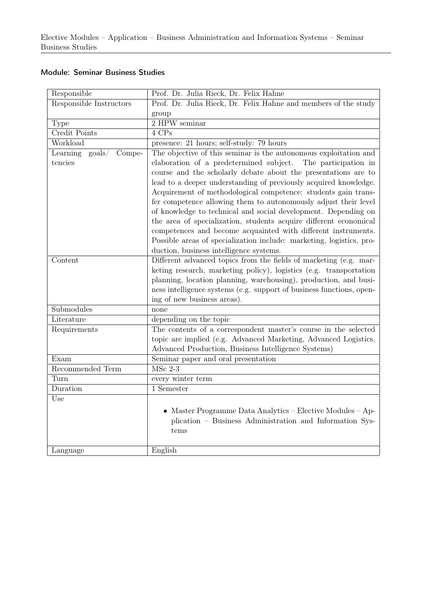#### Module: Seminar Business Studies

| Responsible                            | Prof. Dr. Julia Rieck, Dr. Felix Hahne                               |
|----------------------------------------|----------------------------------------------------------------------|
| Responsible Instructors                | Prof. Dr. Julia Rieck, Dr. Felix Hahne and members of the study      |
|                                        | group                                                                |
| <b>Type</b>                            | 2 HPW seminar                                                        |
| Credit Points                          | 4 CPs                                                                |
| Workload                               | presence: 21 hours; self-study: 79 hours                             |
| Learning<br>$\text{goals} /$<br>Compe- | The objective of this seminar is the autonomous exploitation and     |
| tencies                                | elaboration of a predetermined subject.<br>The participation in      |
|                                        | course and the scholarly debate about the presentations are to       |
|                                        | lead to a deeper understanding of previously acquired knowledge.     |
|                                        | Acquirement of methodological competence: students gain trans-       |
|                                        | fer competence allowing them to autonomously adjust their level      |
|                                        | of knowledge to technical and social development. Depending on       |
|                                        | the area of specialization, students acquire different economical    |
|                                        | competences and become acquainted with different instruments.        |
|                                        | Possible areas of specialization include: marketing, logistics, pro- |
|                                        | duction, business intelligence systems.                              |
| Content                                | Different advanced topics from the fields of marketing (e.g. mar-    |
|                                        | keting research, marketing policy), logistics (e.g. transportation   |
|                                        | planning, location planning, warehousing), production, and busi-     |
|                                        | ness intelligence systems (e.g. support of business functions, open- |
|                                        | ing of new business areas).                                          |
| Submodules                             | none                                                                 |
| Literature                             | depending on the topic                                               |
| Requirements                           | The contents of a correspondent master's course in the selected      |
|                                        | topic are implied (e.g. Advanced Marketing, Advanced Logistics,      |
|                                        | Advanced Production, Business Intelligence Systems)                  |
| Exam                                   | Seminar paper and oral presentation                                  |
| Recommended Term                       | $MSc$ 2-3                                                            |
| Turn                                   | every winter term                                                    |
| Duration                               | $\overline{1}$ Semester                                              |
| Use                                    |                                                                      |
|                                        | • Master Programme Data Analytics – Elective Modules – Ap-           |
|                                        | plication - Business Administration and Information Sys-             |
|                                        | tems                                                                 |
|                                        |                                                                      |
| Language                               | English                                                              |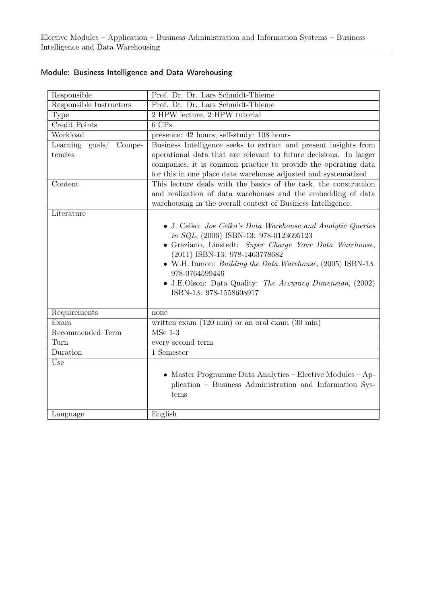| Responsible                        | Prof. Dr. Dr. Lars Schmidt-Thieme                                                                                                                                     |
|------------------------------------|-----------------------------------------------------------------------------------------------------------------------------------------------------------------------|
| Responsible Instructors            | Prof. Dr. Dr. Lars Schmidt-Thieme                                                                                                                                     |
| Type                               | 2 HPW lecture, 2 HPW tutorial                                                                                                                                         |
| Credit Points                      | 6 CPs                                                                                                                                                                 |
| Workload                           | presence: 42 hours; self-study: 108 hours                                                                                                                             |
| Learning $\text{goals}/$<br>Compe- | Business Intelligence seeks to extract and present insights from                                                                                                      |
| tencies                            | operational data that are relevant to future decisions. In larger                                                                                                     |
|                                    | companies, it is common practice to provide the operating data                                                                                                        |
|                                    | for this in one place data warehouse adjusted and systematized                                                                                                        |
| Content                            | This lecture deals with the basics of the task, the construction                                                                                                      |
|                                    | and realization of data warehouses and the embedding of data                                                                                                          |
|                                    | warehousing in the overall context of Business Intelligence.                                                                                                          |
| Literature                         |                                                                                                                                                                       |
|                                    | • J. Celko: Joe Celko's Data Warehouse and Analytic Queries<br>in $SQL$ , $(2006)$ ISBN-13: 978-0123695123<br>• Graziano, Linstedt: Super Charge Your Data Warehouse, |
|                                    | (2011) ISBN-13: 978-1463778682                                                                                                                                        |
|                                    | • W.H. Inmon: <i>Building the Data Warehouse</i> , (2005) ISBN-13:<br>978-0764599446                                                                                  |
|                                    | • J.E.Olson: Data Quality: The Accuracy Dimension, (2002)<br>ISBN-13: 978-1558608917                                                                                  |
| Requirements                       | none                                                                                                                                                                  |
| Exam                               | written exam $(120 \text{ min})$ or an oral exam $(30 \text{ min})$                                                                                                   |
| Recommended Term                   | $MSc$ 1-3                                                                                                                                                             |
| Turn                               | every second term                                                                                                                                                     |
| Duration                           | $1$ Semester                                                                                                                                                          |
| Use                                |                                                                                                                                                                       |
|                                    | • Master Programme Data Analytics – Elective Modules – Ap-                                                                                                            |
|                                    | plication – Business Administration and Information Sys-                                                                                                              |
|                                    | tems                                                                                                                                                                  |
| Language                           | English                                                                                                                                                               |
|                                    |                                                                                                                                                                       |

## Module: Business Intelligence and Data Warehousing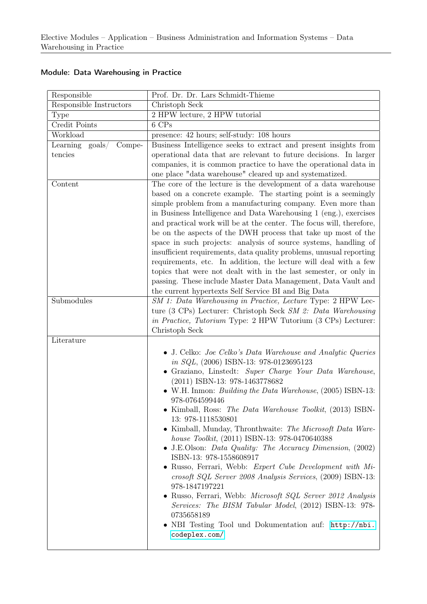| Responsible                                   | Prof. Dr. Dr. Lars Schmidt-Thieme                                                                                                         |
|-----------------------------------------------|-------------------------------------------------------------------------------------------------------------------------------------------|
| Responsible Instructors                       | Christoph Seck                                                                                                                            |
| Type                                          | 2 HPW lecture, 2 HPW tutorial                                                                                                             |
| Credit Points                                 | 6 CPs                                                                                                                                     |
| Workload                                      | presence: 42 hours; self-study: 108 hours                                                                                                 |
| $\text{goals}/\text{ }$<br>Learning<br>Compe- | Business Intelligence seeks to extract and present insights from                                                                          |
| tencies                                       | operational data that are relevant to future decisions. In larger                                                                         |
|                                               | companies, it is common practice to have the operational data in                                                                          |
|                                               | one place "data warehouse" cleared up and systematized.                                                                                   |
| Content                                       | The core of the lecture is the development of a data warehouse                                                                            |
|                                               | based on a concrete example. The starting point is a seemingly                                                                            |
|                                               | simple problem from a manufacturing company. Even more than                                                                               |
|                                               | in Business Intelligence and Data Warehousing 1 (eng.), exercises<br>and practical work will be at the center. The focus will, therefore, |
|                                               | be on the aspects of the DWH process that take up most of the                                                                             |
|                                               | space in such projects: analysis of source systems, handling of                                                                           |
|                                               | insufficient requirements, data quality problems, unusual reporting                                                                       |
|                                               | requirements, etc. In addition, the lecture will deal with a few                                                                          |
|                                               | topics that were not dealt with in the last semester, or only in                                                                          |
|                                               | passing. These include Master Data Management, Data Vault and                                                                             |
|                                               | the current hypertexts Self Service BI and Big Data                                                                                       |
| Submodules                                    | SM 1: Data Warehousing in Practice, Lecture Type: 2 HPW Lec-                                                                              |
|                                               | ture (3 CPs) Lecturer: Christoph Seck SM 2: Data Warehousing                                                                              |
|                                               | <i>in Practice, Tutorium</i> Type: 2 HPW Tutorium (3 CPs) Lecturer:                                                                       |
|                                               | Christoph Seck                                                                                                                            |
| Literature                                    |                                                                                                                                           |
|                                               | $\bullet$ J. Celko: <i>Joe Celko's Data Warehouse and Analytic Queries</i>                                                                |
|                                               | in $SQL$ , $(2006)$ ISBN-13: 978-0123695123                                                                                               |
|                                               | • Graziano, Linstedt: Super Charge Your Data Warehouse,<br>$(2011)$ ISBN-13: 978-1463778682                                               |
|                                               | • W.H. Inmon: <i>Building the Data Warehouse</i> , $(2005)$ ISBN-13:                                                                      |
|                                               | 978-0764599446                                                                                                                            |
|                                               | Kimball, Ross: The Data Warehouse Toolkit, (2013) ISBN-                                                                                   |
|                                               | 13: 978-1118530801                                                                                                                        |
|                                               | • Kimball, Munday, Thronthwaite: The Microsoft Data Ware-                                                                                 |
|                                               | house Toolkit, (2011) ISBN-13: 978-0470640388                                                                                             |
|                                               | • J.E.Olson: <i>Data Quality: The Accuracy Dimension</i> , (2002)                                                                         |
|                                               | ISBN-13: 978-1558608917                                                                                                                   |
|                                               | Russo, Ferrari, Webb: Expert Cube Development with Mi-<br>$\bullet$                                                                       |
|                                               | crosoft SQL Server 2008 Analysis Services, (2009) ISBN-13:<br>978-1847197221                                                              |
|                                               | • Russo, Ferrari, Webb: Microsoft SQL Server 2012 Analysis                                                                                |
|                                               | Services: The BISM Tabular Model, (2012) ISBN-13: 978-                                                                                    |
|                                               | 0735658189                                                                                                                                |
|                                               | • NBI Testing Tool und Dokumentation auf: http://nbi.                                                                                     |
|                                               | codeplex.com/                                                                                                                             |
|                                               |                                                                                                                                           |

## Module: Data Warehousing in Practice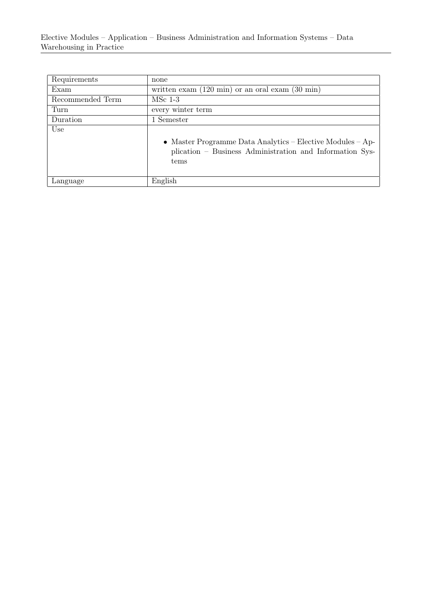| Requirements     | none                                                                                                                           |
|------------------|--------------------------------------------------------------------------------------------------------------------------------|
| Exam             | written exam $(120 \text{ min})$ or an oral exam $(30 \text{ min})$                                                            |
| Recommended Term | $MSc$ 1-3                                                                                                                      |
| Turn             | every winter term                                                                                                              |
| Duration         | 1 Semester                                                                                                                     |
| Use              | • Master Programme Data Analytics – Elective Modules – Ap-<br>plication – Business Administration and Information Sys-<br>tems |
| Language         | English                                                                                                                        |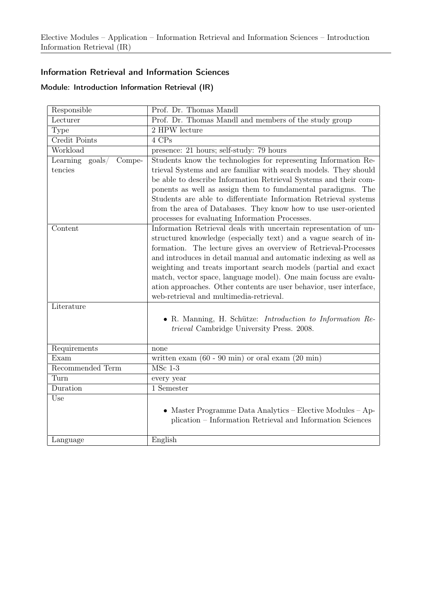#### Information Retrieval and Information Sciences

#### Module: Introduction Information Retrieval (IR)

| Responsible                           | Prof. Dr. Thomas Mandl                                               |
|---------------------------------------|----------------------------------------------------------------------|
| Lecturer                              | Prof. Dr. Thomas Mandl and members of the study group                |
| Type                                  | 2 HPW lecture                                                        |
| Credit Points                         | 4 CPs                                                                |
| Workload                              | presence: 21 hours; self-study: 79 hours                             |
| Learning<br>$\text{goals}/$<br>Compe- | Students know the technologies for representing Information Re-      |
| tencies                               | trieval Systems and are familiar with search models. They should     |
|                                       | be able to describe Information Retrieval Systems and their com-     |
|                                       | ponents as well as assign them to fundamental paradigms. The         |
|                                       | Students are able to differentiate Information Retrieval systems     |
|                                       | from the area of Databases. They know how to use user-oriented       |
|                                       | processes for evaluating Information Processes.                      |
| Content                               | Information Retrieval deals with uncertain representation of un-     |
|                                       | structured knowledge (especially text) and a vague search of in-     |
|                                       | formation. The lecture gives an overview of Retrieval-Processes      |
|                                       | and introduces in detail manual and automatic indexing as well as    |
|                                       | weighting and treats important search models (partial and exact      |
|                                       | match, vector space, language model). One main focuss are evalu-     |
|                                       | ation approaches. Other contents are user behavior, user interface,  |
|                                       | web-retrieval and multimedia-retrieval.                              |
| Literature                            |                                                                      |
|                                       | • R. Manning, H. Schütze: <i>Introduction to Information Re-</i>     |
|                                       | <i>trieval</i> Cambridge University Press. 2008.                     |
|                                       |                                                                      |
| Requirements                          | none                                                                 |
| Exam                                  | written exam $(60 - 90 \text{ min})$ or oral exam $(20 \text{ min})$ |
| Recommended Term                      | $MSc$ 1-3                                                            |
| Turn                                  | every year                                                           |
| Duration                              | 1 Semester                                                           |
| Use                                   |                                                                      |
|                                       | • Master Programme Data Analytics – Elective Modules – Ap-           |
|                                       | plication – Information Retrieval and Information Sciences           |
|                                       |                                                                      |
| Language                              | English                                                              |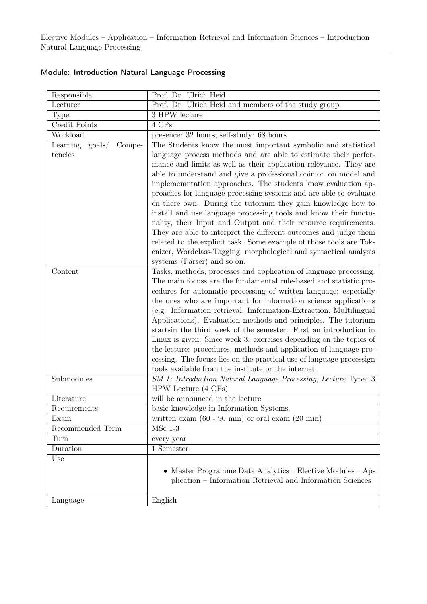| Responsible                            | Prof. Dr. Ulrich Heid                                                                                                                |
|----------------------------------------|--------------------------------------------------------------------------------------------------------------------------------------|
| Lecturer                               | Prof. Dr. Ulrich Heid and members of the study group                                                                                 |
| <b>Type</b>                            | 3 HPW lecture                                                                                                                        |
| Credit Points                          | 4 CPs                                                                                                                                |
| Workload                               | presence: 32 hours; self-study: 68 hours                                                                                             |
| $\text{goals} /$<br>Learning<br>Compe- | The Students know the most important symbolic and statistical                                                                        |
| tencies                                | language process methods and are able to estimate their perfor-                                                                      |
|                                        | mance and limits as well as their application relevance. They are                                                                    |
|                                        | able to understand and give a professional opinion on model and                                                                      |
|                                        | implememetation approaches. The students know evaluation ap-                                                                         |
|                                        | proaches for language processing systems and are able to evaluate                                                                    |
|                                        | on there own. During the tutorium they gain knowledge how to                                                                         |
|                                        | install and use language processing tools and know their functu-                                                                     |
|                                        | nality, their Input and Output and their resource requirements.                                                                      |
|                                        | They are able to interpret the different outcomes and judge them                                                                     |
|                                        | related to the explicit task. Some example of those tools are Tok-                                                                   |
|                                        | enizer, Wordclass-Tagging, morphological and syntactical analysis                                                                    |
|                                        | systems (Parser) and so on.                                                                                                          |
| Content                                | Tasks, methods, processes and application of language processing.                                                                    |
|                                        | The main focuss are the fundamental rule-based and statistic pro-                                                                    |
|                                        | cedures for automatic processing of written language; especially                                                                     |
|                                        | the ones who are important for information science applications                                                                      |
|                                        | (e.g. Information retrieval, Imformation-Extraction, Multilingual                                                                    |
|                                        | Applications). Evaluation methods and principles. The tutorium<br>starts in the third week of the semester. First an introduction in |
|                                        | Linux is given. Since week 3: exercises depending on the topics of                                                                   |
|                                        | the lecture: procedures, methods and application of language pro-                                                                    |
|                                        | cessing. The focuss lies on the practical use of language processign                                                                 |
|                                        | tools available from the institute or the internet.                                                                                  |
| Submodules                             | SM 1: Introduction Natural Language Processing, Lecture Type: 3                                                                      |
|                                        | $HPW$ Lecture $(4 \text{ CPs})$                                                                                                      |
| Literature                             | will be announced in the lecture                                                                                                     |
| Requirements                           | basic knowledge in Information Systems                                                                                               |
| Exam                                   | written exam $(60 - 90 \text{ min})$ or oral exam $(20 \text{ min})$                                                                 |
| Recommended Term                       | $MSc$ 1-3                                                                                                                            |
| Turn                                   | every year                                                                                                                           |
| Duration                               | 1 Semester                                                                                                                           |
| Use                                    |                                                                                                                                      |
|                                        | • Master Programme Data Analytics – Elective Modules – Ap-                                                                           |
|                                        | plication – Information Retrieval and Information Sciences                                                                           |
|                                        |                                                                                                                                      |
| Language                               | English                                                                                                                              |

### Module: Introduction Natural Language Processing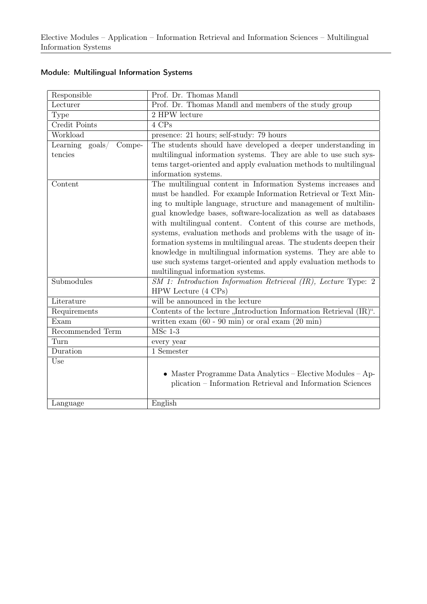| Responsible                           | Prof. Dr. Thomas Mandl                                                                                                                                                                                                                                                                                                                                                                                                                                                                                                                                                                                                                                        |
|---------------------------------------|---------------------------------------------------------------------------------------------------------------------------------------------------------------------------------------------------------------------------------------------------------------------------------------------------------------------------------------------------------------------------------------------------------------------------------------------------------------------------------------------------------------------------------------------------------------------------------------------------------------------------------------------------------------|
| Lecturer                              | Prof. Dr. Thomas Mandl and members of the study group                                                                                                                                                                                                                                                                                                                                                                                                                                                                                                                                                                                                         |
| <b>Type</b>                           | 2 HPW lecture                                                                                                                                                                                                                                                                                                                                                                                                                                                                                                                                                                                                                                                 |
| Credit Points                         | 4 CPs                                                                                                                                                                                                                                                                                                                                                                                                                                                                                                                                                                                                                                                         |
| Workload                              | presence: 21 hours; self-study: 79 hours                                                                                                                                                                                                                                                                                                                                                                                                                                                                                                                                                                                                                      |
| Learning<br>$\text{goals}/$<br>Compe- | The students should have developed a deeper understanding in                                                                                                                                                                                                                                                                                                                                                                                                                                                                                                                                                                                                  |
| tencies                               | multilingual information systems. They are able to use such sys-                                                                                                                                                                                                                                                                                                                                                                                                                                                                                                                                                                                              |
|                                       | tems target-oriented and apply evaluation methods to multilingual                                                                                                                                                                                                                                                                                                                                                                                                                                                                                                                                                                                             |
|                                       | information systems.                                                                                                                                                                                                                                                                                                                                                                                                                                                                                                                                                                                                                                          |
| Content                               | The multilingual content in Information Systems increases and<br>must be handled. For example Information Retrieval or Text Min-<br>ing to multiple language, structure and management of multilin-<br>gual knowledge bases, software-localization as well as databases<br>with multilingual content. Content of this course are methods,<br>systems, evaluation methods and problems with the usage of in-<br>formation systems in multilingual areas. The students deepen their<br>knowledge in multilingual information systems. They are able to<br>use such systems target-oriented and apply evaluation methods to<br>multilingual information systems. |
| Submodules                            | $SM$ 1: Introduction Information Retrieval $(IR)$ , Lecture Type: 2<br>HPW Lecture $(4 \text{ CPs})$                                                                                                                                                                                                                                                                                                                                                                                                                                                                                                                                                          |
| Literature                            | will be announced in the lecture                                                                                                                                                                                                                                                                                                                                                                                                                                                                                                                                                                                                                              |
| Requirements                          | Contents of the lecture "Introduction Information Retrieval (IR)".                                                                                                                                                                                                                                                                                                                                                                                                                                                                                                                                                                                            |
| Exam                                  | written exam $(60 - 90 \text{ min})$ or oral exam $(20 \text{ min})$                                                                                                                                                                                                                                                                                                                                                                                                                                                                                                                                                                                          |
| Recommended Term                      | $MSc$ 1-3                                                                                                                                                                                                                                                                                                                                                                                                                                                                                                                                                                                                                                                     |
| Turn                                  | every year                                                                                                                                                                                                                                                                                                                                                                                                                                                                                                                                                                                                                                                    |
| Duration                              | 1 Semester                                                                                                                                                                                                                                                                                                                                                                                                                                                                                                                                                                                                                                                    |
| Use                                   | • Master Programme Data Analytics – Elective Modules – Ap-<br>plication – Information Retrieval and Information Sciences                                                                                                                                                                                                                                                                                                                                                                                                                                                                                                                                      |
| Language                              | English                                                                                                                                                                                                                                                                                                                                                                                                                                                                                                                                                                                                                                                       |

## Module: Multilingual Information Systems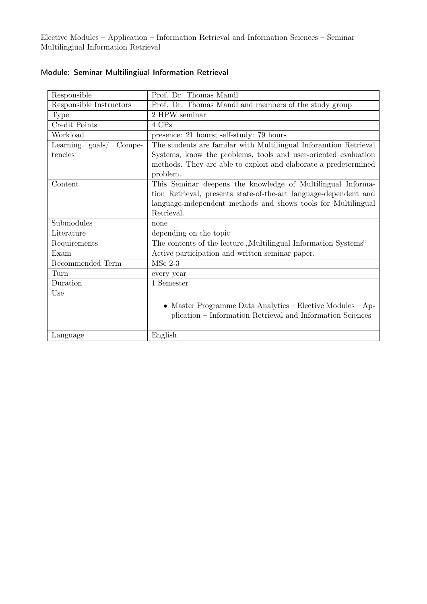| Responsible                           | Prof. Dr. Thomas Mandl                                           |
|---------------------------------------|------------------------------------------------------------------|
| Responsible Instructors               | Prof. Dr. Thomas Mandl and members of the study group            |
| <b>Type</b>                           | 2 HPW seminar                                                    |
| Credit Points                         | 4 CPs                                                            |
| Workload                              | presence: 21 hours; self-study: 79 hours                         |
| Learning<br>$\text{goals}/$<br>Compe- | The students are familar with Multilingual Inforamtion Retrieval |
| tencies                               | Systems, know the problems, tools and user-oriented evaluation   |
|                                       | methods. They are able to exploit and elaborate a predetermined  |
|                                       | problem.                                                         |
| Content                               | This Seminar deepens the knowledge of Multilingual Informa-      |
|                                       | tion Retrieval, presents state-of-the-art language-dependent and |
|                                       | language-independent methods and shows tools for Multilingual    |
|                                       | Retrieval.                                                       |
| Submodules                            | none                                                             |
| Literature                            | depending on the topic                                           |
| Requirements                          | The contents of the lecture "Multilingual Information Systems"   |
| Exam                                  | Active participation and written seminar paper.                  |
| Recommended Term                      | $MSc$ 2-3                                                        |
| Turn                                  | every year                                                       |
| Duration                              | 1 Semester                                                       |
| Use                                   |                                                                  |
|                                       | • Master Programme Data Analytics – Elective Modules – Ap-       |
|                                       | plication – Information Retrieval and Information Sciences       |
|                                       |                                                                  |
| Language                              | English                                                          |

#### Module: Seminar Multilingiual Information Retrieval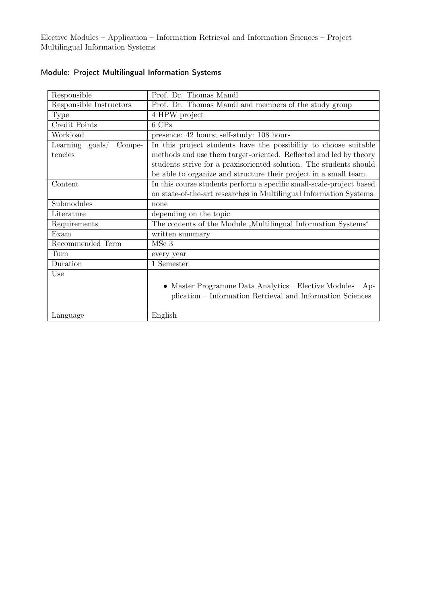| Responsible                           | Prof. Dr. Thomas Mandl                                               |
|---------------------------------------|----------------------------------------------------------------------|
| Responsible Instructors               | Prof. Dr. Thomas Mandl and members of the study group                |
| Type                                  | 4 HPW project                                                        |
| Credit Points                         | 6 CPs                                                                |
| Workload                              | presence: 42 hours; self-study: 108 hours                            |
| Learning<br>$\text{goals}/$<br>Compe- | In this project students have the possibility to choose suitable     |
| tencies                               | methods and use them target-oriented. Reflected and led by theory    |
|                                       | students strive for a praxisoriented solution. The students should   |
|                                       | be able to organize and structure their project in a small team.     |
| Content                               | In this course students perform a specific small-scale-project based |
|                                       | on state-of-the-art researches in Multilingual Information Systems.  |
| Submodules                            | none                                                                 |
| Literature                            | depending on the topic                                               |
| Requirements                          | The contents of the Module "Multilingual Information Systems"        |
| Exam                                  | written summary                                                      |
| Recommended Term                      | MSc <sub>3</sub>                                                     |
| Turn                                  | every year                                                           |
| Duration                              | 1 Semester                                                           |
| Use                                   |                                                                      |
|                                       | • Master Programme Data Analytics – Elective Modules – Ap-           |
|                                       | plication – Information Retrieval and Information Sciences           |
|                                       |                                                                      |
| Language                              | English                                                              |

## Module: Project Multilingual Information Systems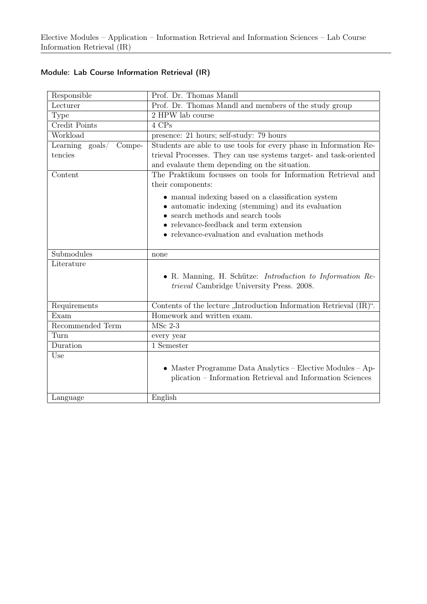| Responsible                        | Prof. Dr. Thomas Mandl                                             |
|------------------------------------|--------------------------------------------------------------------|
| Lecturer                           | Prof. Dr. Thomas Mandl and members of the study group              |
| Type                               | 2 HPW lab course                                                   |
| Credit Points                      | 4 CPs                                                              |
| Workload                           | presence: 21 hours; self-study: 79 hours                           |
| Learning $\text{goals}/$<br>Compe- | Students are able to use tools for every phase in Information Re-  |
| tencies                            | trieval Processes. They can use systems target- and task-oriented  |
|                                    | and evalaute them depending on the situation.                      |
| Content                            | The Praktikum focusses on tools for Information Retrieval and      |
|                                    | their components:                                                  |
|                                    | • manual indexing based on a classification system                 |
|                                    | • automatic indexing (stemming) and its evaluation                 |
|                                    | $\bullet$ search methods and search tools                          |
|                                    | $\bullet\,$ relevance-feedback and term extension                  |
|                                    | $\bullet$ relevance-evaluation and evaluation methods              |
|                                    |                                                                    |
| Submodules                         | none                                                               |
| Literature                         |                                                                    |
|                                    | • R. Manning, H. Schütze: Introduction to Information Re-          |
|                                    | trieval Cambridge University Press. 2008.                          |
| Requirements                       | Contents of the lecture "Introduction Information Retrieval (IR)". |
| Exam                               | Homework and written exam.                                         |
| Recommended Term                   | $MSc$ 2-3                                                          |
| Turn                               | every year                                                         |
| Duration                           | 1 Semester                                                         |
| Use                                |                                                                    |
|                                    | • Master Programme Data Analytics – Elective Modules – Ap-         |
|                                    | plication - Information Retrieval and Information Sciences         |
|                                    |                                                                    |
| Language                           | English                                                            |
|                                    |                                                                    |

## Module: Lab Course Information Retrieval (IR)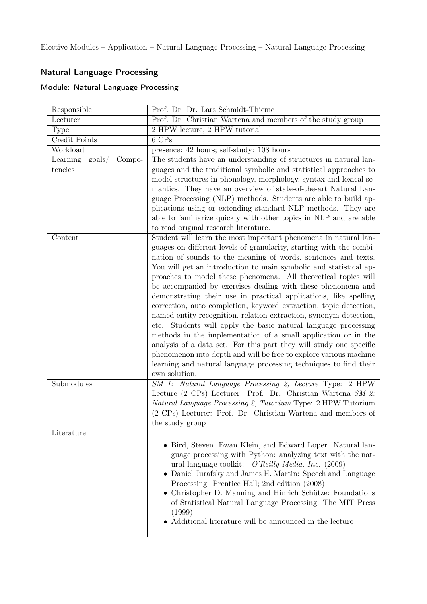## Natural Language Processing

## Module: Natural Language Processing

| Responsible                          | Prof. Dr. Dr. Lars Schmidt-Thieme                                                                                                                                                                                                                                                                                                                                                                                                                                                                                                                                                                                                                                                                                                                                                                                                                                                                                                                                                                     |
|--------------------------------------|-------------------------------------------------------------------------------------------------------------------------------------------------------------------------------------------------------------------------------------------------------------------------------------------------------------------------------------------------------------------------------------------------------------------------------------------------------------------------------------------------------------------------------------------------------------------------------------------------------------------------------------------------------------------------------------------------------------------------------------------------------------------------------------------------------------------------------------------------------------------------------------------------------------------------------------------------------------------------------------------------------|
| Lecturer                             | Prof. Dr. Christian Wartena and members of the study group                                                                                                                                                                                                                                                                                                                                                                                                                                                                                                                                                                                                                                                                                                                                                                                                                                                                                                                                            |
| Type                                 | 2 HPW lecture, 2 HPW tutorial                                                                                                                                                                                                                                                                                                                                                                                                                                                                                                                                                                                                                                                                                                                                                                                                                                                                                                                                                                         |
| Credit Points                        | 6 CPs                                                                                                                                                                                                                                                                                                                                                                                                                                                                                                                                                                                                                                                                                                                                                                                                                                                                                                                                                                                                 |
| Workload                             | presence: 42 hours; self-study: 108 hours                                                                                                                                                                                                                                                                                                                                                                                                                                                                                                                                                                                                                                                                                                                                                                                                                                                                                                                                                             |
| Learning goals/<br>Compe-<br>tencies | The students have an understanding of structures in natural lan-<br>guages and the traditional symbolic and statistical approaches to<br>model structures in phonology, morphology, syntax and lexical se-<br>mantics. They have an overview of state-of-the-art Natural Lan-<br>guage Processing (NLP) methods. Students are able to build ap-<br>plications using or extending standard NLP methods. They are<br>able to familiarize quickly with other topics in NLP and are able<br>to read original research literature.                                                                                                                                                                                                                                                                                                                                                                                                                                                                         |
| Content                              | Student will learn the most important phenomena in natural lan-<br>guages on different levels of granularity, starting with the combi-<br>nation of sounds to the meaning of words, sentences and texts.<br>You will get an introduction to main symbolic and statistical ap-<br>proaches to model these phenomena. All theoretical topics will<br>be accompanied by exercises dealing with these phenomena and<br>demonstrating their use in practical applications, like spelling<br>correction, auto completion, keyword extraction, topic detection,<br>named entity recognition, relation extraction, synonym detection,<br>Students will apply the basic natural language processing<br>etc.<br>methods in the implementation of a small application or in the<br>analysis of a data set. For this part they will study one specific<br>phenomenon into depth and will be free to explore various machine<br>learning and natural language processing techniques to find their<br>own solution. |
| Submodules                           | SM 1: Natural Language Processing 2, Lecture Type: 2 HPW<br>Lecture (2 CPs) Lecturer: Prof. Dr. Christian Wartena SM 2:<br>Natural Language Processing 2, Tutorium Type: 2 HPW Tutorium<br>(2 CPs) Lecturer: Prof. Dr. Christian Wartena and members of<br>the study group                                                                                                                                                                                                                                                                                                                                                                                                                                                                                                                                                                                                                                                                                                                            |
| Literature                           | • Bird, Steven, Ewan Klein, and Edward Loper. Natural lan-<br>guage processing with Python: analyzing text with the nat-<br>ural language toolkit. $O'Relly Media, Inc. (2009)$<br>• Daniel Jurafsky and James H. Martin: Speech and Language<br>Processing. Prentice Hall; 2nd edition (2008)<br>• Christopher D. Manning and Hinrich Schütze: Foundations<br>of Statistical Natural Language Processing. The MIT Press<br>(1999)<br>Additional literature will be announced in the lecture                                                                                                                                                                                                                                                                                                                                                                                                                                                                                                          |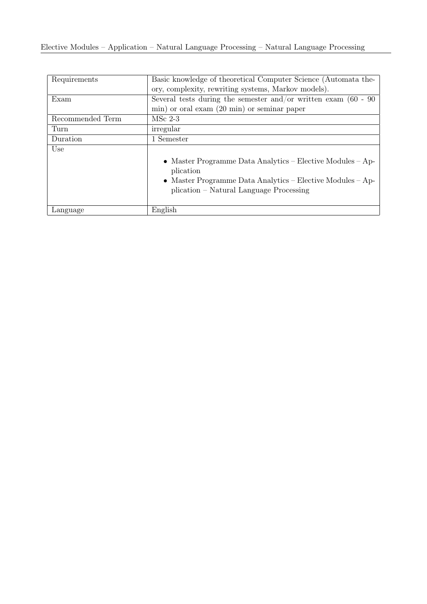| Requirements     | Basic knowledge of theoretical Computer Science (Automata the-                                        |
|------------------|-------------------------------------------------------------------------------------------------------|
|                  | ory, complexity, rewriting systems, Markov models).                                                   |
| Exam             | Several tests during the semester and/or written exam $(60 - 90)$                                     |
|                  | min) or oral exam (20 min) or seminar paper                                                           |
| Recommended Term | $MSc$ 2-3                                                                                             |
| Turn             | irregular                                                                                             |
| Duration         | 1 Semester                                                                                            |
| Use              |                                                                                                       |
|                  | • Master Programme Data Analytics – Elective Modules – Ap-<br>plication                               |
|                  | • Master Programme Data Analytics – Elective Modules – Ap-<br>plication – Natural Language Processing |
|                  |                                                                                                       |
| Language         | English                                                                                               |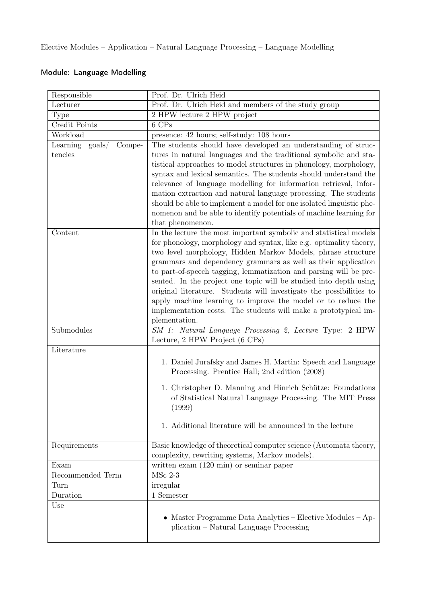## Module: Language Modelling

| Responsible                            | Prof. Dr. Ulrich Heid                                                                                                                                                                                                                                                                                                                                                                                                                                                                                                                                                                                                                         |
|----------------------------------------|-----------------------------------------------------------------------------------------------------------------------------------------------------------------------------------------------------------------------------------------------------------------------------------------------------------------------------------------------------------------------------------------------------------------------------------------------------------------------------------------------------------------------------------------------------------------------------------------------------------------------------------------------|
| Lecturer                               | Prof. Dr. Ulrich Heid and members of the study group                                                                                                                                                                                                                                                                                                                                                                                                                                                                                                                                                                                          |
| Type                                   | 2 HPW lecture 2 HPW project                                                                                                                                                                                                                                                                                                                                                                                                                                                                                                                                                                                                                   |
| Credit Points                          | 6 CPs                                                                                                                                                                                                                                                                                                                                                                                                                                                                                                                                                                                                                                         |
| Workload                               | presence: 42 hours; self-study: 108 hours                                                                                                                                                                                                                                                                                                                                                                                                                                                                                                                                                                                                     |
| $\text{goals} /$<br>Compe-<br>Learning | The students should have developed an understanding of struc-                                                                                                                                                                                                                                                                                                                                                                                                                                                                                                                                                                                 |
| tencies                                | tures in natural languages and the traditional symbolic and sta-<br>tistical approaches to model structures in phonology, morphology,<br>syntax and lexical semantics. The students should understand the<br>relevance of language modelling for information retrieval, infor-<br>mation extraction and natural language processing. The students<br>should be able to implement a model for one isolated linguistic phe-<br>nomenon and be able to identify potentials of machine learning for<br>that phenomenon.                                                                                                                           |
| Content                                | In the lecture the most important symbolic and statistical models<br>for phonology, morphology and syntax, like e.g. optimality theory,<br>two level morphology, Hidden Markov Models, phrase structure<br>grammars and dependency grammars as well as their application<br>to part-of-speech tagging, lemmatization and parsing will be pre-<br>sented. In the project one topic will be studied into depth using<br>original literature. Students will investigate the possibilities to<br>apply machine learning to improve the model or to reduce the<br>implementation costs. The students will make a prototypical im-<br>plementation. |
| Submodules                             | SM 1: Natural Language Processing 2, Lecture Type: 2 HPW<br>Lecture, 2 HPW Project (6 CPs)                                                                                                                                                                                                                                                                                                                                                                                                                                                                                                                                                    |
| Literature                             |                                                                                                                                                                                                                                                                                                                                                                                                                                                                                                                                                                                                                                               |
|                                        | 1. Daniel Jurafsky and James H. Martin: Speech and Language<br>Processing. Prentice Hall; 2nd edition (2008)<br>1. Christopher D. Manning and Hinrich Schütze: Foundations<br>of Statistical Natural Language Processing. The MIT Press<br>(1999)<br>1. Additional literature will be announced in the lecture                                                                                                                                                                                                                                                                                                                                |
| Requirements                           | Basic knowledge of theoretical computer science (Automata theory,<br>complexity, rewriting systems, Markov models).                                                                                                                                                                                                                                                                                                                                                                                                                                                                                                                           |
| Exam                                   | written exam $(120 \text{ min})$ or seminar paper                                                                                                                                                                                                                                                                                                                                                                                                                                                                                                                                                                                             |
| Recommended Term                       | $MSc$ 2-3                                                                                                                                                                                                                                                                                                                                                                                                                                                                                                                                                                                                                                     |
| Turn                                   | irregular                                                                                                                                                                                                                                                                                                                                                                                                                                                                                                                                                                                                                                     |
| Duration                               | 1 Semester                                                                                                                                                                                                                                                                                                                                                                                                                                                                                                                                                                                                                                    |
| Use                                    | • Master Programme Data Analytics – Elective Modules – Ap-<br>plication – Natural Language Processing                                                                                                                                                                                                                                                                                                                                                                                                                                                                                                                                         |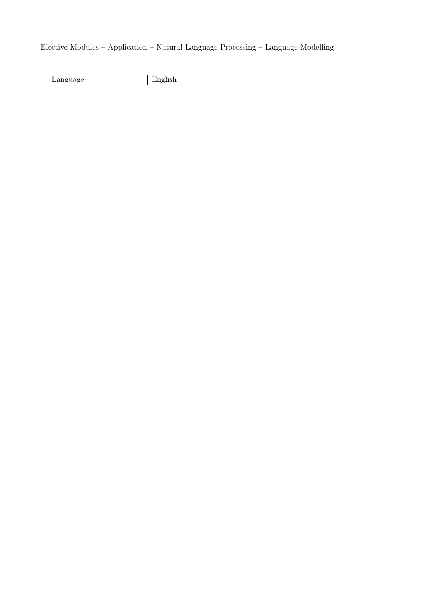## Elective Modules – Application – Natural Language Processing – Language Modelling

| -<br>_______ | $\sim$ |
|--------------|--------|
|              |        |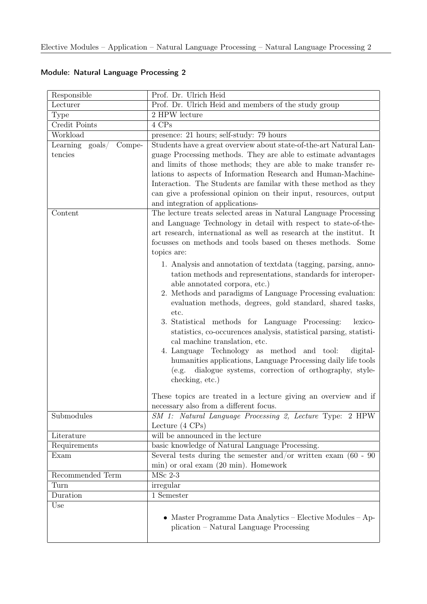| Responsible                        | Prof. Dr. Ulrich Heid                                                                                                                                                                                                                                                                                                                                                                                                                                                                                                                                                                            |
|------------------------------------|--------------------------------------------------------------------------------------------------------------------------------------------------------------------------------------------------------------------------------------------------------------------------------------------------------------------------------------------------------------------------------------------------------------------------------------------------------------------------------------------------------------------------------------------------------------------------------------------------|
| Lecturer                           | Prof. Dr. Ulrich Heid and members of the study group                                                                                                                                                                                                                                                                                                                                                                                                                                                                                                                                             |
| Type                               | 2 HPW lecture                                                                                                                                                                                                                                                                                                                                                                                                                                                                                                                                                                                    |
| Credit Points                      | 4 CPs                                                                                                                                                                                                                                                                                                                                                                                                                                                                                                                                                                                            |
| Workload                           | presence: 21 hours; self-study: 79 hours                                                                                                                                                                                                                                                                                                                                                                                                                                                                                                                                                         |
| Learning $\text{goals}/$<br>Compe- | Students have a great overview about state-of-the-art Natural Lan-                                                                                                                                                                                                                                                                                                                                                                                                                                                                                                                               |
| tencies                            | guage Processing methods. They are able to estimate advantages<br>and limits of those methods; they are able to make transfer re-<br>lations to aspects of Information Research and Human-Machine-<br>Interaction. The Students are familiar with these method as they<br>can give a professional opinion on their input, resources, output<br>and integration of applications-                                                                                                                                                                                                                  |
| Content                            | The lecture treats selected areas in Natural Language Processing<br>and Language Technology in detail with respect to state-of-the-<br>art research, international as well as research at the institut. It<br>focusses on methods and tools based on theses methods. Some<br>topics are:<br>1. Analysis and annotation of textdata (tagging, parsing, anno-<br>tation methods and representations, standards for interoper-<br>able annotated corpora, etc.)<br>2. Methods and paradigms of Language Processing evaluation:<br>evaluation methods, degrees, gold standard, shared tasks,<br>etc. |
|                                    | 3. Statistical methods for Language Processing:<br>lexico-<br>statistics, co-occurences analysis, statistical parsing, statisti-<br>cal machine translation, etc.<br>4. Language Technology as method and tool:<br>digital-<br>humanities applications, Language Processing daily life tools<br>dialogue systems, correction of orthography, style-<br>(e.g.<br>checking, etc.)<br>These topics are treated in a lecture giving an overview and if<br>necessary also from a different focus.                                                                                                     |
| Submodules                         | SM 1: Natural Language Processing 2, Lecture Type: 2 HPW<br>Lecture $(4 \text{ CPs})$                                                                                                                                                                                                                                                                                                                                                                                                                                                                                                            |
| Literature                         | will be announced in the lecture                                                                                                                                                                                                                                                                                                                                                                                                                                                                                                                                                                 |
| Requirements                       | basic knowledge of Natural Language Processing.                                                                                                                                                                                                                                                                                                                                                                                                                                                                                                                                                  |
| Exam                               | Several tests during the semester and/or written exam $(60 - 90)$                                                                                                                                                                                                                                                                                                                                                                                                                                                                                                                                |
|                                    | min) or oral exam (20 min). Homework                                                                                                                                                                                                                                                                                                                                                                                                                                                                                                                                                             |
| Recommended Term                   | $\overline{\mathrm{M}}$ Sc 2-3                                                                                                                                                                                                                                                                                                                                                                                                                                                                                                                                                                   |
| Turn                               | irregular                                                                                                                                                                                                                                                                                                                                                                                                                                                                                                                                                                                        |
| Duration                           | 1 Semester                                                                                                                                                                                                                                                                                                                                                                                                                                                                                                                                                                                       |
| Use                                | • Master Programme Data Analytics – Elective Modules – Ap-<br>plication – Natural Language Processing                                                                                                                                                                                                                                                                                                                                                                                                                                                                                            |

## Module: Natural Language Processing 2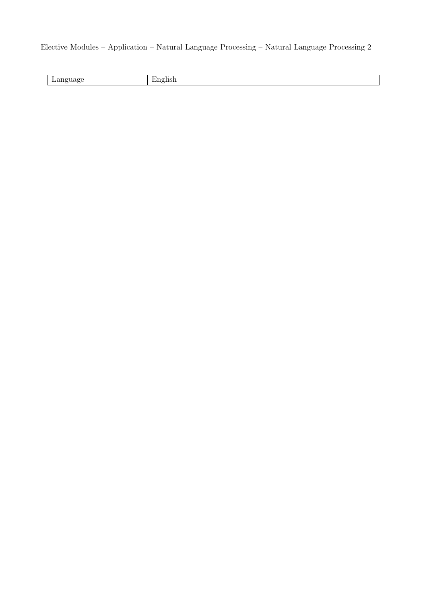## Elective Modules – Application – Natural Language Processing – Natural Language Processing 2

| --<br>______ |  |
|--------------|--|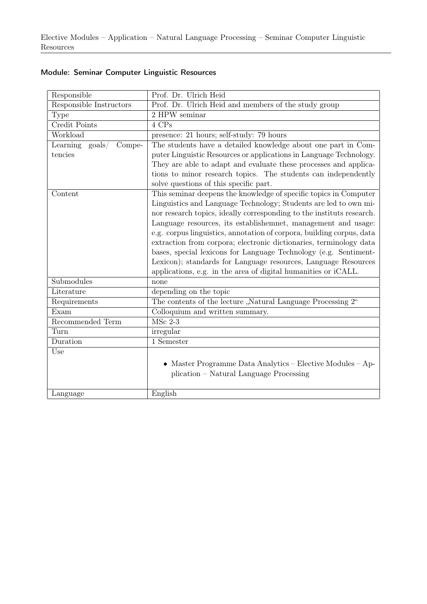| Responsible                              | Prof. Dr. Ulrich Heid                                                 |
|------------------------------------------|-----------------------------------------------------------------------|
| Responsible Instructors                  | Prof. Dr. Ulrich Heid and members of the study group                  |
| Type                                     | 2 HPW seminar                                                         |
| Credit Points                            | 4 CPs                                                                 |
| Workload                                 | presence: 21 hours; self-study: 79 hours                              |
| Learning<br>$\text{goals} /$<br>$Compe-$ | The students have a detailed knowledge about one part in Com-         |
| tencies                                  | puter Linguistic Resources or applications in Language Technology.    |
|                                          | They are able to adapt and evaluate these processes and applica-      |
|                                          | tions to minor research topics. The students can independently        |
|                                          | solve questions of this specific part.                                |
| Content                                  | This seminar deepens the knowledge of specific topics in Computer     |
|                                          | Linguistics and Language Technology; Students are led to own mi-      |
|                                          | nor research topics, ideally corresponding to the instituts research. |
|                                          | Language resources, its establishemnet, management and usage:         |
|                                          | e.g. corpus linguistics, annotation of corpora, building corpus, data |
|                                          | extraction from corpora; electronic dictionaries, terminology data    |
|                                          | bases, special lexicons for Language Technology (e.g. Sentiment-      |
|                                          | Lexicon); standards for Language resources, Language Resources        |
|                                          | applications, e.g. in the area of digital humanities or iCALL.        |
| Submodules                               | none                                                                  |
| Literature                               | depending on the topic                                                |
| Requirements                             | The contents of the lecture "Natural Language Processing 2"           |
| Exam                                     | Colloquium and written summary.                                       |
| Recommended Term                         | $MSc$ 2-3                                                             |
| Turn                                     | irregular                                                             |
| Duration                                 | 1 Semester                                                            |
| Use                                      |                                                                       |
|                                          | • Master Programme Data Analytics - Elective Modules - Ap-            |
|                                          | plication - Natural Language Processing                               |
|                                          |                                                                       |
| Language                                 | English                                                               |

## Module: Seminar Computer Linguistic Resources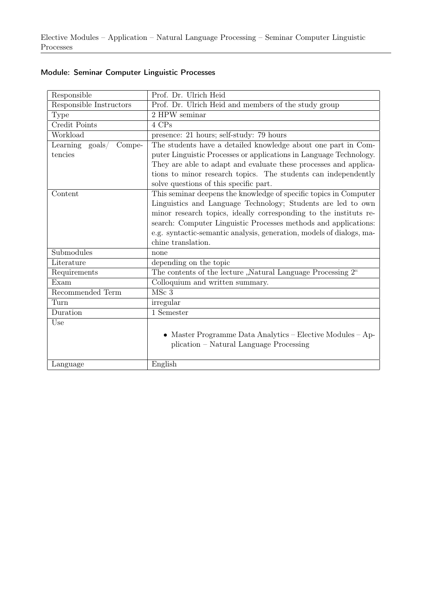| Responsible                        | Prof. Dr. Ulrich Heid                                                |
|------------------------------------|----------------------------------------------------------------------|
| Responsible Instructors            | Prof. Dr. Ulrich Heid and members of the study group                 |
| <b>Type</b>                        | 2 HPW seminar                                                        |
| Credit Points                      | 4 CPs                                                                |
| Workload                           | presence: 21 hours; self-study: 79 hours                             |
| Learning $\text{goals}/$<br>Compe- | The students have a detailed knowledge about one part in Com-        |
| tencies                            | puter Linguistic Processes or applications in Language Technology.   |
|                                    | They are able to adapt and evaluate these processes and applica-     |
|                                    | tions to minor research topics. The students can independently       |
|                                    | solve questions of this specific part.                               |
| Content                            | This seminar deepens the knowledge of specific topics in Computer    |
|                                    | Linguistics and Language Technology; Students are led to own         |
|                                    | minor research topics, ideally corresponding to the instituts re-    |
|                                    | search: Computer Linguistic Processes methods and applications:      |
|                                    | e.g. syntactic-semantic analysis, generation, models of dialogs, ma- |
|                                    | chine translation.                                                   |
| Submodules                         | none                                                                 |
| Literature                         | depending on the topic                                               |
| Requirements                       | The contents of the lecture "Natural Language Processing 2"          |
| Exam                               | Colloquium and written summary.                                      |
| Recommended Term                   | MSc <sub>3</sub>                                                     |
| Turn                               | irregular                                                            |
| Duration                           | 1 Semester                                                           |
| Use                                |                                                                      |
|                                    | Master Programme Data Analytics – Elective Modules – Ap-             |
|                                    | plication - Natural Language Processing                              |
|                                    |                                                                      |
| Language                           | English                                                              |

## Module: Seminar Computer Linguistic Processes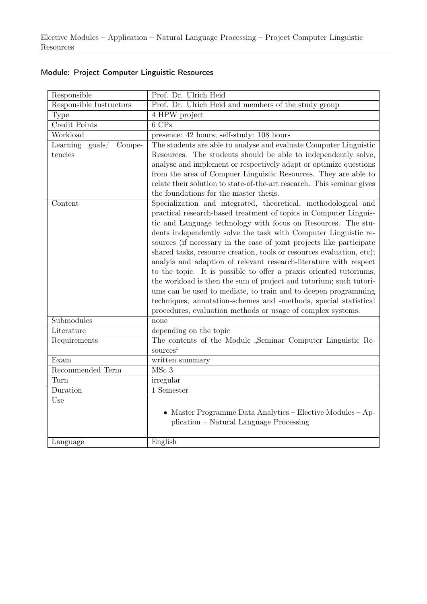| Responsible                           | Prof. Dr. Ulrich Heid                                                  |
|---------------------------------------|------------------------------------------------------------------------|
| Responsible Instructors               | Prof. Dr. Ulrich Heid and members of the study group                   |
| Type                                  | 4 HPW project                                                          |
| Credit Points                         | $6$ CPs                                                                |
| Workload                              | presence: 42 hours; self-study: 108 hours                              |
| Learning<br>$\text{goals}/$<br>Compe- | The students are able to analyse and evaluate Computer Linguistic      |
| tencies                               | Resources. The students should be able to independently solve,         |
|                                       | analyse and implement or respectively adapt or optimize questions      |
|                                       | from the area of Compuer Linguistic Resources. They are able to        |
|                                       | relate their solution to state-of-the-art research. This seminar gives |
|                                       | the foundations for the master thesis.                                 |
| Content                               | Specialization and integrated, theoretical, methodological and         |
|                                       | practical research-based treatment of topics in Computer Linguis-      |
|                                       | tic and Language technology with focus on Resources. The stu-          |
|                                       | dents independently solve the task with Computer Linguistic re-        |
|                                       | sources (if necessary in the case of joint projects like participate   |
|                                       | shared tasks, resource creation, tools or resources evaluation, etc);  |
|                                       | analyis and adaption of relevant research-literature with respect      |
|                                       | to the topic. It is possible to offer a praxis oriented tutoriums;     |
|                                       | the workload is then the sum of project and tutorium; such tutori-     |
|                                       | ums can be used to mediate, to train and to deepen programming         |
|                                       | techniques, annotation-schemes and -methods, special statistical       |
|                                       | procedures, evaluation methods or usage of complex systems.            |
| Submodules                            | none                                                                   |
| Literature                            | depending on the topic                                                 |
| Requirements                          | The contents of the Module "Seminar Computer Linguistic Re-            |
|                                       | sources"                                                               |
| Exam                                  | written summary                                                        |
| Recommended Term                      | MSc 3                                                                  |
| Turn                                  | irregular                                                              |
| Duration                              | 1 Semester                                                             |
| Use                                   |                                                                        |
|                                       | • Master Programme Data Analytics – Elective Modules – Ap-             |
|                                       | plication – Natural Language Processing                                |
|                                       |                                                                        |
| Language                              | English                                                                |

## Module: Project Computer Linguistic Resources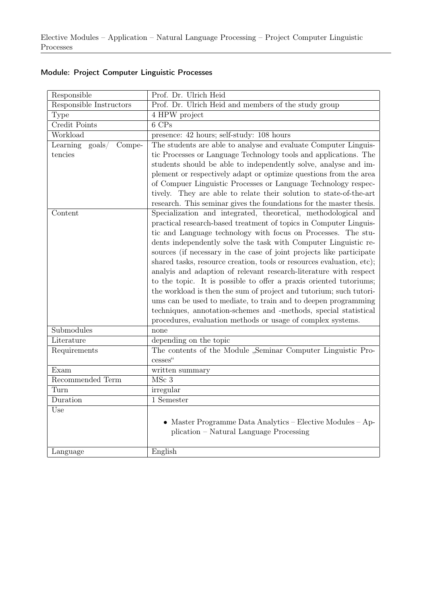| Responsible                                    | Prof. Dr. Ulrich Heid                                                                                                                                                                                                                                                                                                                                                                                                                                                                                                                                                                                                                                                                                                                                                                                                                          |
|------------------------------------------------|------------------------------------------------------------------------------------------------------------------------------------------------------------------------------------------------------------------------------------------------------------------------------------------------------------------------------------------------------------------------------------------------------------------------------------------------------------------------------------------------------------------------------------------------------------------------------------------------------------------------------------------------------------------------------------------------------------------------------------------------------------------------------------------------------------------------------------------------|
| Responsible Instructors                        | Prof. Dr. Ulrich Heid and members of the study group                                                                                                                                                                                                                                                                                                                                                                                                                                                                                                                                                                                                                                                                                                                                                                                           |
| Type                                           | 4 HPW project                                                                                                                                                                                                                                                                                                                                                                                                                                                                                                                                                                                                                                                                                                                                                                                                                                  |
| Credit Points                                  | $6$ CPs                                                                                                                                                                                                                                                                                                                                                                                                                                                                                                                                                                                                                                                                                                                                                                                                                                        |
| Workload                                       | presence: 42 hours; self-study: 108 hours                                                                                                                                                                                                                                                                                                                                                                                                                                                                                                                                                                                                                                                                                                                                                                                                      |
| Learning<br>$\text{goals}/\text{}$<br>$Compe-$ | The students are able to analyse and evaluate Computer Linguis-                                                                                                                                                                                                                                                                                                                                                                                                                                                                                                                                                                                                                                                                                                                                                                                |
| tencies                                        | tic Processes or Language Technology tools and applications. The<br>students should be able to independently solve, analyse and im-<br>plement or respectively adapt or optimize questions from the area<br>of Compuer Linguistic Processes or Language Technology respec-<br>tively. They are able to relate their solution to state-of-the-art<br>research. This seminar gives the foundations for the master thesis.                                                                                                                                                                                                                                                                                                                                                                                                                        |
| Content                                        | Specialization and integrated, theoretical, methodological and<br>practical research-based treatment of topics in Computer Linguis-<br>tic and Language technology with focus on Processes. The stu-<br>dents independently solve the task with Computer Linguistic re-<br>sources (if necessary in the case of joint projects like participate<br>shared tasks, resource creation, tools or resources evaluation, etc);<br>analyis and adaption of relevant research-literature with respect<br>to the topic. It is possible to offer a praxis oriented tutoriums;<br>the workload is then the sum of project and tutorium; such tutori-<br>ums can be used to mediate, to train and to deepen programming<br>techniques, annotation-schemes and -methods, special statistical<br>procedures, evaluation methods or usage of complex systems. |
| Submodules                                     | none                                                                                                                                                                                                                                                                                                                                                                                                                                                                                                                                                                                                                                                                                                                                                                                                                                           |
| Literature                                     | depending on the topic                                                                                                                                                                                                                                                                                                                                                                                                                                                                                                                                                                                                                                                                                                                                                                                                                         |
| Requirements                                   | The contents of the Module "Seminar Computer Linguistic Pro-<br>cesses"                                                                                                                                                                                                                                                                                                                                                                                                                                                                                                                                                                                                                                                                                                                                                                        |
| Exam                                           | written summary                                                                                                                                                                                                                                                                                                                                                                                                                                                                                                                                                                                                                                                                                                                                                                                                                                |
| Recommended Term                               | MSc 3                                                                                                                                                                                                                                                                                                                                                                                                                                                                                                                                                                                                                                                                                                                                                                                                                                          |
| Turn                                           | irregular                                                                                                                                                                                                                                                                                                                                                                                                                                                                                                                                                                                                                                                                                                                                                                                                                                      |
| Duration                                       | $\overline{1}$ Semester                                                                                                                                                                                                                                                                                                                                                                                                                                                                                                                                                                                                                                                                                                                                                                                                                        |
| Use                                            | • Master Programme Data Analytics – Elective Modules – Ap-<br>plication – Natural Language Processing                                                                                                                                                                                                                                                                                                                                                                                                                                                                                                                                                                                                                                                                                                                                          |
| Language                                       | English                                                                                                                                                                                                                                                                                                                                                                                                                                                                                                                                                                                                                                                                                                                                                                                                                                        |

## Module: Project Computer Linguistic Processes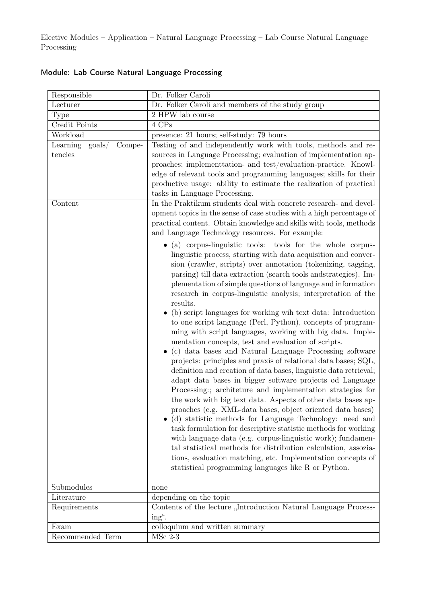|  |  |  |  |  | Module: Lab Course Natural Language Processing |
|--|--|--|--|--|------------------------------------------------|
|--|--|--|--|--|------------------------------------------------|

| Responsible                                       | Dr. Folker Caroli                                                                                                                                                                                                                                                                                                                                                                                                                                                                                                                                                                                                                                                                                                                                                                                                                                                                                                                                                                                                                                                                                                                                                                                                                                                                                                                                                                                                                                                                                               |  |  |
|---------------------------------------------------|-----------------------------------------------------------------------------------------------------------------------------------------------------------------------------------------------------------------------------------------------------------------------------------------------------------------------------------------------------------------------------------------------------------------------------------------------------------------------------------------------------------------------------------------------------------------------------------------------------------------------------------------------------------------------------------------------------------------------------------------------------------------------------------------------------------------------------------------------------------------------------------------------------------------------------------------------------------------------------------------------------------------------------------------------------------------------------------------------------------------------------------------------------------------------------------------------------------------------------------------------------------------------------------------------------------------------------------------------------------------------------------------------------------------------------------------------------------------------------------------------------------------|--|--|
| Lecturer                                          | Dr. Folker Caroli and members of the study group                                                                                                                                                                                                                                                                                                                                                                                                                                                                                                                                                                                                                                                                                                                                                                                                                                                                                                                                                                                                                                                                                                                                                                                                                                                                                                                                                                                                                                                                |  |  |
| Type                                              | 2 HPW lab course                                                                                                                                                                                                                                                                                                                                                                                                                                                                                                                                                                                                                                                                                                                                                                                                                                                                                                                                                                                                                                                                                                                                                                                                                                                                                                                                                                                                                                                                                                |  |  |
| Credit Points                                     | 4 CPs                                                                                                                                                                                                                                                                                                                                                                                                                                                                                                                                                                                                                                                                                                                                                                                                                                                                                                                                                                                                                                                                                                                                                                                                                                                                                                                                                                                                                                                                                                           |  |  |
| Workload                                          | presence: 21 hours; self-study: 79 hours                                                                                                                                                                                                                                                                                                                                                                                                                                                                                                                                                                                                                                                                                                                                                                                                                                                                                                                                                                                                                                                                                                                                                                                                                                                                                                                                                                                                                                                                        |  |  |
| Learning<br>$\text{goals} /$<br>Compe-<br>tencies | Testing of and independently work with tools, methods and re-<br>sources in Language Processing; evaluation of implementation ap-<br>proaches; implementation- and test/evaluation-practice. Knowl-<br>edge of relevant tools and programming languages; skills for their<br>productive usage: ability to estimate the realization of practical<br>tasks in Language Processing.                                                                                                                                                                                                                                                                                                                                                                                                                                                                                                                                                                                                                                                                                                                                                                                                                                                                                                                                                                                                                                                                                                                                |  |  |
| Content                                           | In the Praktikum students deal with concrete research- and devel-<br>opment topics in the sense of case studies with a high percentage of<br>practical content. Obtain knowledge and skills with tools, methods<br>and Language Technology resources. For example:                                                                                                                                                                                                                                                                                                                                                                                                                                                                                                                                                                                                                                                                                                                                                                                                                                                                                                                                                                                                                                                                                                                                                                                                                                              |  |  |
|                                                   | • (a) corpus-linguistic tools: tools for the whole corpus-<br>linguistic process, starting with data acquisition and conver-<br>sion (crawler, scripts) over annotation (tokenizing, tagging,<br>parsing) till data extraction (search tools and strategies). Im-<br>plementation of simple questions of language and information<br>research in corpus-linguistic analysis; interpretation of the<br>results.<br>(b) script languages for working wih text data: Introduction<br>to one script language (Perl, Python), concepts of program-<br>ming with script languages, working with big data. Imple-<br>mentation concepts, test and evaluation of scripts.<br>(c) data bases and Natural Language Processing software<br>projects: principles and praxis of relational data bases; SQL,<br>definition and creation of data bases, linguistic data retrieval;<br>adapt data bases in bigger software projects od Language<br>Processing:; architeture and implementation strategies for<br>the work with big text data. Aspects of other data bases ap-<br>proaches (e.g. XML-data bases, object oriented data bases)<br>(d) statistic methods for Language Technology: need and<br>task formulation for descriptive statistic methods for working<br>with language data (e.g. corpus-linguistic work); fundamen-<br>tal statistical methods for distribution calculation, assozia-<br>tions, evaluation matching, etc. Implementation concepts of<br>statistical programming languages like R or Python. |  |  |
| Submodules                                        | none                                                                                                                                                                                                                                                                                                                                                                                                                                                                                                                                                                                                                                                                                                                                                                                                                                                                                                                                                                                                                                                                                                                                                                                                                                                                                                                                                                                                                                                                                                            |  |  |
| Literature                                        | depending on the topic                                                                                                                                                                                                                                                                                                                                                                                                                                                                                                                                                                                                                                                                                                                                                                                                                                                                                                                                                                                                                                                                                                                                                                                                                                                                                                                                                                                                                                                                                          |  |  |
| Requirements                                      | Contents of the lecture "Introduction Natural Language Process-<br>ing".                                                                                                                                                                                                                                                                                                                                                                                                                                                                                                                                                                                                                                                                                                                                                                                                                                                                                                                                                                                                                                                                                                                                                                                                                                                                                                                                                                                                                                        |  |  |
| Exam                                              | colloquium and written summary                                                                                                                                                                                                                                                                                                                                                                                                                                                                                                                                                                                                                                                                                                                                                                                                                                                                                                                                                                                                                                                                                                                                                                                                                                                                                                                                                                                                                                                                                  |  |  |
| Recommended Term                                  | $MSc$ 2-3                                                                                                                                                                                                                                                                                                                                                                                                                                                                                                                                                                                                                                                                                                                                                                                                                                                                                                                                                                                                                                                                                                                                                                                                                                                                                                                                                                                                                                                                                                       |  |  |
|                                                   |                                                                                                                                                                                                                                                                                                                                                                                                                                                                                                                                                                                                                                                                                                                                                                                                                                                                                                                                                                                                                                                                                                                                                                                                                                                                                                                                                                                                                                                                                                                 |  |  |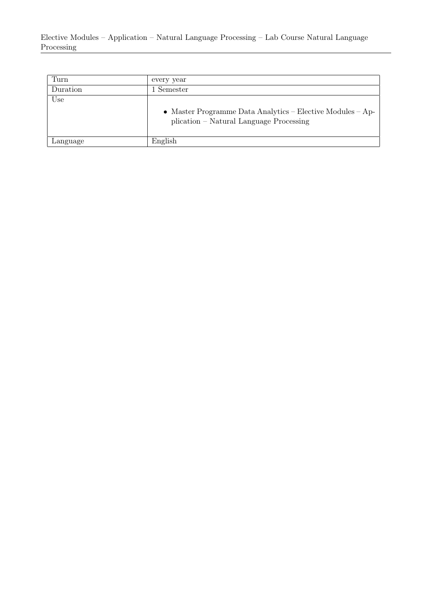Elective Modules – Application – Natural Language Processing – Lab Course Natural Language Processing

| Turn     | every year                                                                                            |
|----------|-------------------------------------------------------------------------------------------------------|
| Duration | Semester                                                                                              |
| Use      | • Master Programme Data Analytics – Elective Modules – Ap-<br>plication – Natural Language Processing |
| Language | English                                                                                               |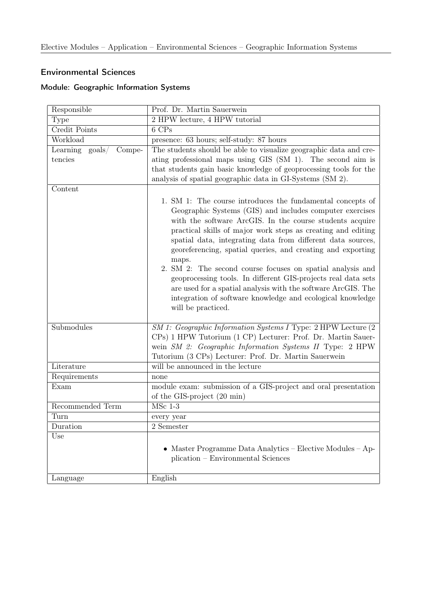#### Environmental Sciences

#### Module: Geographic Information Systems

| Responsible               | Prof. Dr. Martin Sauerwein                                                                                                                                                                                                                                                                                                                                                                                                                                                                                               |  |  |
|---------------------------|--------------------------------------------------------------------------------------------------------------------------------------------------------------------------------------------------------------------------------------------------------------------------------------------------------------------------------------------------------------------------------------------------------------------------------------------------------------------------------------------------------------------------|--|--|
| <b>Type</b>               | 2 HPW lecture, 4 HPW tutorial                                                                                                                                                                                                                                                                                                                                                                                                                                                                                            |  |  |
| Credit Points             | 6 CPs                                                                                                                                                                                                                                                                                                                                                                                                                                                                                                                    |  |  |
| Workload                  | presence: 63 hours; self-study: 87 hours                                                                                                                                                                                                                                                                                                                                                                                                                                                                                 |  |  |
| Learning goals/<br>Compe- | The students should be able to visualize geographic data and cre-                                                                                                                                                                                                                                                                                                                                                                                                                                                        |  |  |
| tencies                   | ating professional maps using GIS (SM 1). The second aim is                                                                                                                                                                                                                                                                                                                                                                                                                                                              |  |  |
|                           | that students gain basic knowledge of geoprocessing tools for the                                                                                                                                                                                                                                                                                                                                                                                                                                                        |  |  |
|                           | analysis of spatial geographic data in GI-Systems (SM 2).                                                                                                                                                                                                                                                                                                                                                                                                                                                                |  |  |
| Content                   |                                                                                                                                                                                                                                                                                                                                                                                                                                                                                                                          |  |  |
|                           | 1. SM 1: The course introduces the fundamental concepts of<br>Geographic Systems (GIS) and includes computer exercises<br>with the software ArcGIS. In the course students acquire<br>practical skills of major work steps as creating and editing<br>spatial data, integrating data from different data sources,<br>georeferencing, spatial queries, and creating and exporting<br>maps.<br>2. SM 2: The second course focuses on spatial analysis and<br>geoprocessing tools. In different GIS-projects real data sets |  |  |
|                           | are used for a spatial analysis with the software ArcGIS. The<br>integration of software knowledge and ecological knowledge<br>will be practiced.                                                                                                                                                                                                                                                                                                                                                                        |  |  |
| Submodules                | SM 1: Geographic Information Systems I Type: 2 HPW Lecture (2<br>CPs) 1 HPW Tutorium (1 CP) Lecturer: Prof. Dr. Martin Sauer-<br>wein SM 2: Geographic Information Systems II Type: 2 HPW<br>Tutorium (3 CPs) Lecturer: Prof. Dr. Martin Sauerwein                                                                                                                                                                                                                                                                       |  |  |
| Literature                | will be announced in the lecture                                                                                                                                                                                                                                                                                                                                                                                                                                                                                         |  |  |
| Requirements              | none                                                                                                                                                                                                                                                                                                                                                                                                                                                                                                                     |  |  |
| Exam                      | module exam: submission of a GIS-project and oral presentation<br>of the GIS-project (20 min)                                                                                                                                                                                                                                                                                                                                                                                                                            |  |  |
| Recommended Term          | $MSc$ 1-3                                                                                                                                                                                                                                                                                                                                                                                                                                                                                                                |  |  |
| Turn                      | every year                                                                                                                                                                                                                                                                                                                                                                                                                                                                                                               |  |  |
| Duration                  | 2 Semester                                                                                                                                                                                                                                                                                                                                                                                                                                                                                                               |  |  |
| Use                       | • Master Programme Data Analytics - Elective Modules - Ap-<br>plication - Environmental Sciences                                                                                                                                                                                                                                                                                                                                                                                                                         |  |  |
| Language                  | English                                                                                                                                                                                                                                                                                                                                                                                                                                                                                                                  |  |  |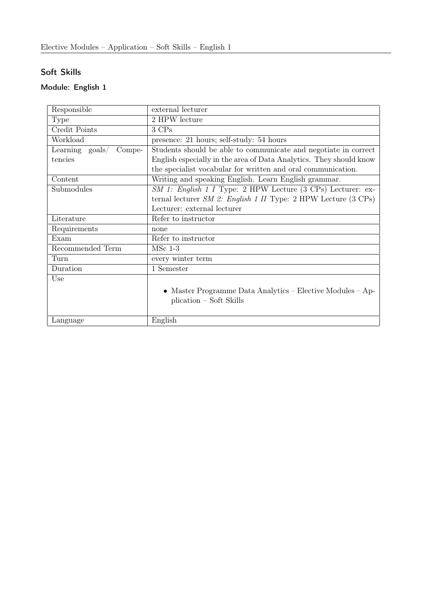# Soft Skills

# Module: English 1

| Responsible               | external lecturer                                                  |  |
|---------------------------|--------------------------------------------------------------------|--|
| Type                      | 2 HPW lecture                                                      |  |
| Credit Points             | 3 CPs                                                              |  |
| Workload                  | presence: 21 hours; self-study: 54 hours                           |  |
| Learning goals/<br>Compe- | Students should be able to communicate and negotiate in correct    |  |
| tencies                   | English especially in the area of Data Analytics. They should know |  |
|                           | the specialist vocabular for written and oral communication.       |  |
| Content                   | Writing and speaking English. Learn English grammar.               |  |
| Submodules                | SM 1: English 1 I Type: 2 HPW Lecture (3 CPs) Lecturer: ex-        |  |
|                           | ternal lecturer $SM$ 2: English 1 II Type: 2 HPW Lecture (3 CPs)   |  |
|                           | Lecturer: external lecturer                                        |  |
| Literature                | Refer to instructor                                                |  |
| Requirements              | none                                                               |  |
| Exam                      | Refer to instructor                                                |  |
| Recommended Term          | $MSc$ 1-3                                                          |  |
| Turn                      | every winter term                                                  |  |
| Duration                  | 1 Semester                                                         |  |
| Use                       |                                                                    |  |
|                           | • Master Programme Data Analytics – Elective Modules – Ap-         |  |
|                           | plication – Soft Skills                                            |  |
|                           |                                                                    |  |
| Language                  | English                                                            |  |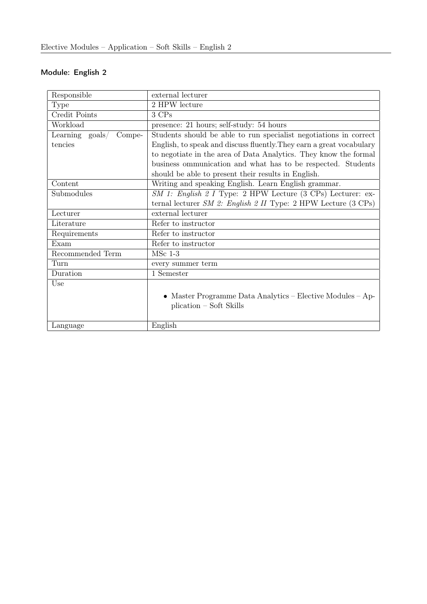#### Module: English 2

| Responsible               | external lecturer                                                    |
|---------------------------|----------------------------------------------------------------------|
| Type                      | 2 HPW lecture                                                        |
| Credit Points             | 3 CPs                                                                |
| Workload                  | presence: 21 hours; self-study: 54 hours                             |
| Learning goals/<br>Compe- | Students should be able to run specialist negotiations in correct    |
| tencies                   | English, to speak and discuss fluently. They earn a great vocabulary |
|                           | to negotiate in the area of Data Analytics. They know the formal     |
|                           | business ommunication and what has to be respected. Students         |
|                           | should be able to present their results in English.                  |
| Content                   | Writing and speaking English. Learn English grammar.                 |
| Submodules                | $SM$ 1: English 2 I Type: 2 HPW Lecture (3 CPs) Lecturer: ex-        |
|                           | ternal lecturer $SM$ 2: English 2 II Type: 2 HPW Lecture (3 CPs)     |
| Lecturer                  | external lecturer                                                    |
| Literature                | Refer to instructor                                                  |
| Requirements              | Refer to instructor                                                  |
| Exam                      | Refer to instructor                                                  |
| Recommended Term          | $MSc$ 1-3                                                            |
| Turn                      | every summer term                                                    |
| Duration                  | 1 Semester                                                           |
| Use                       |                                                                      |
|                           | • Master Programme Data Analytics – Elective Modules – Ap-           |
|                           | plication – Soft Skills                                              |
|                           |                                                                      |
| Language                  | English                                                              |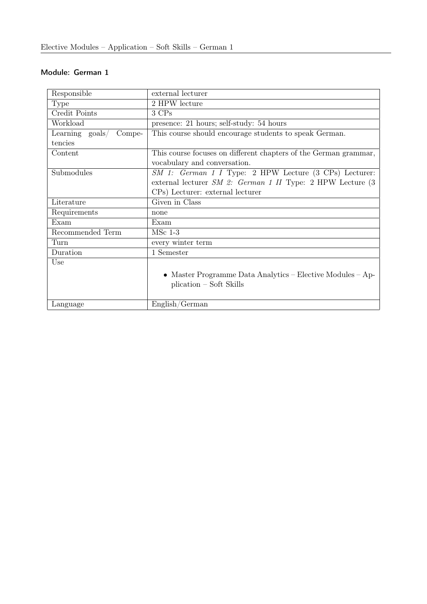#### Module: German 1

| Responsible               | external lecturer                                                |
|---------------------------|------------------------------------------------------------------|
| <b>Type</b>               | 2 HPW lecture                                                    |
| Credit Points             | 3 CPs                                                            |
| Workload                  | presence: 21 hours; self-study: 54 hours                         |
| Learning goals/<br>Compe- | This course should encourage students to speak German.           |
| tencies                   |                                                                  |
| Content                   | This course focuses on different chapters of the German grammar, |
|                           | vocabulary and conversation.                                     |
| Submodules                | SM 1: German 1 I Type: 2 HPW Lecture (3 CPs) Lecturer:           |
|                           | external lecturer $SM$ 2: German 1 II Type: 2 HPW Lecture $(3)$  |
|                           | CPs) Lecturer: external lecturer                                 |
| Literature                | Given in Class                                                   |
| Requirements              | none                                                             |
| Exam                      | Exam                                                             |
| Recommended Term          | $MSc$ 1-3                                                        |
| Turn                      | every winter term                                                |
| Duration                  | 1 Semester                                                       |
| Use                       |                                                                  |
|                           | • Master Programme Data Analytics – Elective Modules – Ap-       |
|                           | plication – Soft Skills                                          |
|                           |                                                                  |
| Language                  | English/German                                                   |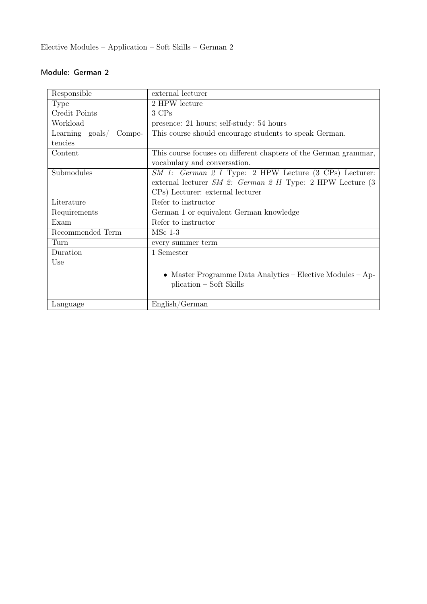#### Module: German 2

| Responsible                        | external lecturer                                                |
|------------------------------------|------------------------------------------------------------------|
| <b>Type</b>                        | 2 HPW lecture                                                    |
| Credit Points                      | 3 CPs                                                            |
| Workload                           | presence: 21 hours; self-study: 54 hours                         |
| Learning $\text{goals}/$<br>Compe- | This course should encourage students to speak German.           |
| tencies                            |                                                                  |
| Content                            | This course focuses on different chapters of the German grammar, |
|                                    | vocabulary and conversation.                                     |
| Submodules                         | SM 1: German 2 I Type: 2 HPW Lecture (3 CPs) Lecturer:           |
|                                    | external lecturer $SM$ 2: German 2 II Type: 2 HPW Lecture $(3)$  |
|                                    | CPs) Lecturer: external lecturer                                 |
| Literature                         | Refer to instructor                                              |
| Requirements                       | German 1 or equivalent German knowledge                          |
| Exam                               | Refer to instructor                                              |
| Recommended Term                   | $MSc$ 1-3                                                        |
| Turn                               | every summer term                                                |
| Duration                           | 1 Semester                                                       |
| Use                                |                                                                  |
|                                    | • Master Programme Data Analytics – Elective Modules – Ap-       |
|                                    | plication – Soft Skills                                          |
|                                    |                                                                  |
| Language                           | English/German                                                   |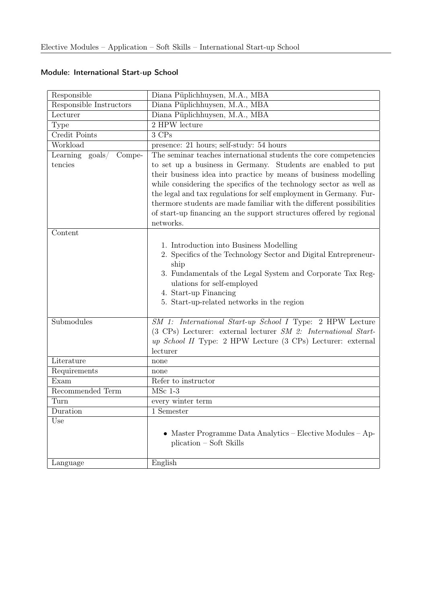| Responsible                                           | Diana Püplichhuysen, M.A., MBA                                                                                                                                                                                                                                                                                                                                                                                                                                                                                |
|-------------------------------------------------------|---------------------------------------------------------------------------------------------------------------------------------------------------------------------------------------------------------------------------------------------------------------------------------------------------------------------------------------------------------------------------------------------------------------------------------------------------------------------------------------------------------------|
| Responsible Instructors                               | Diana Püplichhuysen, M.A., MBA                                                                                                                                                                                                                                                                                                                                                                                                                                                                                |
| Lecturer                                              | Diana Püplichhuysen, M.A., MBA                                                                                                                                                                                                                                                                                                                                                                                                                                                                                |
| Type                                                  | 2 HPW lecture                                                                                                                                                                                                                                                                                                                                                                                                                                                                                                 |
| <b>Credit Points</b>                                  | 3 CPs                                                                                                                                                                                                                                                                                                                                                                                                                                                                                                         |
| Workload                                              | presence: 21 hours; self-study: 54 hours                                                                                                                                                                                                                                                                                                                                                                                                                                                                      |
| Learning $\text{goals}/\text{ }$<br>Compe-<br>tencies | The seminar teaches international students the core competencies<br>to set up a business in Germany. Students are enabled to put<br>their business idea into practice by means of business modelling<br>while considering the specifics of the technology sector as well as<br>the legal and tax regulations for self employment in Germany. Fur-<br>thermore students are made familiar with the different possibilities<br>of start-up financing an the support structures offered by regional<br>networks. |
| Content                                               |                                                                                                                                                                                                                                                                                                                                                                                                                                                                                                               |
|                                                       | 1. Introduction into Business Modelling<br>2. Specifics of the Technology Sector and Digital Entrepreneur-<br>ship<br>3. Fundamentals of the Legal System and Corporate Tax Reg-<br>ulations for self-employed<br>4. Start-up Financing<br>5. Start-up-related networks in the region                                                                                                                                                                                                                         |
| Submodules                                            | SM 1: International Start-up School I Type: 2 HPW Lecture<br>(3 CPs) Lecturer: external lecturer SM 2: International Start-<br>up School II Type: 2 HPW Lecture (3 CPs) Lecturer: external<br>lecturer                                                                                                                                                                                                                                                                                                        |
| Literature                                            | none                                                                                                                                                                                                                                                                                                                                                                                                                                                                                                          |
| Requirements                                          | none                                                                                                                                                                                                                                                                                                                                                                                                                                                                                                          |
| Exam                                                  | Refer to instructor                                                                                                                                                                                                                                                                                                                                                                                                                                                                                           |
| Recommended Term                                      | $MSc$ 1-3                                                                                                                                                                                                                                                                                                                                                                                                                                                                                                     |
| Turn                                                  | every winter term                                                                                                                                                                                                                                                                                                                                                                                                                                                                                             |
| Duration                                              | 1 Semester                                                                                                                                                                                                                                                                                                                                                                                                                                                                                                    |
| Use                                                   | Master Programme Data Analytics - Elective Modules - Ap-<br>$\bullet$<br>plication – Soft Skills                                                                                                                                                                                                                                                                                                                                                                                                              |
| Language                                              | English                                                                                                                                                                                                                                                                                                                                                                                                                                                                                                       |

# Module: International Start-up School